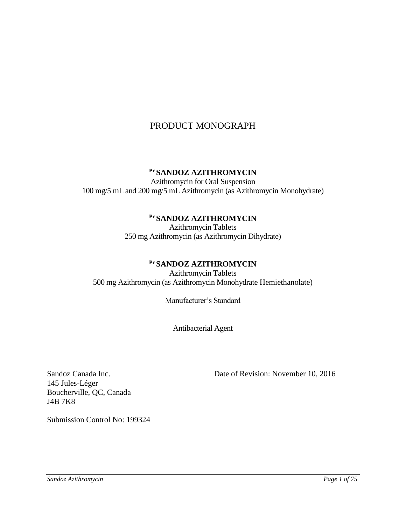# PRODUCT MONOGRAPH

# **Pr SANDOZ AZITHROMYCIN**

Azithromycin for Oral Suspension 100 mg/5 mL and 200 mg/5 mL Azithromycin (as Azithromycin Monohydrate)

# **Pr SANDOZ AZITHROMYCIN**

Azithromycin Tablets 250 mg Azithromycin (as Azithromycin Dihydrate)

# **Pr SANDOZ AZITHROMYCIN**

Azithromycin Tablets 500 mg Azithromycin (as Azithromycin Monohydrate Hemiethanolate)

Manufacturer's Standard

Antibacterial Agent

145 Jules-Léger Boucherville, QC, Canada J4B 7K8

Sandoz Canada Inc. Date of Revision: November 10, 2016

Submission Control No: 199324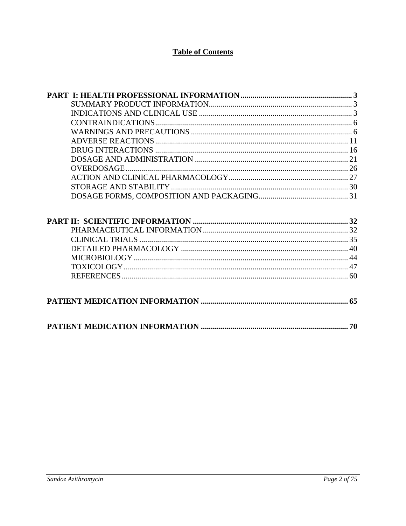# **Table of Contents**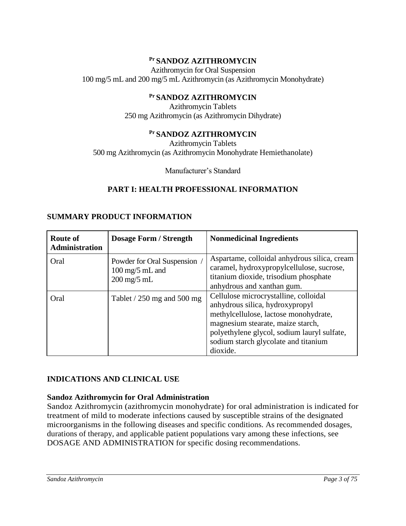## **Pr SANDOZ AZITHROMYCIN**

Azithromycin for Oral Suspension 100 mg/5 mL and 200 mg/5 mL Azithromycin (as Azithromycin Monohydrate)

#### **Pr SANDOZ AZITHROMYCIN**

Azithromycin Tablets 250 mg Azithromycin (as Azithromycin Dihydrate)

#### **Pr SANDOZ AZITHROMYCIN**

Azithromycin Tablets 500 mg Azithromycin (as Azithromycin Monohydrate Hemiethanolate)

<span id="page-2-1"></span><span id="page-2-0"></span>Manufacturer's Standard

#### **PART I: HEALTH PROFESSIONAL INFORMATION**

| <b>Route of</b><br><b>Administration</b> | <b>Dosage Form / Strength</b>                                                                      | <b>Nonmedicinal Ingredients</b>                                                                                                                                                                                                                           |
|------------------------------------------|----------------------------------------------------------------------------------------------------|-----------------------------------------------------------------------------------------------------------------------------------------------------------------------------------------------------------------------------------------------------------|
| Oral                                     | Powder for Oral Suspension /<br>$100 \text{ mg}/5 \text{ mL}$ and<br>$200 \text{ mg}/5 \text{ mL}$ | Aspartame, colloidal anhydrous silica, cream<br>caramel, hydroxypropylcellulose, sucrose,<br>titanium dioxide, trisodium phosphate<br>anhydrous and xanthan gum.                                                                                          |
| Oral                                     | Tablet $/$ 250 mg and 500 mg                                                                       | Cellulose microcrystalline, colloidal<br>anhydrous silica, hydroxypropyl<br>methylcellulose, lactose monohydrate,<br>magnesium stearate, maize starch,<br>polyethylene glycol, sodium lauryl sulfate,<br>sodium starch glycolate and titanium<br>dioxide. |

## **SUMMARY PRODUCT INFORMATION**

### <span id="page-2-2"></span>**INDICATIONS AND CLINICAL USE**

#### **Sandoz Azithromycin for Oral Administration**

Sandoz Azithromycin (azithromycin monohydrate) for oral administration is indicated for treatment of mild to moderate infections caused by susceptible strains of the designated microorganisms in the following diseases and specific conditions. As recommended dosages, durations of therapy, and applicable patient populations vary among these infections, see DOSAGE AND ADMINISTRATION for specific dosing recommendations.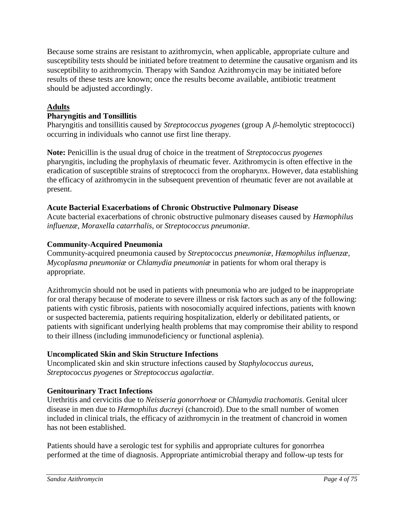Because some strains are resistant to azithromycin, when applicable, appropriate culture and susceptibility tests should be initiated before treatment to determine the causative organism and its susceptibility to azithromycin. Therapy with Sandoz Azithromycin may be initiated before results of these tests are known; once the results become available, antibiotic treatment should be adjusted accordingly.

# **Adults**

# **Pharyngitis and Tonsillitis**

Pharyngitis and tonsillitis caused by *Streptococcus pyogenes* (group A *β*-hemolytic streptococci) occurring in individuals who cannot use first line therapy.

**Note:** Penicillin is the usual drug of choice in the treatment of *Streptococcus pyogenes* pharyngitis, including the prophylaxis of rheumatic fever. Azithromycin is often effective in the eradication of susceptible strains of streptococci from the oropharynx. However, data establishing the efficacy of azithromycin in the subsequent prevention of rheumatic fever are not available at present.

## **Acute Bacterial Exacerbations of Chronic Obstructive Pulmonary Disease**

Acute bacterial exacerbations of chronic obstructive pulmonary diseases caused by *Hæmophilus influenzæ*, *Moraxella catarrhalis*, or *Streptococcus pneumoniæ*.

## **Community-Acquired Pneumonia**

Community-acquired pneumonia caused by *Streptococcus pneumoniæ*, *Hæmophilus influenzæ, Mycoplasma pneumoniæ* or *Chlamydia pneumoniæ* in patients for whom oral therapy is appropriate.

Azithromycin should not be used in patients with pneumonia who are judged to be inappropriate for oral therapy because of moderate to severe illness or risk factors such as any of the following: patients with cystic fibrosis, patients with nosocomially acquired infections, patients with known or suspected bacteremia, patients requiring hospitalization, elderly or debilitated patients, or patients with significant underlying health problems that may compromise their ability to respond to their illness (including immunodeficiency or functional asplenia).

# **Uncomplicated Skin and Skin Structure Infections**

Uncomplicated skin and skin structure infections caused by *Staphylococcus aureus*, *Streptococcus pyogenes* or *Streptococcus agalactiæ*.

# **Genitourinary Tract Infections**

Urethritis and cervicitis due to *Neisseria gonorrhoeæ* or *Chlamydia trachomatis*. Genital ulcer disease in men due to *Hæmophilus ducreyi* (chancroid). Due to the small number of women included in clinical trials, the efficacy of azithromycin in the treatment of chancroid in women has not been established.

Patients should have a serologic test for syphilis and appropriate cultures for gonorrhea performed at the time of diagnosis. Appropriate antimicrobial therapy and follow-up tests for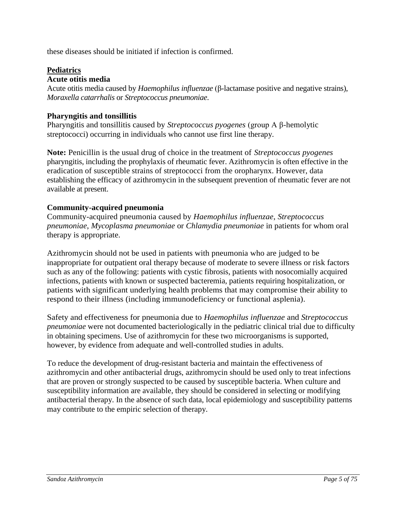these diseases should be initiated if infection is confirmed.

### **Pediatrics**

#### **Acute otitis media**

Acute otitis media caused by *Haemophilus influenzae* (β-lactamase positive and negative strains), *Moraxella catarrhalis* or *Streptococcus pneumoniae*.

#### **Pharyngitis and tonsillitis**

Pharyngitis and tonsillitis caused by *Streptococcus pyogenes* (group A β-hemolytic streptococci) occurring in individuals who cannot use first line therapy.

**Note:** Penicillin is the usual drug of choice in the treatment of *Streptococcus pyogenes* pharyngitis, including the prophylaxis of rheumatic fever. Azithromycin is often effective in the eradication of susceptible strains of streptococci from the oropharynx. However, data establishing the efficacy of azithromycin in the subsequent prevention of rheumatic fever are not available at present.

#### **Community-acquired pneumonia**

Community-acquired pneumonia caused by *Haemophilus influenzae*, *Streptococcus pneumoniae*, *Mycoplasma pneumoniae* or *Chlamydia pneumoniae* in patients for whom oral therapy is appropriate.

Azithromycin should not be used in patients with pneumonia who are judged to be inappropriate for outpatient oral therapy because of moderate to severe illness or risk factors such as any of the following: patients with cystic fibrosis, patients with nosocomially acquired infections, patients with known or suspected bacteremia, patients requiring hospitalization, or patients with significant underlying health problems that may compromise their ability to respond to their illness (including immunodeficiency or functional asplenia).

Safety and effectiveness for pneumonia due to *Haemophilus influenzae* and *Streptococcus pneumoniae* were not documented bacteriologically in the pediatric clinical trial due to difficulty in obtaining specimens. Use of azithromycin for these two microorganisms is supported, however, by evidence from adequate and well-controlled studies in adults.

To reduce the development of drug-resistant bacteria and maintain the effectiveness of azithromycin and other antibacterial drugs, azithromycin should be used only to treat infections that are proven or strongly suspected to be caused by susceptible bacteria. When culture and susceptibility information are available, they should be considered in selecting or modifying antibacterial therapy. In the absence of such data, local epidemiology and susceptibility patterns may contribute to the empiric selection of therapy.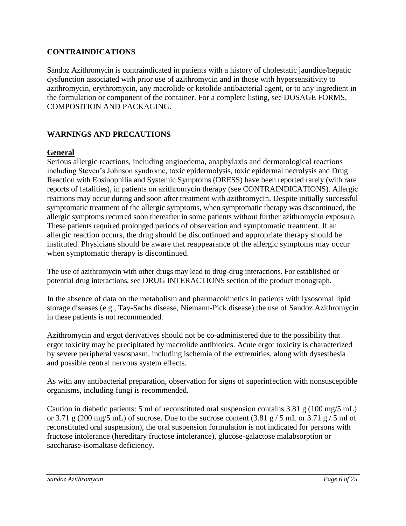### <span id="page-5-0"></span>**CONTRAINDICATIONS**

Sandoz Azithromycin is contraindicated in patients with a history of cholestatic jaundice/hepatic dysfunction associated with prior use of azithromycin and in those with hypersensitivity to azithromycin, erythromycin, any macrolide or ketolide antibacterial agent, or to any ingredient in the formulation or component of the container. For a complete listing, see DOSAGE FORMS, COMPOSITION AND PACKAGING.

## <span id="page-5-1"></span>**WARNINGS AND PRECAUTIONS**

### **General**

Serious allergic reactions, including angioedema, anaphylaxis and dermatological reactions including Steven's Johnson syndrome, toxic epidermolysis, toxic epidermal necrolysis and Drug Reaction with Eosinophilia and Systemic Symptoms (DRESS) have been reported rarely (with rare reports of fatalities), in patients on azithromycin therapy (see CONTRAINDICATIONS). Allergic reactions may occur during and soon after treatment with azithromycin. Despite initially successful symptomatic treatment of the allergic symptoms, when symptomatic therapy was discontinued, the allergic symptoms recurred soon thereafter in some patients without further azithromycin exposure. These patients required prolonged periods of observation and symptomatic treatment. If an allergic reaction occurs, the drug should be discontinued and appropriate therapy should be instituted. Physicians should be aware that reappearance of the allergic symptoms may occur when symptomatic therapy is discontinued.

The use of azithromycin with other drugs may lead to drug-drug interactions. For established or potential drug interactions, see DRUG INTERACTIONS section of the product monograph.

In the absence of data on the metabolism and pharmacokinetics in patients with lysosomal lipid storage diseases (e.g., Tay-Sachs disease, Niemann-Pick disease) the use of Sandoz Azithromycin in these patients is not recommended.

Azithromycin and ergot derivatives should not be co-administered due to the possibility that ergot toxicity may be precipitated by macrolide antibiotics. Acute ergot toxicity is characterized by severe peripheral vasospasm, including ischemia of the extremities, along with dysesthesia and possible central nervous system effects.

As with any antibacterial preparation, observation for signs of superinfection with nonsusceptible organisms, including fungi is recommended.

Caution in diabetic patients: 5 ml of reconstituted oral suspension contains 3.81 g (100 mg/5 mL) or 3.71 g (200 mg/5 mL) of sucrose. Due to the sucrose content  $(3.81 \text{ g} / 5 \text{ mL or } 3.71 \text{ g} / 5 \text{ ml of})$ reconstituted oral suspension), the oral suspension formulation is not indicated for persons with fructose intolerance (hereditary fructose intolerance), glucose-galactose malabsorption or saccharase-isomaltase deficiency.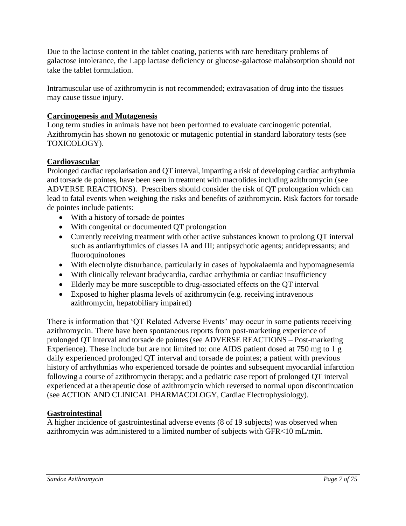Due to the lactose content in the tablet coating, patients with rare hereditary problems of galactose intolerance, the Lapp lactase deficiency or glucose-galactose malabsorption should not take the tablet formulation.

Intramuscular use of azithromycin is not recommended; extravasation of drug into the tissues may cause tissue injury.

## **Carcinogenesis and Mutagenesis**

Long term studies in animals have not been performed to evaluate carcinogenic potential. Azithromycin has shown no genotoxic or mutagenic potential in standard laboratory tests (see TOXICOLOGY).

## **Cardiovascular**

Prolonged cardiac repolarisation and QT interval, imparting a risk of developing cardiac arrhythmia and torsade de pointes*,* have been seen in treatment with macrolides including azithromycin (see ADVERSE REACTIONS). Prescribers should consider the risk of QT prolongation which can lead to fatal events when weighing the risks and benefits of azithromycin. Risk factors for torsade de pointes include patients:

- With a history of torsade de pointes
- With congenital or documented QT prolongation
- Currently receiving treatment with other active substances known to prolong QT interval such as antiarrhythmics of classes IA and III; antipsychotic agents; antidepressants; and fluoroquinolones
- With electrolyte disturbance, particularly in cases of hypokalaemia and hypomagnesemia
- With clinically relevant bradycardia, cardiac arrhythmia or cardiac insufficiency
- Elderly may be more susceptible to drug-associated effects on the QT interval
- Exposed to higher plasma levels of azithromycin (e.g. receiving intravenous azithromycin, hepatobiliary impaired)

There is information that 'QT Related Adverse Events' may occur in some patients receiving azithromycin. There have been spontaneous reports from post-marketing experience of prolonged QT interval and torsade de pointes (see ADVERSE REACTIONS – Post-marketing Experience). These include but are not limited to: one AIDS patient dosed at 750 mg to 1 g daily experienced prolonged QT interval and torsade de pointes; a patient with previous history of arrhythmias who experienced torsade de pointes and subsequent myocardial infarction following a course of azithromycin therapy; and a pediatric case report of prolonged QT interval experienced at a therapeutic dose of azithromycin which reversed to normal upon discontinuation (see ACTION AND CLINICAL PHARMACOLOGY, Cardiac Electrophysiology).

### **Gastrointestinal**

A higher incidence of gastrointestinal adverse events (8 of 19 subjects) was observed when azithromycin was administered to a limited number of subjects with GFR<10 mL/min.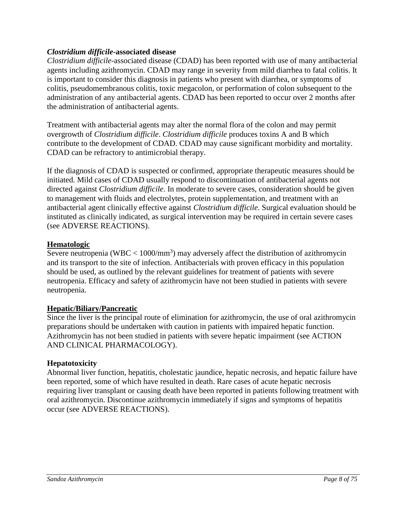#### *Clostridium difficile***-associated disease**

*Clostridium difficile*-associated disease (CDAD) has been reported with use of many antibacterial agents including azithromycin. CDAD may range in severity from mild diarrhea to fatal colitis. It is important to consider this diagnosis in patients who present with diarrhea, or symptoms of colitis, pseudomembranous colitis, toxic megacolon, or performation of colon subsequent to the administration of any antibacterial agents. CDAD has been reported to occur over 2 months after the administration of antibacterial agents.

Treatment with antibacterial agents may alter the normal flora of the colon and may permit overgrowth of *Clostridium difficile*. *Clostridium difficile* produces toxins A and B which contribute to the development of CDAD. CDAD may cause significant morbidity and mortality. CDAD can be refractory to antimicrobial therapy.

If the diagnosis of CDAD is suspected or confirmed, appropriate therapeutic measures should be initiated. Mild cases of CDAD usually respond to discontinuation of antibacterial agents not directed against *Clostridium difficile*. In moderate to severe cases, consideration should be given to management with fluids and electrolytes, protein supplementation, and treatment with an antibacterial agent clinically effective against *Clostridium difficile*. Surgical evaluation should be instituted as clinically indicated, as surgical intervention may be required in certain severe cases (see ADVERSE REACTIONS).

### **Hematologic**

Severe neutropenia (WBC  $< 1000/\text{mm}^3$ ) may adversely affect the distribution of azithromycin and its transport to the site of infection. Antibacterials with proven efficacy in this population should be used, as outlined by the relevant guidelines for treatment of patients with severe neutropenia. Efficacy and safety of azithromycin have not been studied in patients with severe neutropenia.

### **Hepatic/Biliary/Pancreatic**

Since the liver is the principal route of elimination for azithromycin, the use of oral azithromycin preparations should be undertaken with caution in patients with impaired hepatic function. Azithromycin has not been studied in patients with severe hepatic impairment (see ACTION AND CLINICAL PHARMACOLOGY).

### **Hepatotoxicity**

Abnormal liver function, hepatitis, cholestatic jaundice, hepatic necrosis, and hepatic failure have been reported, some of which have resulted in death. Rare cases of acute hepatic necrosis requiring liver transplant or causing death have been reported in patients following treatment with oral azithromycin. Discontinue azithromycin immediately if signs and symptoms of hepatitis occur (see ADVERSE REACTIONS).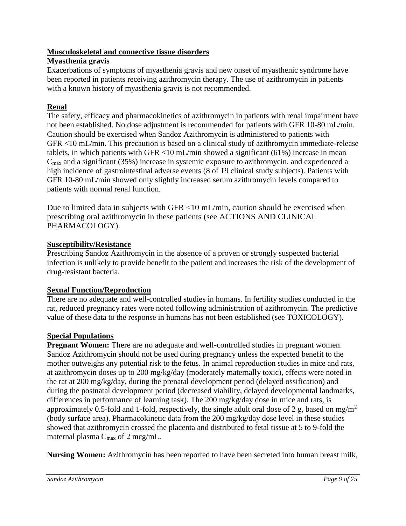## **Musculoskeletal and connective tissue disorders**

## **Myasthenia gravis**

Exacerbations of symptoms of myasthenia gravis and new onset of myasthenic syndrome have been reported in patients receiving azithromycin therapy. The use of azithromycin in patients with a known history of myasthenia gravis is not recommended.

# **Renal**

The safety, efficacy and pharmacokinetics of azithromycin in patients with renal impairment have not been established. No dose adjustment is recommended for patients with GFR 10-80 mL/min. Caution should be exercised when Sandoz Azithromycin is administered to patients with GFR <10 mL/min. This precaution is based on a clinical study of azithromycin immediate-release tablets, in which patients with GFR <10 mL/min showed a significant (61%) increase in mean  $C_{\text{max}}$  and a significant (35%) increase in systemic exposure to azithromycin, and experienced a high incidence of gastrointestinal adverse events (8 of 19 clinical study subjects). Patients with GFR 10-80 mL/min showed only slightly increased serum azithromycin levels compared to patients with normal renal function.

Due to limited data in subjects with GFR <10 mL/min, caution should be exercised when prescribing oral azithromycin in these patients (see ACTIONS AND CLINICAL PHARMACOLOGY).

# **Susceptibility/Resistance**

Prescribing Sandoz Azithromycin in the absence of a proven or strongly suspected bacterial infection is unlikely to provide benefit to the patient and increases the risk of the development of drug-resistant bacteria.

# **Sexual Function/Reproduction**

There are no adequate and well-controlled studies in humans. In fertility studies conducted in the rat, reduced pregnancy rates were noted following administration of azithromycin. The predictive value of these data to the response in humans has not been established (see TOXICOLOGY).

# **Special Populations**

Pregnant Women: There are no adequate and well-controlled studies in pregnant women. Sandoz Azithromycin should not be used during pregnancy unless the expected benefit to the mother outweighs any potential risk to the fetus. In animal reproduction studies in mice and rats, at azithromycin doses up to 200 mg/kg/day (moderately maternally toxic), effects were noted in the rat at 200 mg/kg/day, during the prenatal development period (delayed ossification) and during the postnatal development period (decreased viability, delayed developmental landmarks, differences in performance of learning task). The 200 mg/kg/day dose in mice and rats, is approximately 0.5-fold and 1-fold, respectively, the single adult oral dose of 2 g, based on mg/m<sup>2</sup> (body surface area). Pharmacokinetic data from the 200 mg/kg/day dose level in these studies showed that azithromycin crossed the placenta and distributed to fetal tissue at 5 to 9-fold the maternal plasma  $C_{\text{max}}$  of 2 mcg/mL.

**Nursing Women:** Azithromycin has been reported to have been secreted into human breast milk,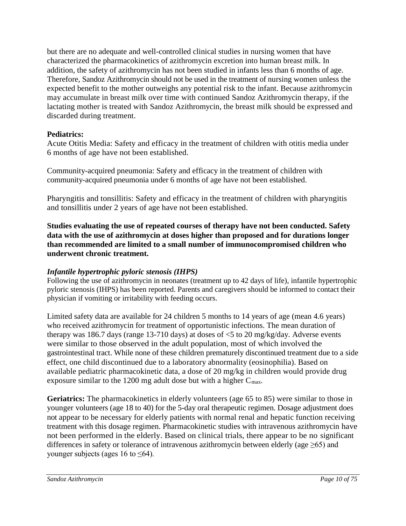but there are no adequate and well-controlled clinical studies in nursing women that have characterized the pharmacokinetics of azithromycin excretion into human breast milk. In addition, the safety of azithromycin has not been studied in infants less than 6 months of age. Therefore, Sandoz Azithromycin should not be used in the treatment of nursing women unless the expected benefit to the mother outweighs any potential risk to the infant. Because azithromycin may accumulate in breast milk over time with continued Sandoz Azithromycin therapy, if the lactating mother is treated with Sandoz Azithromycin, the breast milk should be expressed and discarded during treatment.

## **Pediatrics:**

Acute Otitis Media: Safety and efficacy in the treatment of children with otitis media under 6 months of age have not been established.

Community-acquired pneumonia: Safety and efficacy in the treatment of children with community-acquired pneumonia under 6 months of age have not been established.

Pharyngitis and tonsillitis: Safety and efficacy in the treatment of children with pharyngitis and tonsillitis under 2 years of age have not been established.

**Studies evaluating the use of repeated courses of therapy have not been conducted. Safety data with the use of azithromycin at doses higher than proposed and for durations longer than recommended are limited to a small number of immunocompromised children who underwent chronic treatment.** 

### *Infantile hypertrophic pyloric stenosis (IHPS)*

Following the use of azithromycin in neonates (treatment up to 42 days of life), infantile hypertrophic pyloric stenosis (IHPS) has been reported. Parents and caregivers should be informed to contact their physician if vomiting or irritability with feeding occurs.

Limited safety data are available for 24 children 5 months to 14 years of age (mean 4.6 years) who received azithromycin for treatment of opportunistic infections. The mean duration of therapy was 186.7 days (range 13-710 days) at doses of  $\leq$  5 to 20 mg/kg/day. Adverse events were similar to those observed in the adult population, most of which involved the gastrointestinal tract. While none of these children prematurely discontinued treatment due to a side effect, one child discontinued due to a laboratory abnormality (eosinophilia). Based on available pediatric pharmacokinetic data, a dose of 20 mg/kg in children would provide drug exposure similar to the 1200 mg adult dose but with a higher  $C_{\text{max}}$ .

**Geriatrics:** The pharmacokinetics in elderly volunteers (age 65 to 85) were similar to those in younger volunteers (age 18 to 40) for the 5-day oral therapeutic regimen. Dosage adjustment does not appear to be necessary for elderly patients with normal renal and hepatic function receiving treatment with this dosage regimen. Pharmacokinetic studies with intravenous azithromycin have not been performed in the elderly. Based on clinical trials, there appear to be no significant differences in safety or tolerance of intravenous azithromycin between elderly (age  $\geq 65$ ) and younger subjects (ages 16 to ≤64).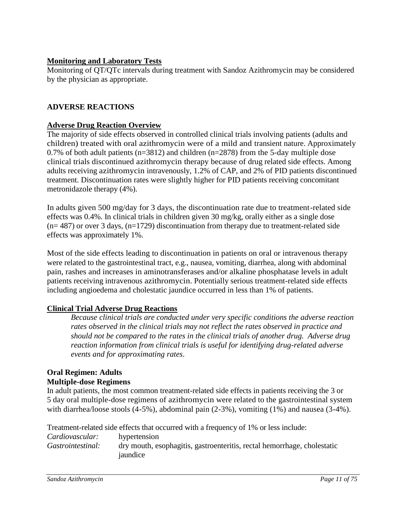## **Monitoring and Laboratory Tests**

Monitoring of QT/QTc intervals during treatment with Sandoz Azithromycin may be considered by the physician as appropriate.

## <span id="page-10-0"></span>**ADVERSE REACTIONS**

## **Adverse Drug Reaction Overview**

The majority of side effects observed in controlled clinical trials involving patients (adults and children) treated with oral azithromycin were of a mild and transient nature. Approximately 0.7% of both adult patients ( $n=3812$ ) and children ( $n=2878$ ) from the 5-day multiple dose clinical trials discontinued azithromycin therapy because of drug related side effects. Among adults receiving azithromycin intravenously, 1.2% of CAP, and 2% of PID patients discontinued treatment. Discontinuation rates were slightly higher for PID patients receiving concomitant metronidazole therapy (4%).

In adults given 500 mg/day for 3 days, the discontinuation rate due to treatment-related side effects was 0.4%. In clinical trials in children given 30 mg/kg, orally either as a single dose  $(n= 487)$  or over 3 days,  $(n=1729)$  discontinuation from therapy due to treatment-related side effects was approximately 1%.

Most of the side effects leading to discontinuation in patients on oral or intravenous therapy were related to the gastrointestinal tract, e.g., nausea, vomiting, diarrhea, along with abdominal pain, rashes and increases in aminotransferases and/or alkaline phosphatase levels in adult patients receiving intravenous azithromycin. Potentially serious treatment-related side effects including angioedema and cholestatic jaundice occurred in less than 1% of patients.

# **Clinical Trial Adverse Drug Reactions**

*Because clinical trials are conducted under very specific conditions the adverse reaction rates observed in the clinical trials may not reflect the rates observed in practice and should not be compared to the rates in the clinical trials of another drug. Adverse drug reaction information from clinical trials is useful for identifying drug-related adverse events and for approximating rates*.

#### **Oral Regimen: Adults Multiple-dose Regimens**

In adult patients, the most common treatment-related side effects in patients receiving the 3 or 5 day oral multiple-dose regimens of azithromycin were related to the gastrointestinal system with diarrhea/loose stools (4-5%), abdominal pain (2-3%), vomiting (1%) and nausea (3-4%).

Treatment-related side effects that occurred with a frequency of 1% or less include: *Cardiovascular:* hypertension *Gastrointestinal:* dry mouth, esophagitis, gastroenteritis, rectal hemorrhage, cholestatic jaundice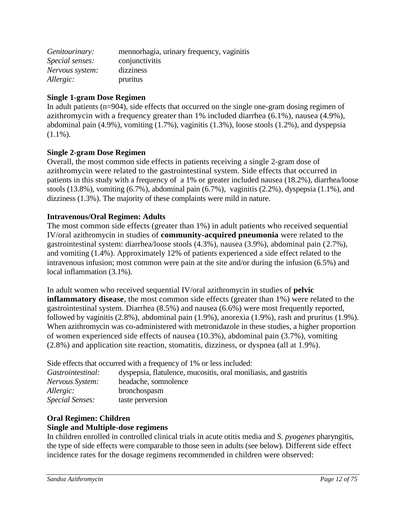| Genitourinary:  | mennorhagia, urinary frequency, vaginitis |
|-----------------|-------------------------------------------|
| Special senses: | conjunctivitis                            |
| Nervous system: | dizziness                                 |
| Allergic:       | pruritus                                  |

## **Single 1-gram Dose Regimen**

In adult patients (n=904), side effects that occurred on the single one-gram dosing regimen of azithromycin with a frequency greater than 1% included diarrhea (6.1%), nausea (4.9%), abdominal pain (4.9%), vomiting (1.7%), vaginitis (1.3%), loose stools (1.2%), and dyspepsia  $(1.1\%)$ .

### **Single 2-gram Dose Regimen**

Overall, the most common side effects in patients receiving a single 2-gram dose of azithromycin were related to the gastrointestinal system. Side effects that occurred in patients in this study with a frequency of a 1% or greater included nausea (18.2%), diarrhea/loose stools (13.8%), vomiting (6.7%), abdominal pain (6.7%), vaginitis (2.2%), dyspepsia (1.1%), and dizziness (1.3%). The majority of these complaints were mild in nature.

### **Intravenous/Oral Regimen: Adults**

The most common side effects (greater than 1%) in adult patients who received sequential IV/oral azithromycin in studies of **community-acquired pneumonia** were related to the gastrointestinal system: diarrhea/loose stools (4.3%), nausea (3.9%), abdominal pain (2.7%), and vomiting (1.4%). Approximately 12% of patients experienced a side effect related to the intravenous infusion; most common were pain at the site and/or during the infusion (6.5%) and local inflammation (3.1%).

In adult women who received sequential IV/oral azithromycin in studies of **pelvic inflammatory disease**, the most common side effects (greater than 1%) were related to the gastrointestinal system. Diarrhea (8.5%) and nausea (6.6%) were most frequently reported, followed by vaginitis (2.8%), abdominal pain (1.9%), anorexia (1.9%), rash and pruritus (1.9%). When azithromycin was co-administered with metronidazole in these studies, a higher proportion of women experienced side effects of nausea (10.3%), abdominal pain (3.7%), vomiting (2.8%) and application site reaction, stomatitis, dizziness, or dyspnea (all at 1.9%).

Side effects that occurred with a frequency of 1% or less included:

| Gastrointestinal:      | dyspepsia, flatulence, mucositis, oral monifiasis, and gastritis |
|------------------------|------------------------------------------------------------------|
| Nervous System:        | headache, somnolence                                             |
| Allergic:              | bronchospasm                                                     |
| <i>Special Senses:</i> | taste perversion                                                 |

# **Oral Regimen: Children**

# **Single and Multiple-dose regimens**

In children enrolled in controlled clinical trials in acute otitis media and *S. pyogenes* pharyngitis, the type of side effects were comparable to those seen in adults (see below). Different side effect incidence rates for the dosage regimens recommended in children were observed: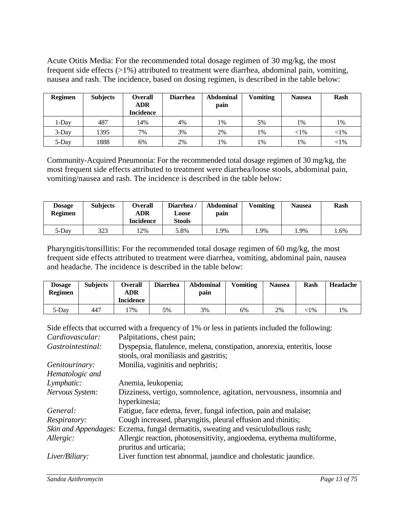Acute Otitis Media: For the recommended total dosage regimen of 30 mg/kg, the most frequent side effects (>1%) attributed to treatment were diarrhea, abdominal pain, vomiting, nausea and rash. The incidence, based on dosing regimen, is described in the table below:

| <b>Regimen</b> | <b>Subjects</b> | <b>Overall</b><br><b>ADR</b><br><b>Incidence</b> | <b>Diarrhea</b> | <b>Abdominal</b><br>pain | <b>Vomiting</b> | <b>Nausea</b> | Rash     |
|----------------|-----------------|--------------------------------------------------|-----------------|--------------------------|-----------------|---------------|----------|
| 1-Day          | 487             | 14%                                              | 4%              | 1%                       | 5%              | 1%            | 1%       |
| $3$ -Day       | 1395            | 7%                                               | 3%              | 2%                       | 1%              | $<$ 1%        | ${<}1\%$ |
| 5-Day          | 1888            | 6%                                               | 2%              | 1%                       | 1%              | 1%            | ${<}1\%$ |

Community-Acquired Pneumonia: For the recommended total dosage regimen of 30 mg/kg, the most frequent side effects attributed to treatment were diarrhea/loose stools, abdominal pain, vomiting/nausea and rash. The incidence is described in the table below:

| <b>Dosage</b><br><b>Regimen</b> | <b>Subjects</b> | Overall<br><b>ADR</b><br>Incidence | Diarrhea<br>Loose<br>Stools | <b>Abdominal</b><br>pain | <b>Vomiting</b> | <b>Nausea</b> | Rash |
|---------------------------------|-----------------|------------------------------------|-----------------------------|--------------------------|-----------------|---------------|------|
| 5-Day                           | 323             | 2%                                 | 5.8%                        | l.9%                     | .9%             | .9%           | . 6% |

Pharyngitis/tonsillitis: For the recommended total dosage regimen of 60 mg/kg, the most frequent side effects attributed to treatment were diarrhea, vomiting, abdominal pain, nausea and headache. The incidence is described in the table below:

| <b>Dosage</b><br><b>Regimen</b> | <b>Subjects</b> | <b>Overall</b><br>ADR<br><b>Incidence</b> | <b>Diarrhea</b> | <b>Abdominal</b><br>pain | <b>Vomiting</b> | <b>Nausea</b> | Rash   | Headache |
|---------------------------------|-----------------|-------------------------------------------|-----------------|--------------------------|-----------------|---------------|--------|----------|
| 5-Day                           | 447             | $7\%$                                     | 5%              | 3%                       | 6%              | 2%            | $:1\%$ | 1%       |

Side effects that occurred with a frequency of 1% or less in patients included the following: *Cardiovascular:* Palpitations, chest pain;

| Caraco rasculari    | I approachoms, chose paint,                                                               |
|---------------------|-------------------------------------------------------------------------------------------|
| Gastrointestinal:   | Dyspepsia, flatulence, melena, constipation, anorexia, enteritis, loose                   |
|                     | stools, oral moniliasis and gastritis;                                                    |
| Genitourinary:      | Monilia, vaginitis and nephritis;                                                         |
| Hematologic and     |                                                                                           |
| Lymphatic:          | Anemia, leukopenia;                                                                       |
| Nervous System:     | Dizziness, vertigo, somnolence, agitation, nervousness, insomnia and                      |
|                     | hyperkinesia;                                                                             |
| General:            | Fatigue, face edema, fever, fungal infection, pain and malaise;                           |
| <i>Respiratory:</i> | Cough increased, pharyngitis, pleural effusion and rhinitis;                              |
|                     | <i>Skin and Appendages:</i> Eczema, fungal dermatitis, sweating and vesiculobullous rash; |
| Allergic:           | Allergic reaction, photosensitivity, angioedema, erythema multiforme,                     |
|                     | pruritus and urticaria;                                                                   |
| Liver/Biliary:      | Liver function test abnormal, jaundice and cholestatic jaundice.                          |
|                     |                                                                                           |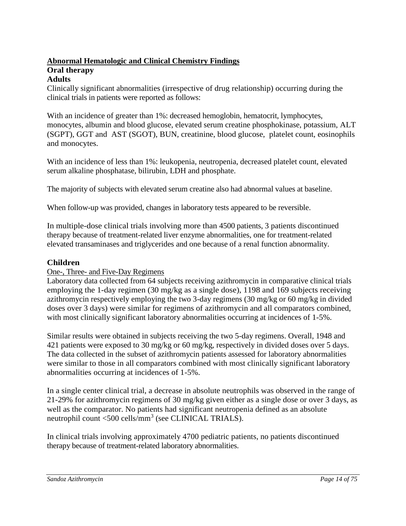# **Abnormal Hematologic and Clinical Chemistry Findings Oral therapy**

# **Adults**

Clinically significant abnormalities (irrespective of drug relationship) occurring during the clinical trials in patients were reported as follows:

With an incidence of greater than 1%: decreased hemoglobin, hematocrit, lymphocytes, monocytes, albumin and blood glucose, elevated serum creatine phosphokinase, potassium, ALT (SGPT), GGT and AST (SGOT), BUN, creatinine, blood glucose, platelet count, eosinophils and monocytes.

With an incidence of less than 1%: leukopenia, neutropenia, decreased platelet count, elevated serum alkaline phosphatase, bilirubin, LDH and phosphate.

The majority of subjects with elevated serum creatine also had abnormal values at baseline.

When follow-up was provided, changes in laboratory tests appeared to be reversible.

In multiple-dose clinical trials involving more than 4500 patients, 3 patients discontinued therapy because of treatment-related liver enzyme abnormalities, one for treatment-related elevated transaminases and triglycerides and one because of a renal function abnormality.

#### **Children**

#### One-, Three- and Five-Day Regimens

Laboratory data collected from 64 subjects receiving azithromycin in comparative clinical trials employing the 1-day regimen (30 mg/kg as a single dose), 1198 and 169 subjects receiving azithromycin respectively employing the two 3-day regimens (30 mg/kg or 60 mg/kg in divided doses over 3 days) were similar for regimens of azithromycin and all comparators combined, with most clinically significant laboratory abnormalities occurring at incidences of 1-5%.

Similar results were obtained in subjects receiving the two 5-day regimens. Overall, 1948 and 421 patients were exposed to 30 mg/kg or 60 mg/kg, respectively in divided doses over 5 days. The data collected in the subset of azithromycin patients assessed for laboratory abnormalities were similar to those in all comparators combined with most clinically significant laboratory abnormalities occurring at incidences of 1-5%.

In a single center clinical trial, a decrease in absolute neutrophils was observed in the range of 21-29% for azithromycin regimens of 30 mg/kg given either as a single dose or over 3 days, as well as the comparator. No patients had significant neutropenia defined as an absolute neutrophil count <500 cells/mm<sup>3</sup> (see CLINICAL TRIALS).

In clinical trials involving approximately 4700 pediatric patients, no patients discontinued therapy because of treatment-related laboratory abnormalities.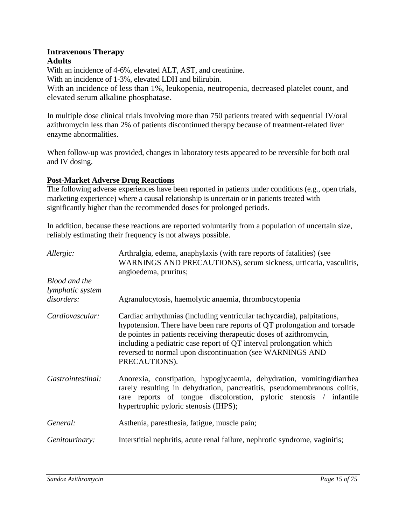#### **Intravenous Therapy Adults**

With an incidence of 4-6%, elevated ALT, AST, and creatinine. With an incidence of 1-3%, elevated LDH and bilirubin. With an incidence of less than 1%, leukopenia, neutropenia, decreased platelet count, and elevated serum alkaline phosphatase.

In multiple dose clinical trials involving more than 750 patients treated with sequential IV/oral azithromycin less than 2% of patients discontinued therapy because of treatment-related liver enzyme abnormalities.

When follow-up was provided, changes in laboratory tests appeared to be reversible for both oral and IV dosing.

## **Post-Market Adverse Drug Reactions**

The following adverse experiences have been reported in patients under conditions (e.g., open trials, marketing experience) where a causal relationship is uncertain or in patients treated with significantly higher than the recommended doses for prolonged periods.

In addition, because these reactions are reported voluntarily from a population of uncertain size, reliably estimating their frequency is not always possible.

| Allergic:                                | Arthralgia, edema, anaphylaxis (with rare reports of fatalities) (see<br>WARNINGS AND PRECAUTIONS), serum sickness, urticaria, vasculitis,<br>angioedema, pruritus;                                                                                                                                                                                                            |
|------------------------------------------|--------------------------------------------------------------------------------------------------------------------------------------------------------------------------------------------------------------------------------------------------------------------------------------------------------------------------------------------------------------------------------|
| <b>Blood</b> and the<br>lymphatic system |                                                                                                                                                                                                                                                                                                                                                                                |
| disorders:                               | Agranulocytosis, haemolytic anaemia, thrombocytopenia                                                                                                                                                                                                                                                                                                                          |
| Cardiovascular:                          | Cardiac arrhythmias (including ventricular tachycardia), palpitations,<br>hypotension. There have been rare reports of QT prolongation and torsade<br>de pointes in patients receiving therapeutic doses of azithromycin,<br>including a pediatric case report of QT interval prolongation which<br>reversed to normal upon discontinuation (see WARNINGS AND<br>PRECAUTIONS). |
| Gastrointestinal:                        | Anorexia, constipation, hypoglycaemia, dehydration, vomiting/diarrhea<br>rarely resulting in dehydration, pancreatitis, pseudomembranous colitis,<br>rare reports of tongue discoloration, pyloric stenosis / infantile<br>hypertrophic pyloric stenosis (IHPS);                                                                                                               |
| General:                                 | Asthenia, paresthesia, fatigue, muscle pain;                                                                                                                                                                                                                                                                                                                                   |
| Genitourinary:                           | Interstitial nephritis, acute renal failure, nephrotic syndrome, vaginitis;                                                                                                                                                                                                                                                                                                    |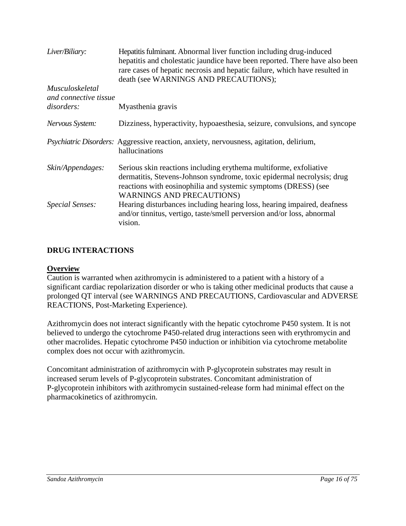| Liver/Biliary:                           | Hepatitis fulminant. Abnormal liver function including drug-induced<br>hepatitis and cholestatic jaundice have been reported. There have also been<br>rare cases of hepatic necrosis and hepatic failure, which have resulted in<br>death (see WARNINGS AND PRECAUTIONS); |
|------------------------------------------|---------------------------------------------------------------------------------------------------------------------------------------------------------------------------------------------------------------------------------------------------------------------------|
| Musculoskeletal<br>and connective tissue |                                                                                                                                                                                                                                                                           |
| disorders:                               | Myasthenia gravis                                                                                                                                                                                                                                                         |
| Nervous System:                          | Dizziness, hyperactivity, hypoaesthesia, seizure, convulsions, and syncope                                                                                                                                                                                                |
|                                          | Psychiatric Disorders: Aggressive reaction, anxiety, nervousness, agitation, delirium,<br>hallucinations                                                                                                                                                                  |
| Skin/Appendages:                         | Serious skin reactions including erythema multiforme, exfoliative<br>dermatitis, Stevens-Johnson syndrome, toxic epidermal necrolysis; drug<br>reactions with eosinophilia and systemic symptoms (DRESS) (see<br><b>WARNINGS AND PRECAUTIONS)</b>                         |
| Special Senses:                          | Hearing disturbances including hearing loss, hearing impaired, deafness<br>and/or tinnitus, vertigo, taste/smell perversion and/or loss, abnormal<br>vision.                                                                                                              |

# <span id="page-15-0"></span>**DRUG INTERACTIONS**

#### **Overview**

Caution is warranted when azithromycin is administered to a patient with a history of a significant cardiac repolarization disorder or who is taking other medicinal products that cause a prolonged QT interval (see WARNINGS AND PRECAUTIONS, Cardiovascular and ADVERSE REACTIONS, Post-Marketing Experience).

Azithromycin does not interact significantly with the hepatic cytochrome P450 system. It is not believed to undergo the cytochrome P450-related drug interactions seen with erythromycin and other macrolides. Hepatic cytochrome P450 induction or inhibition via cytochrome metabolite complex does not occur with azithromycin.

Concomitant administration of azithromycin with P-glycoprotein substrates may result in increased serum levels of P-glycoprotein substrates. Concomitant administration of P-glycoprotein inhibitors with azithromycin sustained-release form had minimal effect on the pharmacokinetics of azithromycin.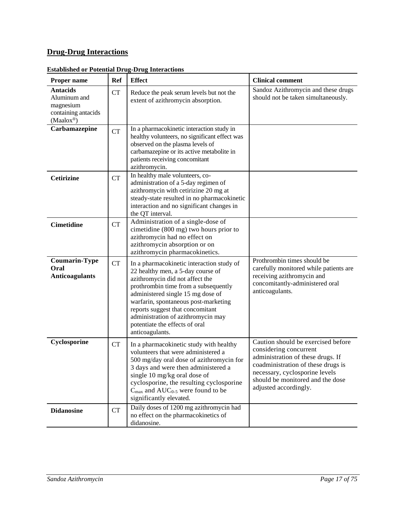# **Drug-Drug Interactions**

| Proper name                                                                         | Ref       | <b>Effect</b>                                                                                                                                                                                                                                                                                                                                                         | <b>Clinical comment</b>                                                                                                                                                                                                                |
|-------------------------------------------------------------------------------------|-----------|-----------------------------------------------------------------------------------------------------------------------------------------------------------------------------------------------------------------------------------------------------------------------------------------------------------------------------------------------------------------------|----------------------------------------------------------------------------------------------------------------------------------------------------------------------------------------------------------------------------------------|
| <b>Antacids</b><br>Aluminum and<br>magnesium<br>containing antacids<br>$(Maalox^@)$ | <b>CT</b> | Reduce the peak serum levels but not the<br>extent of azithromycin absorption.                                                                                                                                                                                                                                                                                        | Sandoz Azithromycin and these drugs<br>should not be taken simultaneously.                                                                                                                                                             |
| Carbamazepine                                                                       | <b>CT</b> | In a pharmacokinetic interaction study in<br>healthy volunteers, no significant effect was<br>observed on the plasma levels of<br>carbamazepine or its active metabolite in<br>patients receiving concomitant<br>azithromycin.                                                                                                                                        |                                                                                                                                                                                                                                        |
| <b>Cetirizine</b>                                                                   | <b>CT</b> | In healthy male volunteers, co-<br>administration of a 5-day regimen of<br>azithromycin with cetirizine 20 mg at<br>steady-state resulted in no pharmacokinetic<br>interaction and no significant changes in<br>the QT interval.                                                                                                                                      |                                                                                                                                                                                                                                        |
| <b>Cimetidine</b>                                                                   | <b>CT</b> | Administration of a single-dose of<br>cimetidine (800 mg) two hours prior to<br>azithromycin had no effect on<br>azithromycin absorption or on<br>azithromycin pharmacokinetics.                                                                                                                                                                                      |                                                                                                                                                                                                                                        |
| <b>Coumarin-Type</b><br>Oral<br><b>Anticoagulants</b>                               | <b>CT</b> | In a pharmacokinetic interaction study of<br>22 healthy men, a 5-day course of<br>azithromycin did not affect the<br>prothrombin time from a subsequently<br>administered single 15 mg dose of<br>warfarin, spontaneous post-marketing<br>reports suggest that concomitant<br>administration of azithromycin may<br>potentiate the effects of oral<br>anticoagulants. | Prothrombin times should be<br>carefully monitored while patients are<br>receiving azithromycin and<br>concomitantly-administered oral<br>anticoagulants.                                                                              |
| Cyclosporine                                                                        | <b>CT</b> | In a pharmacokinetic study with healthy<br>volunteers that were administered a<br>500 mg/day oral dose of azithromycin for<br>3 days and were then administered a<br>single 10 mg/kg oral dose of<br>cyclosporine, the resulting cyclosporine<br>$C_{\text{max}}$ and $AUC_{0.5}$ were found to be<br>significantly elevated.                                         | Caution should be exercised before<br>considering concurrent<br>administration of these drugs. If<br>coadministration of these drugs is<br>necessary, cyclosporine levels<br>should be monitored and the dose<br>adjusted accordingly. |
| <b>Didanosine</b>                                                                   | <b>CT</b> | Daily doses of 1200 mg azithromycin had<br>no effect on the pharmacokinetics of<br>didanosine.                                                                                                                                                                                                                                                                        |                                                                                                                                                                                                                                        |

#### **Established or Potential Drug-Drug Interactions**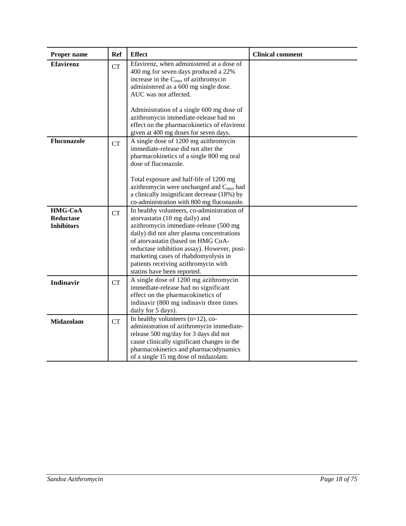| Proper name                               | <b>Ref</b> | <b>Effect</b>                                                                                                                                                                                                                                                                                                                                                             | <b>Clinical comment</b> |
|-------------------------------------------|------------|---------------------------------------------------------------------------------------------------------------------------------------------------------------------------------------------------------------------------------------------------------------------------------------------------------------------------------------------------------------------------|-------------------------|
| <b>Efavirenz</b>                          | <b>CT</b>  | Efavirenz, when administered at a dose of<br>400 mg for seven days produced a 22%<br>increase in the C <sub>max</sub> of azithromycin<br>administered as a 600 mg single dose.<br>AUC was not affected.                                                                                                                                                                   |                         |
|                                           |            | Administration of a single 600 mg dose of<br>azithromycin immediate-release had no<br>effect on the pharmacokinetics of efavirenz<br>given at 400 mg doses for seven days.                                                                                                                                                                                                |                         |
| Fluconazole                               | <b>CT</b>  | A single dose of 1200 mg azithromycin<br>immediate-release did not alter the<br>pharmacokinetics of a single 800 mg oral<br>dose of fluconazole.                                                                                                                                                                                                                          |                         |
|                                           |            | Total exposure and half-life of 1200 mg<br>azithromycin were unchanged and C <sub>max</sub> had<br>a clinically insignificant decrease (18%) by<br>co-administration with 800 mg fluconazole.                                                                                                                                                                             |                         |
| HMG-CoA<br>Reductase<br><b>Inhibitors</b> | <b>CT</b>  | In healthy volunteers, co-administration of<br>atorvastatin (10 mg daily) and<br>azithromycin immediate-release (500 mg<br>daily) did not alter plasma concentrations<br>of atorvastatin (based on HMG CoA-<br>reductase inhibition assay). However, post-<br>marketing cases of rhabdomyolysis in<br>patients receiving azithromycin with<br>statins have been reported. |                         |
| <b>Indinavir</b>                          | <b>CT</b>  | A single dose of 1200 mg azithromycin<br>immediate-release had no significant<br>effect on the pharmacokinetics of<br>indinavir (800 mg indinavir three times<br>daily for 5 days).                                                                                                                                                                                       |                         |
| Midazolam                                 | <b>CT</b>  | In healthy volunteers $(n=12)$ , co-<br>administration of azithromycin immediate-<br>release 500 mg/day for 3 days did not<br>cause clinically significant changes in the<br>pharmacokinetics and pharmacodynamics<br>of a single 15 mg dose of midazolam.                                                                                                                |                         |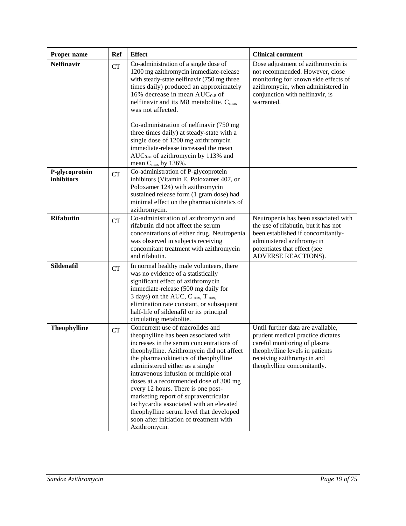| Proper name                         | <b>Ref</b> | <b>Effect</b>                                                                                                                                                                                                                                                                                                                                                                                                                                                                                                                                                   | <b>Clinical comment</b>                                                                                                                                                                                |
|-------------------------------------|------------|-----------------------------------------------------------------------------------------------------------------------------------------------------------------------------------------------------------------------------------------------------------------------------------------------------------------------------------------------------------------------------------------------------------------------------------------------------------------------------------------------------------------------------------------------------------------|--------------------------------------------------------------------------------------------------------------------------------------------------------------------------------------------------------|
| <b>Nelfinavir</b>                   | <b>CT</b>  | Co-administration of a single dose of<br>1200 mg azithromycin immediate-release<br>with steady-state nelfinavir (750 mg three<br>times daily) produced an approximately<br>16% decrease in mean $AUC_{0.8}$ of<br>nelfinavir and its M8 metabolite. C <sub>max</sub><br>was not affected.                                                                                                                                                                                                                                                                       | Dose adjustment of azithromycin is<br>not recommended. However, close<br>monitoring for known side effects of<br>azithromycin, when administered in<br>conjunction with nelfinavir, is<br>warranted.   |
|                                     |            | Co-administration of nelfinavir (750 mg<br>three times daily) at steady-state with a<br>single dose of 1200 mg azithromycin<br>immediate-release increased the mean<br>AUC <sub>0-∞</sub> of azithromycin by 113% and<br>mean $C_{\text{max}}$ by 136%.                                                                                                                                                                                                                                                                                                         |                                                                                                                                                                                                        |
| P-glycoprotein<br><b>inhibitors</b> | <b>CT</b>  | Co-administration of P-glycoprotein<br>inhibitors (Vitamin E, Poloxamer 407, or<br>Poloxamer 124) with azithromycin<br>sustained release form (1 gram dose) had<br>minimal effect on the pharmacokinetics of<br>azithromycin.                                                                                                                                                                                                                                                                                                                                   |                                                                                                                                                                                                        |
| <b>Rifabutin</b>                    | CT         | Co-administration of azithromycin and<br>rifabutin did not affect the serum<br>concentrations of either drug. Neutropenia<br>was observed in subjects receiving<br>concomitant treatment with azithromycin<br>and rifabutin.                                                                                                                                                                                                                                                                                                                                    | Neutropenia has been associated with<br>the use of rifabutin, but it has not<br>been established if concomitantly-<br>administered azithromycin<br>potentiates that effect (see<br>ADVERSE REACTIONS). |
| Sildenafil                          | <b>CT</b>  | In normal healthy male volunteers, there<br>was no evidence of a statistically<br>significant effect of azithromycin<br>immediate-release (500 mg daily for<br>3 days) on the AUC, C <sub>max</sub> , T <sub>max</sub> ,<br>elimination rate constant, or subsequent<br>half-life of sildenafil or its principal<br>circulating metabolite.                                                                                                                                                                                                                     |                                                                                                                                                                                                        |
| <b>Theophylline</b>                 | <b>CT</b>  | Concurrent use of macrolides and<br>theophylline has been associated with<br>increases in the serum concentrations of<br>theophylline. Azithromycin did not affect<br>the pharmacokinetics of theophylline<br>administered either as a single<br>intravenous infusion or multiple oral<br>doses at a recommended dose of 300 mg<br>every 12 hours. There is one post-<br>marketing report of supraventricular<br>tachycardia associated with an elevated<br>theophylline serum level that developed<br>soon after initiation of treatment with<br>Azithromycin. | Until further data are available,<br>prudent medical practice dictates<br>careful monitoring of plasma<br>theophylline levels in patients<br>receiving azithromycin and<br>theophylline concomitantly. |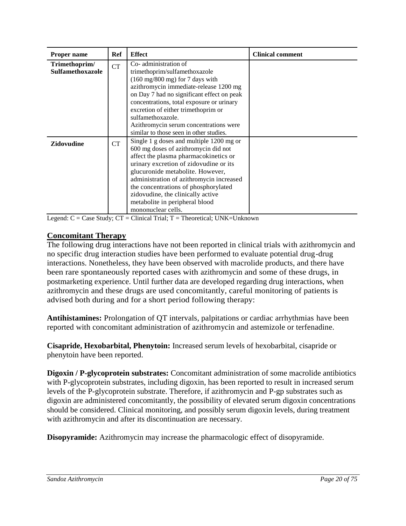| <b>Proper name</b>                | Ref | <b>Effect</b>                                                                                                                                                                                                                                                                                                                                                                                    | <b>Clinical comment</b> |
|-----------------------------------|-----|--------------------------------------------------------------------------------------------------------------------------------------------------------------------------------------------------------------------------------------------------------------------------------------------------------------------------------------------------------------------------------------------------|-------------------------|
| Trimethoprim/<br>Sulfamethoxazole | CT  | Co-administration of<br>trimethoprim/sulfamethoxazole<br>$(160 \text{ mg}/800 \text{ mg})$ for 7 days with<br>azithromycin immediate-release 1200 mg<br>on Day 7 had no significant effect on peak<br>concentrations, total exposure or urinary<br>excretion of either trimethoprim or<br>sulfamethoxazole.<br>Azithromycin serum concentrations were<br>similar to those seen in other studies. |                         |
| <b>Zidovudine</b>                 | CT  | Single 1 g doses and multiple 1200 mg or<br>600 mg doses of azithromycin did not<br>affect the plasma pharmacokinetics or<br>urinary excretion of zidovudine or its<br>glucuronide metabolite. However,<br>administration of azithromycin increased<br>the concentrations of phosphorylated<br>zidovudine, the clinically active<br>metabolite in peripheral blood<br>mononuclear cells.         |                         |

Legend:  $C = Case Study$ ;  $CT = Clinical Trial$ ;  $T = Theoretical$ ;  $UNK = Unknown$ 

### **Concomitant Therapy**

The following drug interactions have not been reported in clinical trials with azithromycin and no specific drug interaction studies have been performed to evaluate potential drug-drug interactions. Nonetheless, they have been observed with macrolide products, and there have been rare spontaneously reported cases with azithromycin and some of these drugs, in postmarketing experience. Until further data are developed regarding drug interactions, when azithromycin and these drugs are used concomitantly, careful monitoring of patients is advised both during and for a short period following therapy:

**Antihistamines:** Prolongation of QT intervals, palpitations or cardiac arrhythmias have been reported with concomitant administration of azithromycin and astemizole or terfenadine.

**Cisapride, Hexobarbital, Phenytoin:** Increased serum levels of hexobarbital, cisapride or phenytoin have been reported.

**Digoxin / P-glycoprotein substrates:** Concomitant administration of some macrolide antibiotics with P-glycoprotein substrates, including digoxin, has been reported to result in increased serum levels of the P-glycoprotein substrate. Therefore, if azithromycin and P-gp substrates such as digoxin are administered concomitantly, the possibility of elevated serum digoxin concentrations should be considered. Clinical monitoring, and possibly serum digoxin levels, during treatment with azithromycin and after its discontinuation are necessary.

**Disopyramide:** Azithromycin may increase the pharmacologic effect of disopyramide.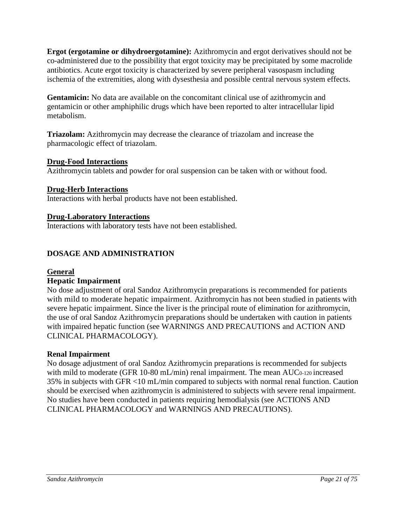**Ergot (ergotamine or dihydroergotamine):** Azithromycin and ergot derivatives should not be co-administered due to the possibility that ergot toxicity may be precipitated by some macrolide antibiotics. Acute ergot toxicity is characterized by severe peripheral vasospasm including ischemia of the extremities, along with dysesthesia and possible central nervous system effects.

**Gentamicin:** No data are available on the concomitant clinical use of azithromycin and gentamicin or other amphiphilic drugs which have been reported to alter intracellular lipid metabolism.

**Triazolam:** Azithromycin may decrease the clearance of triazolam and increase the pharmacologic effect of triazolam.

### **Drug-Food Interactions**

Azithromycin tablets and powder for oral suspension can be taken with or without food.

#### **Drug-Herb Interactions**

Interactions with herbal products have not been established.

#### **Drug-Laboratory Interactions**

Interactions with laboratory tests have not been established.

## <span id="page-20-0"></span>**DOSAGE AND ADMINISTRATION**

#### **General**

#### **Hepatic Impairment**

No dose adjustment of oral Sandoz Azithromycin preparations is recommended for patients with mild to moderate hepatic impairment. Azithromycin has not been studied in patients with severe hepatic impairment. Since the liver is the principal route of elimination for azithromycin, the use of oral Sandoz Azithromycin preparations should be undertaken with caution in patients with impaired hepatic function (see WARNINGS AND PRECAUTIONS and ACTION AND CLINICAL PHARMACOLOGY).

#### **Renal Impairment**

No dosage adjustment of oral Sandoz Azithromycin preparations is recommended for subjects with mild to moderate (GFR 10-80 mL/min) renal impairment. The mean AUC0-120 increased 35% in subjects with GFR <10 mL/min compared to subjects with normal renal function. Caution should be exercised when azithromycin is administered to subjects with severe renal impairment. No studies have been conducted in patients requiring hemodialysis (see ACTIONS AND CLINICAL PHARMACOLOGY and WARNINGS AND PRECAUTIONS).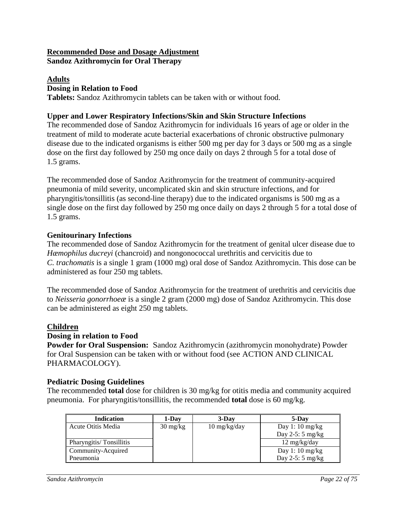#### **Recommended Dose and Dosage Adjustment Sandoz Azithromycin for Oral Therapy**

### **Adults**

## **Dosing in Relation to Food**

**Tablets:** Sandoz Azithromycin tablets can be taken with or without food.

## **Upper and Lower Respiratory Infections/Skin and Skin Structure Infections**

The recommended dose of Sandoz Azithromycin for individuals 16 years of age or older in the treatment of mild to moderate acute bacterial exacerbations of chronic obstructive pulmonary disease due to the indicated organisms is either 500 mg per day for 3 days or 500 mg as a single dose on the first day followed by 250 mg once daily on days 2 through 5 for a total dose of 1.5 grams.

The recommended dose of Sandoz Azithromycin for the treatment of community-acquired pneumonia of mild severity, uncomplicated skin and skin structure infections, and for pharyngitis/tonsillitis (as second-line therapy) due to the indicated organisms is 500 mg as a single dose on the first day followed by 250 mg once daily on days 2 through 5 for a total dose of 1.5 grams.

## **Genitourinary Infections**

The recommended dose of Sandoz Azithromycin for the treatment of genital ulcer disease due to *Hæmophilus ducreyi* (chancroid) and nongonococcal urethritis and cervicitis due to *C. trachomatis* is a single 1 gram (1000 mg) oral dose of Sandoz Azithromycin. This dose can be administered as four 250 mg tablets.

The recommended dose of Sandoz Azithromycin for the treatment of urethritis and cervicitis due to *Neisseria gonorrhoeæ* is a single 2 gram (2000 mg) dose of Sandoz Azithromycin. This dose can be administered as eight 250 mg tablets.

# **Children**

### **Dosing in relation to Food**

**Powder for Oral Suspension:** Sandoz Azithromycin (azithromycin monohydrate) Powder for Oral Suspension can be taken with or without food (see ACTION AND CLINICAL PHARMACOLOGY).

# **Pediatric Dosing Guidelines**

The recommended **total** dose for children is 30 mg/kg for otitis media and community acquired pneumonia. For pharyngitis/tonsillitis, the recommended **total** dose is 60 mg/kg.

| <b>Indication</b>       | 1-Day                            | $3-Dav$                              | 5-Day                      |
|-------------------------|----------------------------------|--------------------------------------|----------------------------|
| Acute Otitis Media      | $30 \frac{\text{mg}}{\text{kg}}$ | $10 \frac{\text{mg}}{\text{kg}}$ day | Day 1: 10 $mg/kg$          |
|                         |                                  |                                      | Day $2-5:5$ mg/kg          |
| Pharyngitis/Tonsillitis |                                  |                                      | $12 \text{ mg/kg/day}$     |
| Community-Acquired      |                                  |                                      | Day 1: 10 $mg/kg$          |
| Pneumonia               |                                  |                                      | Day 2-5: $5 \text{ mg/kg}$ |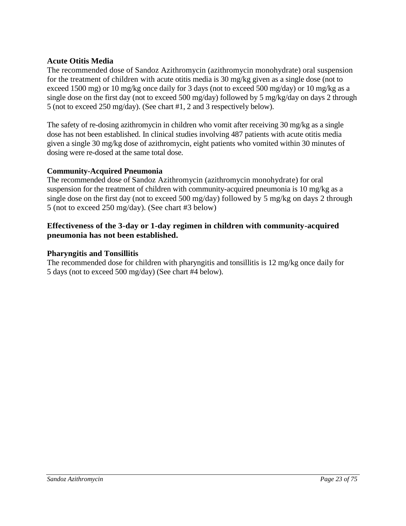### **Acute Otitis Media**

The recommended dose of Sandoz Azithromycin (azithromycin monohydrate) oral suspension for the treatment of children with acute otitis media is 30 mg/kg given as a single dose (not to exceed 1500 mg) or 10 mg/kg once daily for 3 days (not to exceed 500 mg/day) or 10 mg/kg as a single dose on the first day (not to exceed 500 mg/day) followed by 5 mg/kg/day on days 2 through 5 (not to exceed 250 mg/day). (See chart #1, 2 and 3 respectively below).

The safety of re-dosing azithromycin in children who vomit after receiving 30 mg/kg as a single dose has not been established. In clinical studies involving 487 patients with acute otitis media given a single 30 mg/kg dose of azithromycin, eight patients who vomited within 30 minutes of dosing were re-dosed at the same total dose.

#### **Community-Acquired Pneumonia**

The recommended dose of Sandoz Azithromycin (azithromycin monohydrate) for oral suspension for the treatment of children with community-acquired pneumonia is 10 mg/kg as a single dose on the first day (not to exceed 500 mg/day) followed by 5 mg/kg on days 2 through 5 (not to exceed 250 mg/day). (See chart #3 below)

#### **Effectiveness of the 3-day or 1-day regimen in children with community-acquired pneumonia has not been established.**

#### **Pharyngitis and Tonsillitis**

The recommended dose for children with pharyngitis and tonsillitis is 12 mg/kg once daily for 5 days (not to exceed 500 mg/day) (See chart #4 below).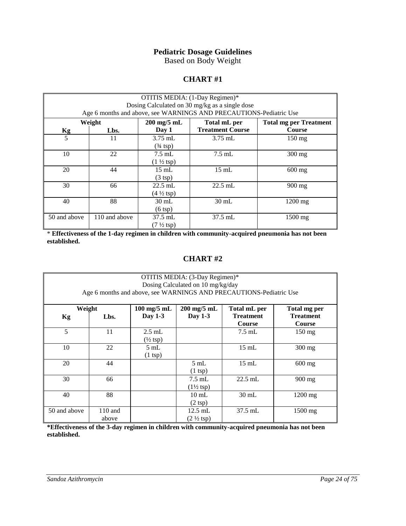## **Pediatric Dosage Guidelines**

Based on Body Weight

#### **CHART #1**

| OTITIS MEDIA: (1-Day Regimen)*<br>Dosing Calculated on 30 mg/kg as a single dose |               |                                            |                                                                    |                               |  |  |
|----------------------------------------------------------------------------------|---------------|--------------------------------------------|--------------------------------------------------------------------|-------------------------------|--|--|
|                                                                                  |               |                                            | Age 6 months and above, see WARNINGS AND PRECAUTIONS-Pediatric Use |                               |  |  |
|                                                                                  | Weight        | $200$ mg/5 mL                              | Total mL per                                                       | <b>Total mg per Treatment</b> |  |  |
| Kg                                                                               | Lbs.          | Day 1                                      | <b>Treatment Course</b>                                            | <b>Course</b>                 |  |  |
| 5                                                                                | 11            | $3.75$ mL<br>$(*15p)$                      | $3.75$ mL                                                          | $150 \text{ mg}$              |  |  |
| 10                                                                               | 22            | $7.5$ mL<br>$(1 \frac{1}{2} \text{ tsp})$  | $7.5$ mL                                                           | $300$ mg                      |  |  |
| 20                                                                               | 44            | $15 \text{ mL}$<br>$(3 \text{ tsp})$       | $15 \text{ mL}$                                                    | $600$ mg                      |  |  |
| 30                                                                               | 66            | $22.5$ mL<br>$(4 \frac{1}{2} \text{ tsp})$ | $22.5$ mL                                                          | $900 \text{ mg}$              |  |  |
| 40                                                                               | 88            | $30 \text{ mL}$<br>$(6 \text{ (sp)}$       | $30 \text{ mL}$                                                    | $1200$ mg                     |  |  |
| 50 and above                                                                     | 110 and above | $37.5$ mL<br>$(7\frac{1}{2} \text{ tsp})$  | $37.5$ mL                                                          | 1500 mg                       |  |  |

\* **Effectiveness of the 1-day regimen in children with community-acquired pneumonia has not been established.**

#### **CHART #2**

| OTITIS MEDIA: (3-Day Regimen)*<br>Dosing Calculated on 10 mg/kg/day<br>Age 6 months and above, see WARNINGS AND PRECAUTIONS-Pediatric Use |                    |                                         |                                                  |                                            |                                                   |  |
|-------------------------------------------------------------------------------------------------------------------------------------------|--------------------|-----------------------------------------|--------------------------------------------------|--------------------------------------------|---------------------------------------------------|--|
| Weight<br><b>Kg</b>                                                                                                                       | Lbs.               | $100$ mg/5 mL<br>Day 1-3                | $200 \text{ mg}/5 \text{ mL}$<br>Day 1-3         | Total mL per<br><b>Treatment</b><br>Course | Total mg per<br><b>Treatment</b><br><b>Course</b> |  |
| 5                                                                                                                                         | 11                 | $2.5$ mL<br>$(\frac{1}{2} \text{ tsp})$ |                                                  | $7.5$ mL                                   | $150 \text{ mg}$                                  |  |
| 10                                                                                                                                        | 22                 | $5 \text{ mL}$<br>$(1 \text{ tsp})$     |                                                  | $15 \text{ mL}$                            | $300$ mg                                          |  |
| 20                                                                                                                                        | 44                 |                                         | $5 \text{ mL}$<br>$(1 \text{ (sp)}$              | $15 \text{ mL}$                            | $600$ mg                                          |  |
| 30                                                                                                                                        | 66                 |                                         | $7.5 \text{ mL}$<br>$(1\frac{1}{2} \text{ tsp})$ | $22.5$ mL                                  | $900 \text{ mg}$                                  |  |
| 40                                                                                                                                        | 88                 |                                         | $10 \text{ mL}$<br>$(2 \text{ tsp})$             | $30 \text{ mL}$                            | $1200$ mg                                         |  |
| 50 and above                                                                                                                              | $110$ and<br>above |                                         | $12.5$ mL<br>$(2 \frac{1}{2} \text{ tsp})$       | $37.5$ mL                                  | $1500$ mg                                         |  |

**\*Effectiveness of the 3-day regimen in children with community-acquired pneumonia has not been established.**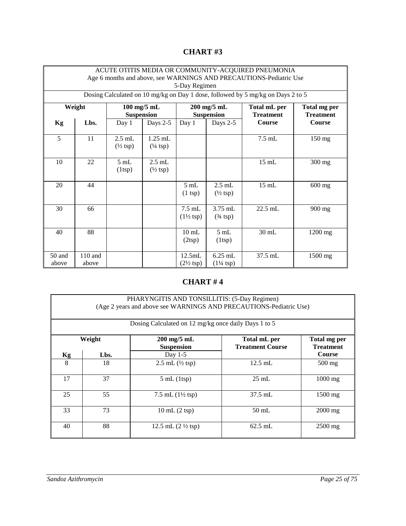|                 | ACUTE OTITIS MEDIA OR COMMUNITY-ACQUIRED PNEUMONIA<br>Age 6 months and above, see WARNINGS AND PRECAUTIONS-Pediatric Use<br>5-Day Regimen |                                         |                                          |                                          |                                           |                                                                                 |                                  |
|-----------------|-------------------------------------------------------------------------------------------------------------------------------------------|-----------------------------------------|------------------------------------------|------------------------------------------|-------------------------------------------|---------------------------------------------------------------------------------|----------------------------------|
|                 |                                                                                                                                           |                                         |                                          |                                          |                                           | Dosing Calculated on 10 mg/kg on Day 1 dose, followed by 5 mg/kg on Days 2 to 5 |                                  |
|                 | Weight                                                                                                                                    | $100$ mg/5 mL<br><b>Suspension</b>      |                                          |                                          | $200$ mg/5 mL<br><b>Suspension</b>        | Total mL per<br><b>Treatment</b>                                                | Total mg per<br><b>Treatment</b> |
| Kg              | Lbs.                                                                                                                                      | Day 1                                   | Days 2-5                                 | Day 1                                    | Days 2-5                                  | <b>Course</b>                                                                   | <b>Course</b>                    |
| 5               | 11                                                                                                                                        | $2.5$ mL<br>$(\frac{1}{2} \text{ tsp})$ | $1.25$ mL<br>$(\frac{1}{4} \text{ tsp})$ |                                          |                                           | $7.5$ mL                                                                        | 150 mg                           |
| 10              | 22                                                                                                                                        | 5 mL<br>(1 <sup>tsp</sup> )             | $2.5$ mL<br>$(\frac{1}{2} \text{ tsp})$  |                                          |                                           | $15$ mL                                                                         | 300 mg                           |
| 20              | 44                                                                                                                                        |                                         |                                          | 5mL<br>$(1 \text{ tsp})$                 | $2.5$ mL<br>$(\frac{1}{2} \text{ tsp})$   | $15$ mL                                                                         | 600 mg                           |
| 30              | 66                                                                                                                                        |                                         |                                          | $7.5$ mL<br>$(1\frac{1}{2} \text{ tsp})$ | 3.75 mL<br>$(3/4 \text{ tsp})$            | $22.5$ mL                                                                       | 900 mg                           |
| 40              | 88                                                                                                                                        |                                         |                                          | $10 \text{ mL}$<br>(2 <sup>tsp</sup> )   | 5 mL<br>$(1 \text{tsp})$                  | $30 \text{ mL}$                                                                 | $1200$ mg                        |
| 50 and<br>above | 110 and<br>above                                                                                                                          |                                         |                                          | 12.5mL<br>$(2\frac{1}{2} \text{ tsp})$   | $6.25$ mL<br>$(1\frac{1}{4} \text{ tsp})$ | 37.5 mL                                                                         | $1500$ mg                        |

# **CHART #3**

# **CHART # 4**

|                                                                                                                                                                         | PHARYNGITIS AND TONSILLITIS: (5-Day Regimen)<br>(Age 2 years and above see WARNINGS AND PRECAUTIONS-Pediatric Use)<br>Dosing Calculated on 12 mg/kg once daily Days 1 to 5 |                                       |                   |           |  |  |
|-------------------------------------------------------------------------------------------------------------------------------------------------------------------------|----------------------------------------------------------------------------------------------------------------------------------------------------------------------------|---------------------------------------|-------------------|-----------|--|--|
| $200$ mg/5 mL<br>Weight<br>Total mL per<br>Total mg per<br><b>Suspension</b><br><b>Treatment Course</b><br><b>Treatment</b><br><b>Course</b><br>Day $1-5$<br>Lbs.<br>Kg |                                                                                                                                                                            |                                       |                   |           |  |  |
| 8                                                                                                                                                                       | 18                                                                                                                                                                         | 2.5 mL $(\frac{1}{2} \text{ tsp})$    | $12.5$ mL         | $500$ mg  |  |  |
| 17                                                                                                                                                                      | 37                                                                                                                                                                         | $5 \text{ mL}$ (1tsp)                 | $25 \text{ mL}$   | $1000$ mg |  |  |
| 25                                                                                                                                                                      | 55                                                                                                                                                                         | 7.5 mL $(1\frac{1}{2} \text{ tsp})$   | $37.5 \text{ mL}$ | 1500 mg   |  |  |
| 33                                                                                                                                                                      | 73                                                                                                                                                                         | $10 \text{ mL}$ $(2 \text{ tsp})$     | $50$ mL           | $2000$ mg |  |  |
| 40                                                                                                                                                                      | 88                                                                                                                                                                         | 12.5 mL $(2 \frac{1}{2} \text{ tsp})$ | $62.5$ mL         | $2500$ mg |  |  |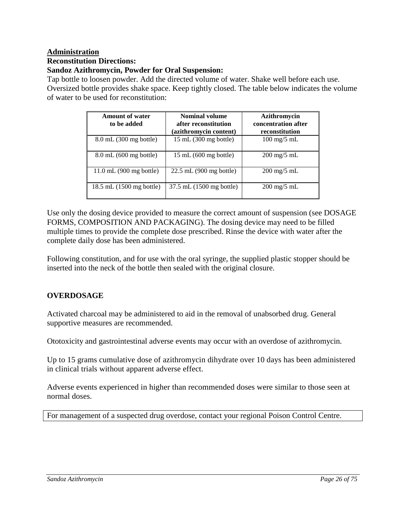# **Administration**

#### **Reconstitution Directions:**

## **Sandoz Azithromycin, Powder for Oral Suspension:**

Tap bottle to loosen powder. Add the directed volume of water. Shake well before each use. Oversized bottle provides shake space. Keep tightly closed. The table below indicates the volume of water to be used for reconstitution:

| <b>Amount of water</b><br>to be added | Nominal volume<br>after reconstitution<br>(azithromycin content) | <b>Azithromycin</b><br>concentration after<br>reconstitution |
|---------------------------------------|------------------------------------------------------------------|--------------------------------------------------------------|
| $8.0$ mL $(300 \text{ mg bottle})$    | $15 \text{ mL}$ (300 mg bottle)                                  | $100 \text{ mg}/5 \text{ mL}$                                |
| $8.0$ mL $(600 \text{ mg bottle})$    | $15 \text{ mL}$ (600 mg bottle)                                  | $200 \text{ mg}/5 \text{ mL}$                                |
| $11.0$ mL $(900 \text{ mg bottle})$   | $22.5$ mL $(900 \text{ mg bottle})$                              | $200 \text{ mg}/5 \text{ mL}$                                |
| 18.5 mL (1500 mg bottle)              | 37.5 mL (1500 mg bottle)                                         | $200 \text{ mg}/5 \text{ mL}$                                |

Use only the dosing device provided to measure the correct amount of suspension (see DOSAGE FORMS, COMPOSITION AND PACKAGING). The dosing device may need to be filled multiple times to provide the complete dose prescribed. Rinse the device with water after the complete daily dose has been administered.

Following constitution, and for use with the oral syringe, the supplied plastic stopper should be inserted into the neck of the bottle then sealed with the original closure.

### <span id="page-25-0"></span>**OVERDOSAGE**

Activated charcoal may be administered to aid in the removal of unabsorbed drug. General supportive measures are recommended.

Ototoxicity and gastrointestinal adverse events may occur with an overdose of azithromycin.

Up to 15 grams cumulative dose of azithromycin dihydrate over 10 days has been administered in clinical trials without apparent adverse effect.

Adverse events experienced in higher than recommended doses were similar to those seen at normal doses.

For management of a suspected drug overdose, contact your regional Poison Control Centre.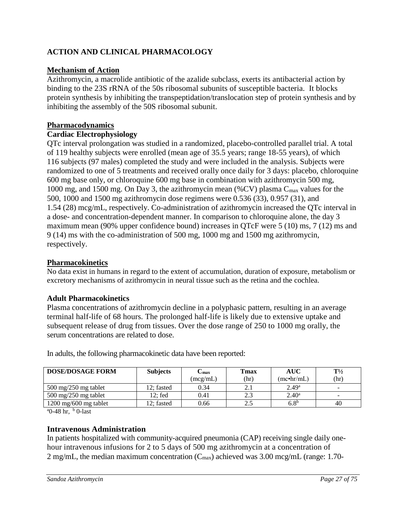# <span id="page-26-0"></span>**ACTION AND CLINICAL PHARMACOLOGY**

## **Mechanism of Action**

Azithromycin, a macrolide antibiotic of the azalide subclass, exerts its antibacterial action by binding to the 23S rRNA of the 50s ribosomal subunits of susceptible bacteria. It blocks protein synthesis by inhibiting the transpeptidation/translocation step of protein synthesis and by inhibiting the assembly of the 50S ribosomal subunit.

## **Pharmacodynamics**

## **Cardiac Electrophysiology**

QTc interval prolongation was studied in a randomized, placebo-controlled parallel trial. A total of 119 healthy subjects were enrolled (mean age of 35.5 years; range 18-55 years), of which 116 subjects (97 males) completed the study and were included in the analysis. Subjects were randomized to one of 5 treatments and received orally once daily for 3 days: placebo, chloroquine 600 mg base only, or chloroquine 600 mg base in combination with azithromycin 500 mg, 1000 mg, and 1500 mg. On Day 3, the azithromycin mean (%CV) plasma  $C_{\text{max}}$  values for the 500, 1000 and 1500 mg azithromycin dose regimens were 0.536 (33), 0.957 (31), and 1.54 (28) mcg/mL, respectively. Co-administration of azithromycin increased the QTc interval in a dose- and concentration-dependent manner. In comparison to chloroquine alone, the day 3 maximum mean (90% upper confidence bound) increases in QTcF were 5 (10) ms, 7 (12) ms and 9 (14) ms with the co-administration of 500 mg, 1000 mg and 1500 mg azithromycin, respectively.

## **Pharmacokinetics**

No data exist in humans in regard to the extent of accumulation, duration of exposure, metabolism or excretory mechanisms of azithromycin in neural tissue such as the retina and the cochlea.

### **Adult Pharmacokinetics**

Plasma concentrations of azithromycin decline in a polyphasic pattern, resulting in an average terminal half-life of 68 hours. The prolonged half-life is likely due to extensive uptake and subsequent release of drug from tissues. Over the dose range of 250 to 1000 mg orally, the serum concentrations are related to dose.

| <b>DOSE/DOSAGE FORM</b>                 | <b>Subjects</b> | ∟max<br>(mcg/mL) | Tmax<br>(hr) | AUC<br>(mc•hr/mL) | $\mathrm{T}\frac{1}{2}$<br>(hr) |
|-----------------------------------------|-----------------|------------------|--------------|-------------------|---------------------------------|
| $500 \text{ mg}/250 \text{ mg}$ tablet  | 12; fasted      | 0.34             | 2.1          | 2.49 <sup>a</sup> | $\overline{\phantom{0}}$        |
| $500 \text{ mg}/250 \text{ mg}$ tablet  | 12; fed         | 0.41             | 2.3          | $2.40^{\rm a}$    | $\overline{\phantom{0}}$        |
| $1200 \text{ mg}/600 \text{ mg}$ tablet | 12: fasted      | 0.66             | 2.5          | $6.8^{b}$         | 40                              |

In adults, the following pharmacokinetic data have been reported:

 $a_0$ -48 hr,  $b_0$ -last

### **Intravenous Administration**

In patients hospitalized with community-acquired pneumonia (CAP) receiving single daily onehour intravenous infusions for 2 to 5 days of 500 mg azithromycin at a concentration of 2 mg/mL, the median maximum concentration  $(C_{\text{max}})$  achieved was 3.00 mcg/mL (range: 1.70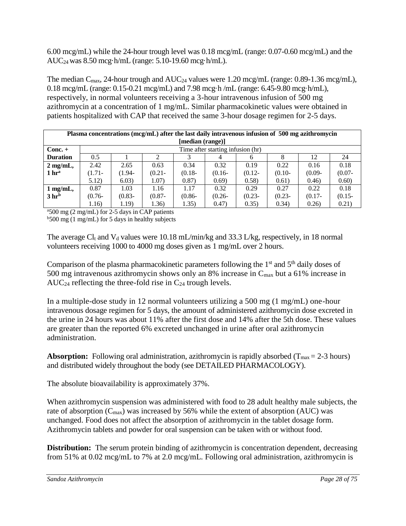6.00 mcg/mL) while the 24-hour trough level was 0.18 mcg/mL (range: 0.07-0.60 mcg/mL) and the AUC24 was 8.50 mcg·h/mL (range: 5.10-19.60 mcg·h/mL).

The median  $C_{\text{max}}$ , 24-hour trough and  $AUC_{24}$  values were 1.20 mcg/mL (range: 0.89-1.36 mcg/mL), 0.18 mcg/mL (range: 0.15-0.21 mcg/mL) and 7.98 mcg·h /mL (range: 6.45-9.80 mcg·h/mL), respectively, in normal volunteers receiving a 3-hour intravenous infusion of 500 mg azithromycin at a concentration of 1 mg/mL. Similar pharmacokinetic values were obtained in patients hospitalized with CAP that received the same 3-hour dosage regimen for 2-5 days.

| Plasma concentrations (mcg/mL) after the last daily intravenous infusion of 500 mg azithromycin |           |           |           |                  |                                   |           |           |           |           |
|-------------------------------------------------------------------------------------------------|-----------|-----------|-----------|------------------|-----------------------------------|-----------|-----------|-----------|-----------|
|                                                                                                 |           |           |           | [median (range)] |                                   |           |           |           |           |
| $Conc. +$                                                                                       |           |           |           |                  | Time after starting infusion (hr) |           |           |           |           |
| <b>Duration</b>                                                                                 | 0.5       |           |           |                  |                                   | 6         | 8         | 12        | 24        |
| $2$ mg/mL,                                                                                      | 2.42      | 2.65      | 0.63      | 0.34             | 0.32                              | 0.19      | 0.22      | 0.16      | 0.18      |
| 1 <sup>h</sup>                                                                                  | $(1.71 -$ | $(1.94-$  | $(0.21 -$ | $(0.18 -$        | $(0.16 -$                         | $(0.12 -$ | $(0.10 -$ | $(0.09 -$ | $(0.07 -$ |
|                                                                                                 | 5.12)     | 6.03)     | 1.07)     | 0.87)            | (0.69)                            | (0.58)    | 0.61)     | (0.46)    | 0.60)     |
| $1$ mg/mL,                                                                                      | 0.87      | 1.03      | 1.16      | 1.17             | 0.32                              | 0.29      | 0.27      | 0.22      | 0.18      |
| 3 <sup>h</sup>                                                                                  | $(0.76 -$ | $(0.83 -$ | $(0.87 -$ | $(0.86 -$        | $(0.26 -$                         | $(0.23 -$ | $(0.23 -$ | $(0.17 -$ | $(0.15 -$ |
|                                                                                                 | 1.16)     | 1.19)     | 1.36)     | 1.35)            | (0.47)                            | (0.35)    | (0.34)    | 0.26      | 0.21)     |

<sup>a</sup>500 mg (2 mg/mL) for 2-5 days in CAP patients

 $b$ 500 mg (1 mg/mL) for 5 days in healthy subjects

The average Cl<sub>t</sub> and V<sub>d</sub> values were 10.18 mL/min/kg and 33.3 L/kg, respectively, in 18 normal volunteers receiving 1000 to 4000 mg doses given as 1 mg/mL over 2 hours.

Comparison of the plasma pharmacokinetic parameters following the  $1<sup>st</sup>$  and  $5<sup>th</sup>$  daily doses of 500 mg intravenous azithromycin shows only an 8% increase in  $C_{\text{max}}$  but a 61% increase in AUC<sub>24</sub> reflecting the three-fold rise in  $C_{24}$  trough levels.

In a multiple-dose study in 12 normal volunteers utilizing a 500 mg (1 mg/mL) one-hour intravenous dosage regimen for 5 days, the amount of administered azithromycin dose excreted in the urine in 24 hours was about 11% after the first dose and 14% after the 5th dose. These values are greater than the reported 6% excreted unchanged in urine after oral azithromycin administration.

**Absorption:** Following oral administration, azithromycin is rapidly absorbed ( $T_{\text{max}} = 2-3$  hours) and distributed widely throughout the body (see DETAILED PHARMACOLOGY).

The absolute bioavailability is approximately 37%.

When azithromycin suspension was administered with food to 28 adult healthy male subjects, the rate of absorption  $(C_{\text{max}})$  was increased by 56% while the extent of absorption (AUC) was unchanged. Food does not affect the absorption of azithromycin in the tablet dosage form. Azithromycin tablets and powder for oral suspension can be taken with or without food.

**Distribution:** The serum protein binding of azithromycin is concentration dependent, decreasing from 51% at 0.02 mcg/mL to 7% at 2.0 mcg/mL. Following oral administration, azithromycin is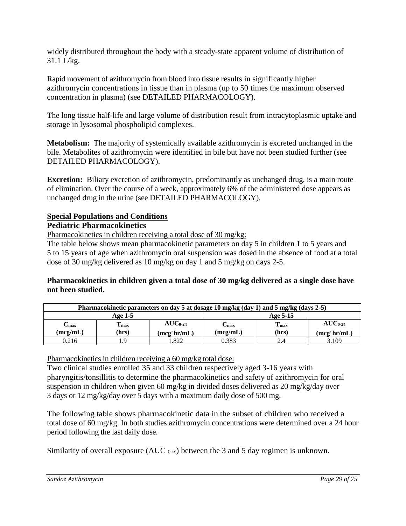widely distributed throughout the body with a steady-state apparent volume of distribution of 31.1 L/kg.

Rapid movement of azithromycin from blood into tissue results in significantly higher azithromycin concentrations in tissue than in plasma (up to 50 times the maximum observed concentration in plasma) (see DETAILED PHARMACOLOGY).

The long tissue half-life and large volume of distribution result from intracytoplasmic uptake and storage in lysosomal phospholipid complexes.

**Metabolism:** The majority of systemically available azithromycin is excreted unchanged in the bile. Metabolites of azithromycin were identified in bile but have not been studied further (see DETAILED PHARMACOLOGY).

**Excretion:** Biliary excretion of azithromycin, predominantly as unchanged drug, is a main route of elimination. Over the course of a week, approximately 6% of the administered dose appears as unchanged drug in the urine (see DETAILED PHARMACOLOGY).

## **Special Populations and Conditions**

### **Pediatric Pharmacokinetics**

Pharmacokinetics in children receiving a total dose of 30 mg/kg:

The table below shows mean pharmacokinetic parameters on day 5 in children 1 to 5 years and 5 to 15 years of age when azithromycin oral suspension was dosed in the absence of food at a total dose of 30 mg/kg delivered as 10 mg/kg on day 1 and 5 mg/kg on days 2-5.

### **Pharmacokinetics in children given a total dose of 30 mg/kg delivered as a single dose have not been studied.**

| Pharmacokinetic parameters on day 5 at dosage 10 mg/kg (day 1) and 5 mg/kg (days 2-5) |                        |                                    |                           |                        |                                    |
|---------------------------------------------------------------------------------------|------------------------|------------------------------------|---------------------------|------------------------|------------------------------------|
| Age 1-5                                                                               |                        |                                    | Age 5-15                  |                        |                                    |
| $\rm C_{max}$<br>(mcg/mL)                                                             | $T_{\rm max}$<br>(hrs) | $AUC_{0.24}$<br>$(mcg\cdot hr/mL)$ | $\rm C_{max}$<br>(mcg/mL) | $T_{\rm max}$<br>(hrs) | $AUC_{0.24}$<br>$(mcg\cdot hr/mL)$ |
| 0.216                                                                                 | 1.9                    | .822                               | 0.383                     | 2.4                    | 3.109                              |

Pharmacokinetics in children receiving a 60 mg/kg total dose:

Two clinical studies enrolled 35 and 33 children respectively aged 3-16 years with pharyngitis/tonsillitis to determine the pharmacokinetics and safety of azithromycin for oral suspension in children when given 60 mg/kg in divided doses delivered as 20 mg/kg/day over 3 days or 12 mg/kg/day over 5 days with a maximum daily dose of 500 mg.

The following table shows pharmacokinetic data in the subset of children who received a total dose of 60 mg/kg. In both studies azithromycin concentrations were determined over a 24 hour period following the last daily dose.

Similarity of overall exposure (AUC  $_{0-\infty}$ ) between the 3 and 5 day regimen is unknown.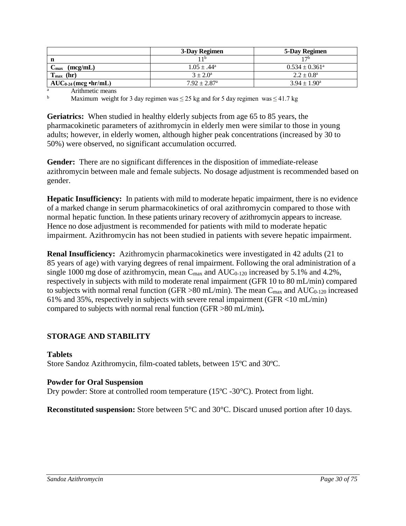|                           | 3-Day Regimen                | 5-Day Regimen             |
|---------------------------|------------------------------|---------------------------|
| n                         | 11 b                         | 17b                       |
| (mcg/mL)<br>$C_{\rm max}$ | $1.05 \pm .44^a$             | $0.534 \pm 0.361^{\circ}$ |
| $T_{\text{max}}$ (hr)     | $3 + 2.0^a$                  | $2.2 \pm 0.8^{\rm a}$     |
| $AUC_{0.24}$ (mcg •hr/mL) | $7.92 \pm 2.87$ <sup>a</sup> | $3.94 \pm 1.90^{\circ}$   |

 $\frac{a}{b}$  Arithmetic means

Maximum weight for 3 day regimen was  $\leq$  25 kg and for 5 day regimen was  $\leq$  41.7 kg

**Geriatrics:** When studied in healthy elderly subjects from age 65 to 85 years, the pharmacokinetic parameters of azithromycin in elderly men were similar to those in young adults; however, in elderly women, although higher peak concentrations (increased by 30 to 50%) were observed, no significant accumulation occurred.

**Gender:** There are no significant differences in the disposition of immediate-release azithromycin between male and female subjects. No dosage adjustment is recommended based on gender.

**Hepatic Insufficiency:** In patients with mild to moderate hepatic impairment, there is no evidence of a marked change in serum pharmacokinetics of oral azithromycin compared to those with normal hepatic function. In these patients urinary recovery of azithromycin appears to increase. Hence no dose adjustment is recommended for patients with mild to moderate hepatic impairment. Azithromycin has not been studied in patients with severe hepatic impairment.

**Renal Insufficiency:** Azithromycin pharmacokinetics were investigated in 42 adults (21 to 85 years of age) with varying degrees of renal impairment. Following the oral administration of a single 1000 mg dose of azithromycin, mean  $C_{\text{max}}$  and  $AUC_{0-120}$  increased by 5.1% and 4.2%, respectively in subjects with mild to moderate renal impairment (GFR 10 to 80 mL/min) compared to subjects with normal renal function (GFR  $>80$  mL/min). The mean C<sub>max</sub> and AUC<sub>0-120</sub> increased 61% and 35%, respectively in subjects with severe renal impairment (GFR <10 mL/min) compared to subjects with normal renal function (GFR >80 mL/min)**.**

### <span id="page-29-0"></span>**STORAGE AND STABILITY**

#### **Tablets** Store Sandoz Azithromycin, film-coated tablets, between 15ºC and 30ºC.

#### **Powder for Oral Suspension**

Dry powder: Store at controlled room temperature (15ºC -30°C). Protect from light.

**Reconstituted suspension:** Store between 5<sup>o</sup>C and 30<sup>o</sup>C. Discard unused portion after 10 days.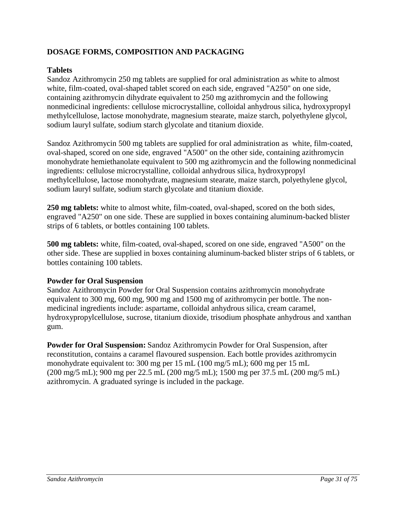# <span id="page-30-0"></span>**DOSAGE FORMS, COMPOSITION AND PACKAGING**

#### **Tablets**

Sandoz Azithromycin 250 mg tablets are supplied for oral administration as white to almost white, film-coated, oval-shaped tablet scored on each side, engraved "A250" on one side, containing azithromycin dihydrate equivalent to 250 mg azithromycin and the following nonmedicinal ingredients: cellulose microcrystalline, colloidal anhydrous silica, hydroxypropyl methylcellulose, lactose monohydrate, magnesium stearate, maize starch, polyethylene glycol, sodium lauryl sulfate, sodium starch glycolate and titanium dioxide.

Sandoz Azithromycin 500 mg tablets are supplied for oral administration as white, film-coated, oval-shaped, scored on one side, engraved "A500" on the other side, containing azithromycin monohydrate hemiethanolate equivalent to 500 mg azithromycin and the following nonmedicinal ingredients: cellulose microcrystalline, colloidal anhydrous silica, hydroxypropyl methylcellulose, lactose monohydrate, magnesium stearate, maize starch, polyethylene glycol, sodium lauryl sulfate, sodium starch glycolate and titanium dioxide.

**250 mg tablets:** white to almost white, film-coated, oval-shaped, scored on the both sides, engraved "A250" on one side. These are supplied in boxes containing aluminum-backed blister strips of 6 tablets, or bottles containing 100 tablets.

**500 mg tablets:** white, film-coated, oval-shaped, scored on one side, engraved "A500" on the other side. These are supplied in boxes containing aluminum-backed blister strips of 6 tablets, or bottles containing 100 tablets.

#### **Powder for Oral Suspension**

Sandoz Azithromycin Powder for Oral Suspension contains azithromycin monohydrate equivalent to 300 mg, 600 mg, 900 mg and 1500 mg of azithromycin per bottle. The nonmedicinal ingredients include: aspartame, colloidal anhydrous silica, cream caramel, hydroxypropylcellulose, sucrose, titanium dioxide, trisodium phosphate anhydrous and xanthan gum.

**Powder for Oral Suspension:** Sandoz Azithromycin Powder for Oral Suspension, after reconstitution, contains a caramel flavoured suspension. Each bottle provides azithromycin monohydrate equivalent to: 300 mg per 15 mL (100 mg/5 mL); 600 mg per 15 mL (200 mg/5 mL); 900 mg per 22.5 mL (200 mg/5 mL); 1500 mg per 37.5 mL (200 mg/5 mL) azithromycin. A graduated syringe is included in the package.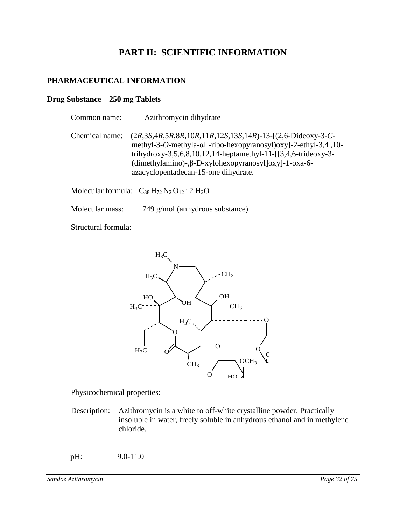# <span id="page-31-1"></span><span id="page-31-0"></span>**PART II: SCIENTIFIC INFORMATION**

#### **PHARMACEUTICAL INFORMATION**

#### **Drug Substance – 250 mg Tablets**

| Common name:   | Azithromycin dihydrate                                                                                                                                                                                                                                                                                                                                          |
|----------------|-----------------------------------------------------------------------------------------------------------------------------------------------------------------------------------------------------------------------------------------------------------------------------------------------------------------------------------------------------------------|
| Chemical name: | $(2R, 3S, 4R, 5R, 8R, 10R, 11R, 12S, 13S, 14R) - 13 - [(2, 6-Dideoxy-3-C-$<br>methyl-3-O-methyla- $\alpha$ L-ribo-hexopyranosyl) $\alpha$ xyl-2-ethyl-3,4,10-<br>trihydroxy-3,5,6,8,10,12,14-heptamethyl-11- $[3,4,6$ -trideoxy-3-<br>$(dimethylamino)$ -, $\beta$ -D-xylohexopyranosyl $\lceil$ oxy $\rceil$ -1-oxa-6-<br>azacyclopentadecan-15-one dihydrate. |
|                | $\mathbf{M}$ $\mathbf{M}$ $\mathbf{M}$ $\mathbf{M}$ $\mathbf{M}$ $\mathbf{M}$ $\mathbf{M}$ $\mathbf{M}$                                                                                                                                                                                                                                                         |

Molecular formula:  $C_{38} H_{72} N_2 O_{12} \cdot 2 H_2 O$ 

Molecular mass: 749 g/mol (anhydrous substance)

Structural formula:



Physicochemical properties:

Description: Azithromycin is a white to off-white crystalline powder. Practically insoluble in water, freely soluble in anhydrous ethanol and in methylene chloride.

pH: 9.0-11.0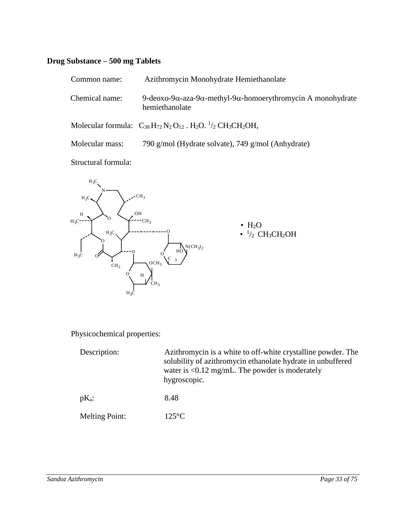# **Drug Substance – 500 mg Tablets**

| Common name:    | Azithromycin Monohydrate Hemiethanolate                                                                                        |
|-----------------|--------------------------------------------------------------------------------------------------------------------------------|
| Chemical name:  | 9-deoxo-9 $\alpha$ -aza-9 $\alpha$ -methyl-9 $\alpha$ -homoerythromycin A monohydrate<br>hemiethanolate                        |
|                 | Molecular formula: $C_{38}H_{72}N_2O_{12}$ . H <sub>2</sub> O. <sup>1</sup> / <sub>2</sub> CH <sub>3</sub> CH <sub>2</sub> OH, |
| Molecular mass: | 790 g/mol (Hydrate solvate), 749 g/mol (Anhydrate)                                                                             |

Structural formula:



Physicochemical properties:

| Description:          | Azithromycin is a white to off-white crystalline powder. The<br>solubility of azithromycin ethanolate hydrate in unbuffered<br>water is $\langle 0.12 \text{ mg/mL}$ . The powder is moderately<br>hygroscopic. |
|-----------------------|-----------------------------------------------------------------------------------------------------------------------------------------------------------------------------------------------------------------|
| $pK_a$ :              | 8.48                                                                                                                                                                                                            |
| <b>Melting Point:</b> | $125^{\circ}$ C                                                                                                                                                                                                 |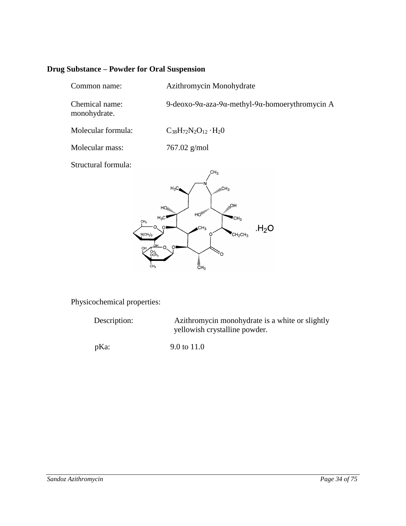# **Drug Substance – Powder for Oral Suspension**

| Common name:                                                                                                           | Azithromycin Monohydrate                                                                                                                                                                                 |  |  |  |
|------------------------------------------------------------------------------------------------------------------------|----------------------------------------------------------------------------------------------------------------------------------------------------------------------------------------------------------|--|--|--|
| Chemical name:<br>monohydrate.                                                                                         | 9-deoxo-9α-aza-9α-methyl-9α-homoerythromycin A                                                                                                                                                           |  |  |  |
| Molecular formula:                                                                                                     | $C_{38}H_{72}N_2O_{12}\cdot H_2O$                                                                                                                                                                        |  |  |  |
| Molecular mass:                                                                                                        | 767.02 g/mol                                                                                                                                                                                             |  |  |  |
| Structural formula:<br>$H_3C$<br>CH <sub>3</sub><br>O<br>$N(CH_3)_2$<br>ΩН<br>OH<br>CH <sub>3</sub><br>CH <sub>3</sub> | CH <sub>3</sub><br>$H_3C$<br>sullyCH <sub>3</sub><br>HO <sub>lini</sub><br>$HO_{\ell\ell_{\ell\ell}}$<br>HOllino,<br>'CH3<br>H <sub>2</sub> O<br>CH <sub>3</sub><br>$CH_2CH_3$<br>٠O<br>$\frac{1}{5}H_3$ |  |  |  |

Physicochemical properties:

| Description: | Azithromycin monohydrate is a white or slightly<br>yellowish crystalline powder. |  |
|--------------|----------------------------------------------------------------------------------|--|
| pKa          | 9.0 to 11.0                                                                      |  |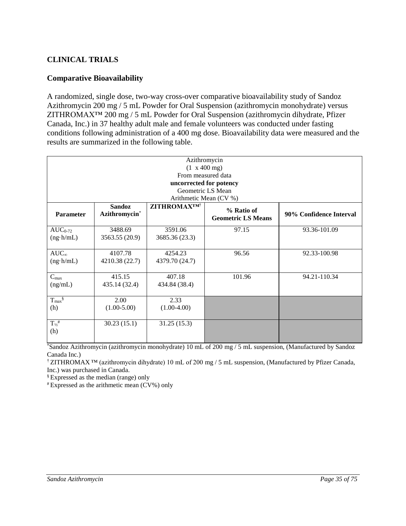## <span id="page-34-0"></span>**CLINICAL TRIALS**

### **Comparative Bioavailability**

A randomized, single dose, two-way cross-over comparative bioavailability study of Sandoz Azithromycin 200 mg / 5 mL Powder for Oral Suspension (azithromycin monohydrate) versus ZITHROMAX<sup>TM</sup> 200 mg / 5 mL Powder for Oral Suspension (azithromycin dihydrate, Pfizer Canada, Inc.) in 37 healthy adult male and female volunteers was conducted under fasting conditions following administration of a 400 mg dose. Bioavailability data were measured and the results are summarized in the following table.

| Azithromycin<br>$(1 \times 400 \text{ mg})$ |                                |                        |                                         |                         |  |
|---------------------------------------------|--------------------------------|------------------------|-----------------------------------------|-------------------------|--|
| From measured data                          |                                |                        |                                         |                         |  |
|                                             | uncorrected for potency        |                        |                                         |                         |  |
|                                             |                                |                        | Geometric LS Mean                       |                         |  |
|                                             |                                | Arithmetic Mean (CV %) |                                         |                         |  |
| <b>Parameter</b>                            | <b>Sandoz</b><br>Azithromycin* | <b>ZITHROMAXTM</b> †   | % Ratio of<br><b>Geometric LS Means</b> | 90% Confidence Interval |  |
| $AUC_{0-72}$                                | 3488.69                        | 3591.06                | 97.15                                   | 93.36-101.09            |  |
| $(ng \cdot h/mL)$                           | 3563.55 (20.9)                 | 3685.36 (23.3)         |                                         |                         |  |
|                                             |                                |                        |                                         |                         |  |
| $AUC_{\infty}$                              | 4107.78                        | 4254.23                | 96.56                                   | 92.33-100.98            |  |
| $(ng \cdot h/mL)$                           | 4210.38 (22.7)                 | 4379.70 (24.7)         |                                         |                         |  |
|                                             |                                |                        |                                         |                         |  |
| $C_{\text{max}}$                            | 415.15                         | 407.18                 | 101.96                                  | 94.21-110.34            |  |
| (ng/mL)                                     | 435.14 (32.4)                  | 434.84 (38.4)          |                                         |                         |  |
|                                             |                                |                        |                                         |                         |  |
| $T_{max}$ §                                 | 2.00                           | 2.33                   |                                         |                         |  |
| (h)                                         | $(1.00-5.00)$                  | $(1.00-4.00)$          |                                         |                         |  |
| $T_{\frac{1}{2}}$<br>(h)                    | 30.23(15.1)                    | 31.25(15.3)            |                                         |                         |  |
|                                             |                                |                        |                                         |                         |  |

\*Sandoz Azithromycin (azithromycin monohydrate) 10 mL of 200 mg / 5 mL suspension, (Manufactured by Sandoz Canada Inc.)

† ZITHROMAX ™ (azithromycin dihydrate) 10 mL of 200 mg / 5 mL suspension, (Manufactured by Pfizer Canada, Inc.) was purchased in Canada.

§ Expressed as the median (range) only

# Expressed as the arithmetic mean (CV%) only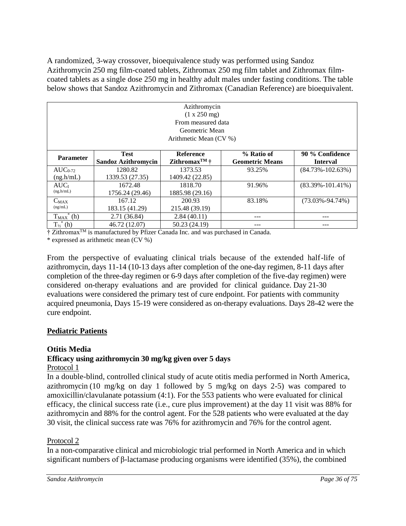A randomized, 3-way crossover, bioequivalence study was performed using Sandoz Azithromycin 250 mg film-coated tablets, Zithromax 250 mg film tablet and Zithromax filmcoated tablets as a single dose 250 mg in healthy adult males under fasting conditions. The table below shows that Sandoz Azithromycin and Zithromax (Canadian Reference) are bioequivalent.

| Azithromycin<br>(1 x 250 mg)<br>From measured data<br>Geometric Mean<br>Arithmetic Mean (CV %) |                                           |                                                |                                      |                                    |
|------------------------------------------------------------------------------------------------|-------------------------------------------|------------------------------------------------|--------------------------------------|------------------------------------|
| <b>Parameter</b>                                                                               | <b>Test</b><br><b>Sandoz Azithromycin</b> | Reference<br>Zithromax <sup>TM</sup> $\dagger$ | % Ratio of<br><b>Geometric Means</b> | 90 % Confidence<br><b>Interval</b> |
| $AUC_{0-72}$                                                                                   | 1280.82                                   | 1373.53                                        | 93.25%                               | $(84.73\% - 102.63\%)$             |
| (ng.h/mL)                                                                                      | 1339.53 (27.35)                           | 1409.42 (22.85)                                |                                      |                                    |
| AUC <sub>I</sub>                                                                               | 1672.48                                   | 1818.70                                        | 91.96%                               | $(83.39\% - 101.41\%)$             |
| (ng.h/mL)                                                                                      | 1756.24 (29.46)                           | 1885.98 (29.16)                                |                                      |                                    |
| $C_{MAX}$                                                                                      | 167.12                                    | 200.93                                         | 83.18%                               | $(73.03\% - 94.74\%)$              |
| (ng/mL)                                                                                        | 183.15 (41.29)                            | 215.48 (39.19)                                 |                                      |                                    |
| $T_{MAX}^*$ (h)                                                                                | 2.71 (36.84)                              | 2.84(40.11)                                    | ---                                  |                                    |
| $T_{1/2}$ <sup>*</sup> (h)                                                                     | 46.72 (12.07)                             | 50.23 (24.19)                                  |                                      |                                    |

† Zithromax<sup>™</sup> is manufactured by Pfizer Canada Inc. and was purchased in Canada.

\* expressed as arithmetic mean (CV %)

From the perspective of evaluating clinical trials because of the extended half-life of azithromycin, days 11-14 (10-13 days after completion of the one-day regimen, 8-11 days after completion of the three-day regimen or 6-9 days after completion of the five-day regimen) were considered on-therapy evaluations and are provided for clinical guidance. Day 21-30 evaluations were considered the primary test of cure endpoint. For patients with community acquired pneumonia, Days 15-19 were considered as on-therapy evaluations. Days 28-42 were the cure endpoint.

# **Pediatric Patients**

# **Otitis Media**

# **Efficacy using azithromycin 30 mg/kg given over 5 days**

# Protocol 1

In a double-blind, controlled clinical study of acute otitis media performed in North America, azithromycin (10 mg/kg on day 1 followed by 5 mg/kg on days 2-5) was compared to amoxicillin/clavulanate potassium (4:1). For the 553 patients who were evaluated for clinical efficacy, the clinical success rate (i.e., cure plus improvement) at the day 11 visit was 88% for azithromycin and 88% for the control agent. For the 528 patients who were evaluated at the day 30 visit, the clinical success rate was 76% for azithromycin and 76% for the control agent.

# Protocol 2

In a non-comparative clinical and microbiologic trial performed in North America and in which significant numbers of β-lactamase producing organisms were identified (35%), the combined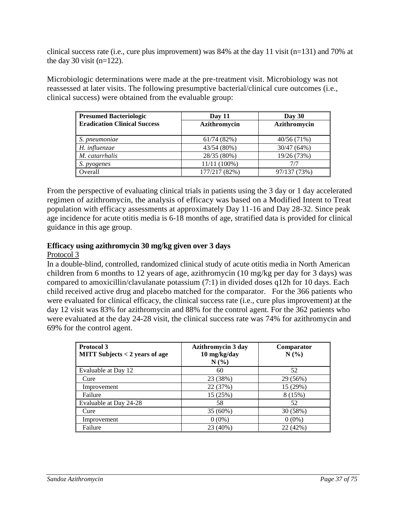clinical success rate (i.e., cure plus improvement) was 84% at the day 11 visit (n=131) and 70% at the day 30 visit  $(n=122)$ .

Microbiologic determinations were made at the pre-treatment visit. Microbiology was not reassessed at later visits. The following presumptive bacterial/clinical cure outcomes (i.e., clinical success) were obtained from the evaluable group:

| <b>Presumed Bacteriologic</b>       | Day 11        | Day 30       |
|-------------------------------------|---------------|--------------|
| <b>Eradication Clinical Success</b> | Azithromycin  | Azithromycin |
| S. pneumoniae                       | 61/74(82%)    | 40/56(71%)   |
| $H.$ influenzae                     | 43/54 (80%)   | 30/47 (64%)  |
| $M.$ catarrhalis                    | 28/35 (80%)   | 19/26 (73%)  |
| <i>S. pyogenes</i>                  | 11/11 (100%)  | 777          |
| Overall                             | 177/217 (82%) | 97/137 (73%) |

From the perspective of evaluating clinical trials in patients using the 3 day or 1 day accelerated regimen of azithromycin, the analysis of efficacy was based on a Modified Intent to Treat population with efficacy assessments at approximately Day 11-16 and Day 28-32. Since peak age incidence for acute otitis media is 6-18 months of age, stratified data is provided for clinical guidance in this age group.

## **Efficacy using azithromycin 30 mg/kg given over 3 days**

#### Protocol 3

In a double-blind, controlled, randomized clinical study of acute otitis media in North American children from 6 months to 12 years of age, azithromycin (10 mg/kg per day for 3 days) was compared to amoxicillin/clavulanate potassium (7:1) in divided doses q12h for 10 days. Each child received active drug and placebo matched for the comparator. For the 366 patients who were evaluated for clinical efficacy, the clinical success rate (i.e., cure plus improvement) at the day 12 visit was 83% for azithromycin and 88% for the control agent. For the 362 patients who were evaluated at the day 24-28 visit, the clinical success rate was 74% for azithromycin and 69% for the control agent.

| Protocol 3                                 | <b>Azithromycin 3 day</b> | Comparator |
|--------------------------------------------|---------------------------|------------|
| $\parallel$ MITT Subjects < 2 years of age | 10 mg/kg/day              | N(%)       |
|                                            | $N(\%)$                   |            |
| Evaluable at Day 12                        | 60                        | 52         |
| Cure                                       | 23 (38%)                  | 29 (56%)   |
| Improvement                                | 22 (37%)                  | 15 (29%)   |
| Failure                                    | 15 (25%)                  | 8 (15%)    |
| Evaluable at Day 24-28                     | 58                        | 52         |
| Cure                                       | 35 (60%)                  | 30 (58%)   |
| Improvement                                | $0(0\%)$                  | $0(0\%)$   |
| Failure                                    | 23 (40%)                  | 22 (42%)   |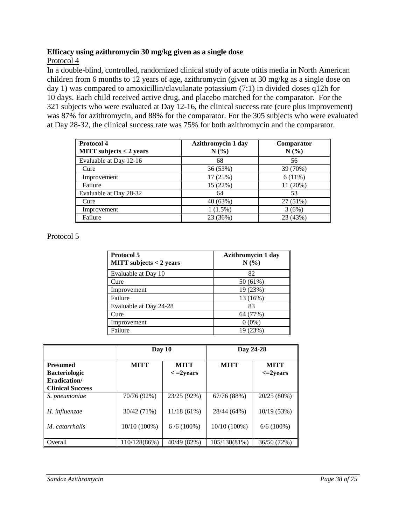## **Efficacy using azithromycin 30 mg/kg given as a single dose**

Protocol 4

In a double-blind, controlled, randomized clinical study of acute otitis media in North American children from 6 months to 12 years of age, azithromycin (given at 30 mg/kg as a single dose on day 1) was compared to amoxicillin/clavulanate potassium (7:1) in divided doses q12h for 10 days. Each child received active drug, and placebo matched for the comparator. For the 321 subjects who were evaluated at Day 12-16, the clinical success rate (cure plus improvement) was 87% for azithromycin, and 88% for the comparator. For the 305 subjects who were evaluated at Day 28-32, the clinical success rate was 75% for both azithromycin and the comparator.

| <b>Protocol 4</b><br><b>MITT</b> subjects $<$ 2 years | <b>Azithromycin 1 day</b><br>N(%) | Comparator<br>N(%) |
|-------------------------------------------------------|-----------------------------------|--------------------|
| Evaluable at Day 12-16                                | 68                                | 56                 |
| Cure                                                  | 36 (53%)                          | 39 (70%)           |
| Improvement                                           | 17 (25%)                          | 6(11%)             |
| Failure                                               | 15 (22%)                          | 11 (20%)           |
| Evaluable at Day 28-32                                | 64                                | 53                 |
| Cure                                                  | 40 (63%)                          | 27 (51%)           |
| Improvement                                           | $1(1.5\%)$                        | 3(6%)              |
| Failure                                               | 23 (36%)                          | 23 (43%)           |

# Protocol 5

| <b>Protocol 5</b><br><b>MITT</b> subjects $<$ 2 years | <b>Azithromycin 1 day</b><br>N(% |
|-------------------------------------------------------|----------------------------------|
| Evaluable at Day 10                                   | 82                               |
| Cure                                                  | 50 (61%)                         |
| Improvement                                           | 19 (23%)                         |
| Failure                                               | 13 (16%)                         |
| Evaluable at Day 24-28                                | 83                               |
| Cure                                                  | 64 (77%)                         |
| Improvement                                           | $0(0\%)$                         |
| Failure                                               | 19 (23%)                         |

|                                         | Day $10$                                        |               | Day 24-28    |                              |
|-----------------------------------------|-------------------------------------------------|---------------|--------------|------------------------------|
| <b>Presumed</b><br><b>Bacteriologic</b> | <b>MITT</b><br><b>MITT</b><br>$\langle$ =2years |               | <b>MITT</b>  | <b>MITT</b><br>$\leq$ 2years |
| Eradication/<br><b>Clinical Success</b> |                                                 |               |              |                              |
| S. pneumoniae                           | 70/76 (92%)                                     | 23/25 (92%)   | 67/76 (88%)  | 20/25(80%)                   |
| H. influenzae                           | 30/42 (71%)                                     | $11/18(61\%)$ | 28/44 (64%)  | 10/19(53%)                   |
| <i>M. catarrhalis</i>                   | $10/10(100\%)$                                  | $6/6(100\%)$  | 10/10 (100%) | $6/6(100\%)$                 |
| Overall                                 | 110/128(86%)                                    | 40/49 (82%)   | 105/130(81%) | 36/50 (72%)                  |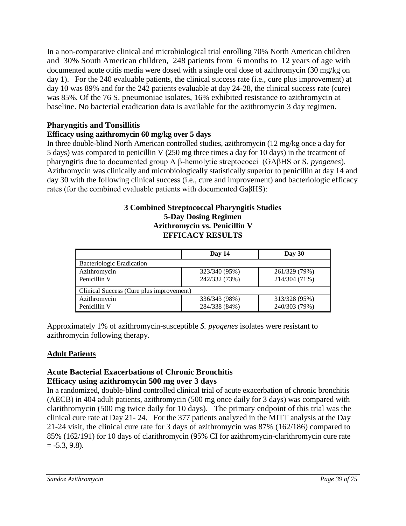In a non-comparative clinical and microbiological trial enrolling 70% North American children and 30% South American children, 248 patients from 6 months to 12 years of age with documented acute otitis media were dosed with a single oral dose of azithromycin (30 mg/kg on day 1). For the 240 evaluable patients, the clinical success rate (i.e., cure plus improvement) at day 10 was 89% and for the 242 patients evaluable at day 24-28, the clinical success rate (cure) was 85%. Of the 76 S. pneumoniae isolates, 16% exhibited resistance to azithromycin at baseline. No bacterial eradication data is available for the azithromycin 3 day regimen.

## **Pharyngitis and Tonsillitis**

## **Efficacy using azithromycin 60 mg/kg over 5 days**

In three double-blind North American controlled studies, azithromycin (12 mg/kg once a day for 5 days) was compared to penicillin V (250 mg three times a day for 10 days) in the treatment of pharyngitis due to documented group A β-hemolytic streptococci (GAβHS or S. *pyogenes*). Azithromycin was clinically and microbiologically statistically superior to penicillin at day 14 and day 30 with the following clinical success (i.e., cure and improvement) and bacteriologic efficacy rates (for the combined evaluable patients with documented GaβHS):

#### **3 Combined Streptococcal Pharyngitis Studies 5-Day Dosing Regimen Azithromycin vs. Penicillin V EFFICACY RESULTS**

|                                          | Day 14        | Day $30$      |
|------------------------------------------|---------------|---------------|
| <b>Bacteriologic Eradication</b>         |               |               |
| Azithromycin                             | 323/340 (95%) | 261/329 (79%) |
| Penicillin V                             | 242/332 (73%) | 214/304 (71%) |
| Clinical Success (Cure plus improvement) |               |               |
| Azithromycin                             | 336/343 (98%) | 313/328 (95%) |
| Penicillin V                             | 284/338 (84%) | 240/303 (79%) |

Approximately 1% of azithromycin-susceptible *S. pyogenes* isolates were resistant to azithromycin following therapy.

# **Adult Patients**

#### **Acute Bacterial Exacerbations of Chronic Bronchitis Efficacy using azithromycin 500 mg over 3 days**

In a randomized, double-blind controlled clinical trial of acute exacerbation of chronic bronchitis (AECB) in 404 adult patients, azithromycin (500 mg once daily for 3 days) was compared with clarithromycin (500 mg twice daily for 10 days). The primary endpoint of this trial was the clinical cure rate at Day 21- 24. For the 377 patients analyzed in the MITT analysis at the Day 21-24 visit, the clinical cure rate for 3 days of azithromycin was 87% (162/186) compared to 85% (162/191) for 10 days of clarithromycin (95% CI for azithromycin-clarithromycin cure rate  $= -5.3, 9.8$ ).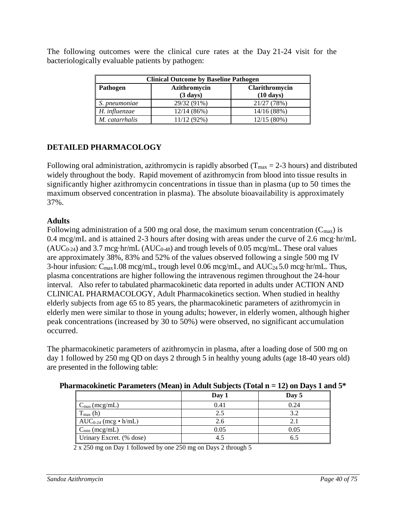| <b>Clinical Outcome by Baseline Pathogen</b>      |                    |                     |  |  |  |
|---------------------------------------------------|--------------------|---------------------|--|--|--|
| Azithromycin<br>Pathogen<br><b>Clarithromycin</b> |                    |                     |  |  |  |
|                                                   | $(3 \text{ days})$ | $(10 \text{ days})$ |  |  |  |
| S. pneumoniae                                     | 29/32 (91%)        | 21/27 (78%)         |  |  |  |
| $H.$ influenzae                                   | 12/14(86%)         | 14/16(88%)          |  |  |  |
| M. catarrhalis                                    | 11/12 (92%)        | $12/15(80\%)$       |  |  |  |

The following outcomes were the clinical cure rates at the Day 21-24 visit for the bacteriologically evaluable patients by pathogen:

# **DETAILED PHARMACOLOGY**

Following oral administration, azithromycin is rapidly absorbed ( $T_{\text{max}} = 2-3$  hours) and distributed widely throughout the body. Rapid movement of azithromycin from blood into tissue results in significantly higher azithromycin concentrations in tissue than in plasma (up to 50 times the maximum observed concentration in plasma). The absolute bioavailability is approximately 37%.

## **Adults**

Following administration of a 500 mg oral dose, the maximum serum concentration  $(C_{\text{max}})$  is 0.4 mcg/mL and is attained 2-3 hours after dosing with areas under the curve of 2.6 mcg·hr/mL  $(AUC_{0-24})$  and 3.7 mcg·hr/mL  $(AUC_{0-48})$  and trough levels of 0.05 mcg/mL. These oral values are approximately 38%, 83% and 52% of the values observed following a single 500 mg IV 3-hour infusion:  $C_{\text{max}}1.08 \text{~mcg/mL}$ , trough level 0.06 mcg/mL, and  $AUC_{24}5.0 \text{~mcg/hr/mL}$ . Thus, plasma concentrations are higher following the intravenous regimen throughout the 24-hour interval. Also refer to tabulated pharmacokinetic data reported in adults under ACTION AND CLINICAL PHARMACOLOGY, Adult Pharmacokinetics section. When studied in healthy elderly subjects from age 65 to 85 years, the pharmacokinetic parameters of azithromycin in elderly men were similar to those in young adults; however, in elderly women, although higher peak concentrations (increased by 30 to 50%) were observed, no significant accumulation occurred.

The pharmacokinetic parameters of azithromycin in plasma, after a loading dose of 500 mg on day 1 followed by 250 mg QD on days 2 through 5 in healthy young adults (age 18-40 years old) are presented in the following table:

|                           | $\frac{1}{2}$ $\frac{1}{2}$ $\frac{1}{2}$ $\frac{1}{2}$ $\frac{1}{2}$ $\frac{1}{2}$ $\frac{1}{2}$ $\frac{1}{2}$ $\frac{1}{2}$ $\frac{1}{2}$ $\frac{1}{2}$ $\frac{1}{2}$ $\frac{1}{2}$ $\frac{1}{2}$ $\frac{1}{2}$ $\frac{1}{2}$ $\frac{1}{2}$ $\frac{1}{2}$ $\frac{1}{2}$ $\frac{1}{2}$ $\frac{1}{2}$ $\frac{1}{2}$ | $\mathbf{A}$ $\mathbf{B}$ $\mathbf{C}$ $\mathbf{D}$ $\mathbf{A}$ $\mathbf{A}$ $\mathbf{A}$ $\mathbf{A}$ |
|---------------------------|---------------------------------------------------------------------------------------------------------------------------------------------------------------------------------------------------------------------------------------------------------------------------------------------------------------------|---------------------------------------------------------------------------------------------------------|
|                           | Day 1                                                                                                                                                                                                                                                                                                               | Day 5                                                                                                   |
| $C_{\text{max}}$ (mcg/mL) | 0.41                                                                                                                                                                                                                                                                                                                | 0.24                                                                                                    |
| $T_{\text{max}}$ (h)      | 2.5                                                                                                                                                                                                                                                                                                                 |                                                                                                         |
| $AUC_{0-24}$ (mcg • h/mL) | 2.6                                                                                                                                                                                                                                                                                                                 |                                                                                                         |
| $C_{\text{min}}$ (mcg/mL) | 0.05                                                                                                                                                                                                                                                                                                                | 0.05                                                                                                    |
| Urinary Excret. (% dose)  |                                                                                                                                                                                                                                                                                                                     | 6.5                                                                                                     |
|                           |                                                                                                                                                                                                                                                                                                                     |                                                                                                         |

#### **Pharmacokinetic Parameters (Mean) in Adult Subjects (Total n = 12) on Days 1 and 5\***

2 x 250 mg on Day 1 followed by one 250 mg on Days 2 through 5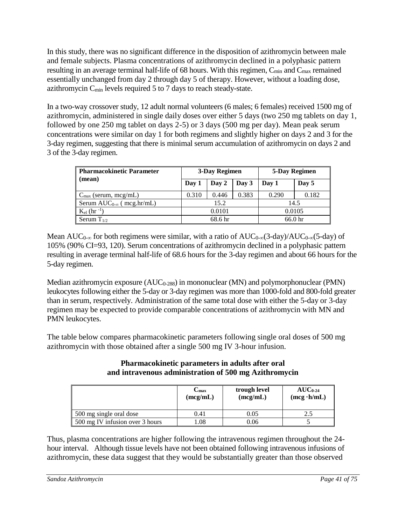In this study, there was no significant difference in the disposition of azithromycin between male and female subjects. Plasma concentrations of azithromycin declined in a polyphasic pattern resulting in an average terminal half-life of 68 hours. With this regimen, C<sub>min</sub> and C<sub>max</sub> remained essentially unchanged from day 2 through day 5 of therapy. However, without a loading dose, azithromycin  $C_{\text{min}}$  levels required 5 to 7 days to reach steady-state.

In a two-way crossover study, 12 adult normal volunteers (6 males; 6 females) received 1500 mg of azithromycin, administered in single daily doses over either 5 days (two 250 mg tablets on day 1, followed by one 250 mg tablet on days 2-5) or 3 days (500 mg per day). Mean peak serum concentrations were similar on day 1 for both regimens and slightly higher on days 2 and 3 for the 3-day regimen, suggesting that there is minimal serum accumulation of azithromycin on days 2 and 3 of the 3-day regimen.

| <b>Pharmacokinetic Parameter</b>   | 3-Day Regimen  |       |        | 5-Day Regimen |       |
|------------------------------------|----------------|-------|--------|---------------|-------|
| (mean)                             | Day 2<br>Day 1 |       | Day 3  | Day 1         | Day 5 |
| $C_{\text{max}}$ (serum, mcg/mL)   | 0.310          | 0.446 | 0.383  | 0.290         | 0.182 |
| Serum $AUC_{0-\infty}$ (mcg.hr/mL) | 15.2           |       |        | 14.5          |       |
| $K_{el}$ (hr <sup>-1</sup> )       | 0.0101         |       | 0.0105 |               |       |
| Serum $T_{1/2}$                    | 68.6 hr        |       |        | 66.0 hr       |       |

Mean AUC<sub>0-∞</sub> for both regimens were similar, with a ratio of AUC<sub>0-∞</sub>(3-day)/AUC<sub>0-∞</sub>(5-day) of 105% (90% CI=93, 120). Serum concentrations of azithromycin declined in a polyphasic pattern resulting in average terminal half-life of 68.6 hours for the 3-day regimen and about 66 hours for the 5-day regimen.

Median azithromycin exposure  $(AUC_{0-288})$  in mononuclear  $(MN)$  and polymorphonuclear  $(PMN)$ leukocytes following either the 5-day or 3-day regimen was more than 1000-fold and 800-fold greater than in serum, respectively. Administration of the same total dose with either the 5-day or 3-day regimen may be expected to provide comparable concentrations of azithromycin with MN and PMN leukocytes.

The table below compares pharmacokinetic parameters following single oral doses of 500 mg azithromycin with those obtained after a single 500 mg IV 3-hour infusion.

## **Pharmacokinetic parameters in adults after oral and intravenous administration of 500 mg Azithromycin**

|                                 | Umax<br>(mcg/mL) | trough level<br>(mcg/mL) | $AUC_{0.24}$<br>$(mcg \cdot h/mL)$ |
|---------------------------------|------------------|--------------------------|------------------------------------|
| 500 mg single oral dose         | 0.41             | 0.05                     |                                    |
| 500 mg IV infusion over 3 hours | .08              | 0.06                     |                                    |

Thus, plasma concentrations are higher following the intravenous regimen throughout the 24 hour interval. Although tissue levels have not been obtained following intravenous infusions of azithromycin, these data suggest that they would be substantially greater than those observed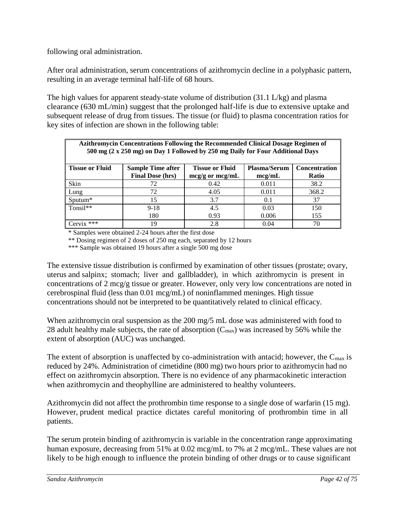following oral administration.

After oral administration, serum concentrations of azithromycin decline in a polyphasic pattern, resulting in an average terminal half-life of 68 hours.

The high values for apparent steady-state volume of distribution (31.1 L/kg) and plasma clearance (630 mL/min) suggest that the prolonged half-life is due to extensive uptake and subsequent release of drug from tissues. The tissue (or fluid) to plasma concentration ratios for key sites of infection are shown in the following table:

| Azithromycin Concentrations Following the Recommended Clinical Dosage Regimen of<br>500 mg (2 x 250 mg) on Day 1 Followed by 250 mg Daily for Four Additional Days |                                                     |                                               |                               |                                      |  |  |  |
|--------------------------------------------------------------------------------------------------------------------------------------------------------------------|-----------------------------------------------------|-----------------------------------------------|-------------------------------|--------------------------------------|--|--|--|
| <b>Tissue or Fluid</b>                                                                                                                                             | <b>Sample Time after</b><br><b>Final Dose (hrs)</b> | <b>Tissue or Fluid</b><br>$mcg/g$ or $mcg/mL$ | <b>Plasma/Serum</b><br>mcg/mL | <b>Concentration</b><br><b>Ratio</b> |  |  |  |
| Skin                                                                                                                                                               | 72                                                  | 0.42                                          | 0.011                         | 38.2                                 |  |  |  |
| Lung                                                                                                                                                               | 72                                                  | 4.05                                          | 0.011                         | 368.2                                |  |  |  |
| $S$ putum $*$                                                                                                                                                      | 15                                                  | 3.7                                           | 0.1                           | 37                                   |  |  |  |
| $T$ onsil**                                                                                                                                                        | $9 - 18$                                            | 4.5                                           | 0.03                          | 150                                  |  |  |  |
|                                                                                                                                                                    | 180                                                 | 0.93                                          | 0.006                         | 155                                  |  |  |  |
| ***<br>Cervix                                                                                                                                                      | 19                                                  | 2.8                                           | 0.04                          | 70                                   |  |  |  |

\* Samples were obtained 2-24 hours after the first dose

\*\* Dosing regimen of 2 doses of 250 mg each, separated by 12 hours

\*\*\* Sample was obtained 19 hours after a single 500 mg dose

The extensive tissue distribution is confirmed by examination of other tissues (prostate; ovary, uterus and salpinx; stomach; liver and gallbladder), in which azithromycin is present in concentrations of 2 mcg/g tissue or greater. However, only very low concentrations are noted in cerebrospinal fluid (less than 0.01 mcg/mL) of noninflammed meninges. High tissue concentrations should not be interpreted to be quantitatively related to clinical efficacy.

When azithromycin oral suspension as the 200 mg/5 mL dose was administered with food to 28 adult healthy male subjects, the rate of absorption  $(C_{\text{max}})$  was increased by 56% while the extent of absorption (AUC) was unchanged.

The extent of absorption is unaffected by co-administration with antacid; however, the  $C_{\text{max}}$  is reduced by 24%. Administration of cimetidine (800 mg) two hours prior to azithromycin had no effect on azithromycin absorption. There is no evidence of any pharmacokinetic interaction when azithromycin and theophylline are administered to healthy volunteers.

Azithromycin did not affect the prothrombin time response to a single dose of warfarin (15 mg). However, prudent medical practice dictates careful monitoring of prothrombin time in all patients.

The serum protein binding of azithromycin is variable in the concentration range approximating human exposure, decreasing from 51% at 0.02 mcg/mL to 7% at 2 mcg/mL. These values are not likely to be high enough to influence the protein binding of other drugs or to cause significant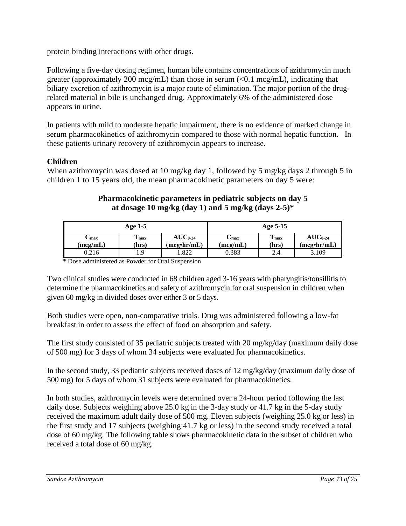protein binding interactions with other drugs.

Following a five-day dosing regimen, human bile contains concentrations of azithromycin much greater (approximately 200 mcg/mL) than those in serum (<0.1 mcg/mL), indicating that biliary excretion of azithromycin is a major route of elimination. The major portion of the drugrelated material in bile is unchanged drug. Approximately 6% of the administered dose appears in urine.

In patients with mild to moderate hepatic impairment, there is no evidence of marked change in serum pharmacokinetics of azithromycin compared to those with normal hepatic function. In these patients urinary recovery of azithromycin appears to increase.

# **Children**

When azithromycin was dosed at 10 mg/kg day 1, followed by 5 mg/kg days 2 through 5 in children 1 to 15 years old, the mean pharmacokinetic parameters on day 5 were:

## **Pharmacokinetic parameters in pediatric subjects on day 5 at dosage 10 mg/kg (day 1) and 5 mg/kg (days 2-5)\***

|                  | Age $1-5$                 |                                          |                  | Age 5-15                  |                             |
|------------------|---------------------------|------------------------------------------|------------------|---------------------------|-----------------------------|
| ∪max<br>(mcg/mL) | T <sub>max</sub><br>(hrs) | $AUC_{0.24}$<br>(meg <sup>•</sup> hr/mL) | ∪max<br>(mcg/mL) | T <sub>max</sub><br>(hrs) | $AUC_{0-24}$<br>(mcg•hr/mL) |
| 0.216            | 1.9                       | 1.822                                    | 0.383            | 2.4                       | 3.109                       |

\* Dose administered as Powder for Oral Suspension

Two clinical studies were conducted in 68 children aged 3-16 years with pharyngitis/tonsillitis to determine the pharmacokinetics and safety of azithromycin for oral suspension in children when given 60 mg/kg in divided doses over either 3 or 5 days.

Both studies were open, non-comparative trials. Drug was administered following a low-fat breakfast in order to assess the effect of food on absorption and safety.

The first study consisted of 35 pediatric subjects treated with 20 mg/kg/day (maximum daily dose of 500 mg) for 3 days of whom 34 subjects were evaluated for pharmacokinetics.

In the second study, 33 pediatric subjects received doses of 12 mg/kg/day (maximum daily dose of 500 mg) for 5 days of whom 31 subjects were evaluated for pharmacokinetics.

In both studies, azithromycin levels were determined over a 24-hour period following the last daily dose. Subjects weighing above 25.0 kg in the 3-day study or 41.7 kg in the 5-day study received the maximum adult daily dose of 500 mg. Eleven subjects (weighing 25.0 kg or less) in the first study and 17 subjects (weighing 41.7 kg or less) in the second study received a total dose of 60 mg/kg. The following table shows pharmacokinetic data in the subset of children who received a total dose of 60 mg/kg.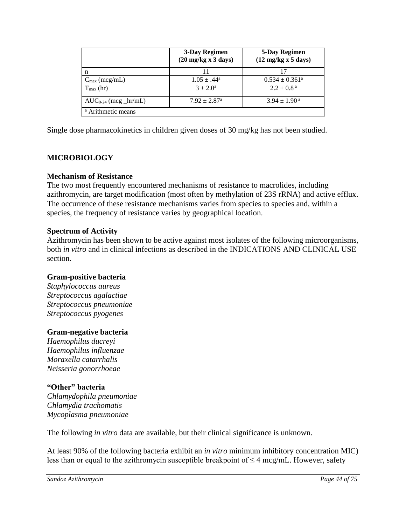|                               | 3-Day Regimen<br>$(20 \text{ mg/kg x } 3 \text{ days})$ | 5-Day Regimen<br>$(12 \text{ mg/kg} \times 5 \text{ days})$ |  |  |  |  |  |
|-------------------------------|---------------------------------------------------------|-------------------------------------------------------------|--|--|--|--|--|
|                               | 11                                                      | 17                                                          |  |  |  |  |  |
| $C_{\text{max}}$ (mcg/mL)     | $1.05 \pm .44^{\rm a}$                                  | $0.534 \pm 0.361^a$                                         |  |  |  |  |  |
| $T_{\text{max}}$ (hr)         | $3 + 2.0^{\circ}$                                       | $2.2 \pm 0.8^{\text{a}}$                                    |  |  |  |  |  |
| $AUC_{0-24}$ (mcg _hr/mL)     | $7.92 \pm 2.87$ <sup>a</sup>                            | $3.94 \pm 1.90^{\text{ a}}$                                 |  |  |  |  |  |
| <sup>a</sup> Arithmetic means |                                                         |                                                             |  |  |  |  |  |

Single dose pharmacokinetics in children given doses of 30 mg/kg has not been studied.

# **MICROBIOLOGY**

## **Mechanism of Resistance**

The two most frequently encountered mechanisms of resistance to macrolides, including azithromycin, are target modification (most often by methylation of 23S rRNA) and active efflux. The occurrence of these resistance mechanisms varies from species to species and, within a species, the frequency of resistance varies by geographical location.

## **Spectrum of Activity**

Azithromycin has been shown to be active against most isolates of the following microorganisms, both *in vitro* and in clinical infections as described in the INDICATIONS AND CLINICAL USE section.

# **Gram-positive bacteria**

*Staphylococcus aureus Streptococcus agalactiae Streptococcus pneumoniae Streptococcus pyogenes*

# **Gram-negative bacteria**

*Haemophilus ducreyi Haemophilus influenzae Moraxella catarrhalis Neisseria gonorrhoeae*

# **"Other" bacteria**

*Chlamydophila pneumoniae Chlamydia trachomatis Mycoplasma pneumoniae*

The following *in vitro* data are available, but their clinical significance is unknown.

At least 90% of the following bacteria exhibit an *in vitro* minimum inhibitory concentration MIC) less than or equal to the azithromycin susceptible breakpoint of  $\leq$  4 mcg/mL. However, safety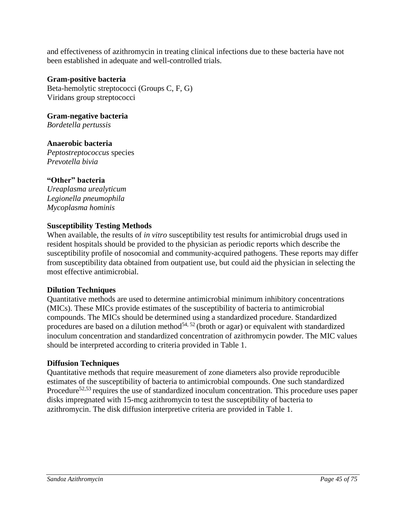and effectiveness of azithromycin in treating clinical infections due to these bacteria have not been established in adequate and well-controlled trials.

#### **Gram-positive bacteria**

Beta-hemolytic streptococci (Groups C, F, G) Viridans group streptococci

**Gram-negative bacteria** *Bordetella pertussis*

**Anaerobic bacteria** *Peptostreptococcus* species *Prevotella bivia*

## **"Other" bacteria**

*Ureaplasma urealyticum Legionella pneumophila Mycoplasma hominis*

#### **Susceptibility Testing Methods**

When available, the results of *in vitro* susceptibility test results for antimicrobial drugs used in resident hospitals should be provided to the physician as periodic reports which describe the susceptibility profile of nosocomial and community-acquired pathogens. These reports may differ from susceptibility data obtained from outpatient use, but could aid the physician in selecting the most effective antimicrobial.

## **Dilution Techniques**

Quantitative methods are used to determine antimicrobial minimum inhibitory concentrations (MICs). These MICs provide estimates of the susceptibility of bacteria to antimicrobial compounds. The MICs should be determined using a standardized procedure. Standardized procedures are based on a dilution method<sup>54, 52</sup> (broth or agar) or equivalent with standardized inoculum concentration and standardized concentration of azithromycin powder. The MIC values should be interpreted according to criteria provided in Table 1.

## **Diffusion Techniques**

Quantitative methods that require measurement of zone diameters also provide reproducible estimates of the susceptibility of bacteria to antimicrobial compounds. One such standardized Procedure<sup>52,53</sup> requires the use of standardized inoculum concentration. This procedure uses paper disks impregnated with 15-mcg azithromycin to test the susceptibility of bacteria to azithromycin. The disk diffusion interpretive criteria are provided in Table 1.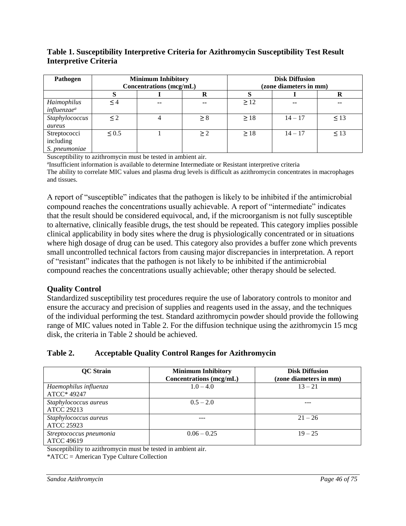## **Table 1. Susceptibility Interpretive Criteria for Azithromycin Susceptibility Test Result Interpretive Criteria**

| Pathogen                                     | <b>Minimum Inhibitory</b><br>Concentrations (mcg/mL) |       |          | <b>Disk Diffusion</b><br>(zone diameters in mm) |           |           |
|----------------------------------------------|------------------------------------------------------|-------|----------|-------------------------------------------------|-----------|-----------|
|                                              | S                                                    |       |          |                                                 |           |           |
| Haimophilus<br><i>influenzae<sup>a</sup></i> | $\leq 4$                                             | $- -$ | $-$      | $\geq$ 12                                       | $- -$     | --        |
| Staphylococcus<br>aureus                     | $\leq$ 2                                             |       | > 8      | >18                                             | $14 - 17$ | $\leq$ 13 |
| Streptococci<br>including<br>S. pneumoniae   | < 0.5                                                |       | $\geq$ 2 | >18                                             | $14 - 17$ | $\leq$ 13 |

Susceptibility to azithromycin must be tested in ambient air.

<sup>a</sup>Insufficient information is available to determine Intermediate or Resistant interpretive criteria The ability to correlate MIC values and plasma drug levels is difficult as azithromycin concentrates in macrophages and tissues.

A report of "susceptible" indicates that the pathogen is likely to be inhibited if the antimicrobial compound reaches the concentrations usually achievable. A report of "intermediate" indicates that the result should be considered equivocal, and, if the microorganism is not fully susceptible to alternative, clinically feasible drugs, the test should be repeated. This category implies possible clinical applicability in body sites where the drug is physiologically concentrated or in situations where high dosage of drug can be used. This category also provides a buffer zone which prevents small uncontrolled technical factors from causing major discrepancies in interpretation. A report of "resistant" indicates that the pathogen is not likely to be inhibited if the antimicrobial compound reaches the concentrations usually achievable; other therapy should be selected.

# **Quality Control**

Standardized susceptibility test procedures require the use of laboratory controls to monitor and ensure the accuracy and precision of supplies and reagents used in the assay, and the techniques of the individual performing the test. Standard azithromycin powder should provide the following range of MIC values noted in Table 2. For the diffusion technique using the azithromycin 15 mcg disk, the criteria in Table 2 should be achieved.

# **Table 2. Acceptable Quality Control Ranges for Azithromycin**

| <b>QC</b> Strain                             | <b>Minimum Inhibitory</b><br>Concentrations (mcg/mL) | <b>Disk Diffusion</b><br>(zone diameters in mm) |
|----------------------------------------------|------------------------------------------------------|-------------------------------------------------|
| Haemophilus influenza<br>ATCC* 49247         | $1.0 - 4.0$                                          | $13 - 21$                                       |
| Staphylococcus aureus<br><b>ATCC 29213</b>   | $0.5 - 2.0$                                          |                                                 |
| Staphylococcus aureus<br><b>ATCC 25923</b>   |                                                      | $21 - 26$                                       |
| Streptococcus pneumonia<br><b>ATCC 49619</b> | $0.06 - 0.25$                                        | $19 - 25$                                       |

Susceptibility to azithromycin must be tested in ambient air.

\*ATCC = American Type Culture Collection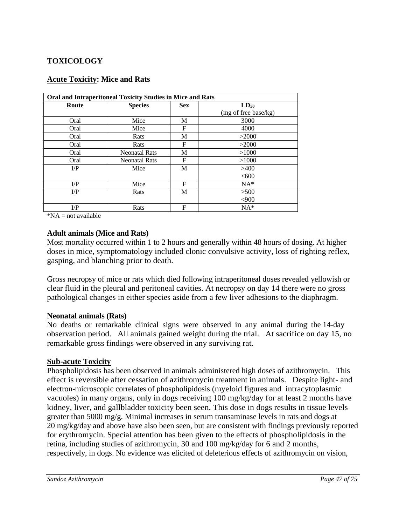# **TOXICOLOGY**

| <b>Acute Toxicity: Mice and Rats</b> |  |
|--------------------------------------|--|
|                                      |  |

| Oral and Intraperitoneal Toxicity Studies in Mice and Rats |                      |            |                      |  |  |  |  |
|------------------------------------------------------------|----------------------|------------|----------------------|--|--|--|--|
| Route                                                      | <b>Species</b>       | <b>Sex</b> | $LD_{50}$            |  |  |  |  |
|                                                            |                      |            | (mg of free base/kg) |  |  |  |  |
| Oral                                                       | Mice                 | М          | 3000                 |  |  |  |  |
| Oral                                                       | Mice                 | F          | 4000                 |  |  |  |  |
| Oral                                                       | Rats                 | М          | >2000                |  |  |  |  |
| Oral                                                       | Rats                 | F          | >2000                |  |  |  |  |
| Oral                                                       | <b>Neonatal Rats</b> | М          | >1000                |  |  |  |  |
| Oral                                                       | <b>Neonatal Rats</b> | F          | >1000                |  |  |  |  |
| $_{\rm I/P}$                                               | Mice                 | M          | >400                 |  |  |  |  |
|                                                            |                      |            | < 600                |  |  |  |  |
| $_{\rm I/P}$                                               | Mice                 | F          | $NA*$                |  |  |  |  |
| $_{\rm I/P}$                                               | Rats                 | М          | >500                 |  |  |  |  |
|                                                            |                      |            | <,900                |  |  |  |  |
| $_{\rm I/P}$                                               | Rats                 | F          | $NA*$                |  |  |  |  |

 $*NA = not available$ 

#### **Adult animals (Mice and Rats)**

Most mortality occurred within 1 to 2 hours and generally within 48 hours of dosing. At higher doses in mice, symptomatology included clonic convulsive activity, loss of righting reflex, gasping, and blanching prior to death.

Gross necropsy of mice or rats which died following intraperitoneal doses revealed yellowish or clear fluid in the pleural and peritoneal cavities. At necropsy on day 14 there were no gross pathological changes in either species aside from a few liver adhesions to the diaphragm.

#### **Neonatal animals (Rats)**

No deaths or remarkable clinical signs were observed in any animal during the 14-day observation period. All animals gained weight during the trial. At sacrifice on day 15, no remarkable gross findings were observed in any surviving rat.

## **Sub-acute Toxicity**

Phospholipidosis has been observed in animals administered high doses of azithromycin. This effect is reversible after cessation of azithromycin treatment in animals. Despite light- and electron-microscopic correlates of phospholipidosis (myeloid figures and intracytoplasmic vacuoles) in many organs, only in dogs receiving 100 mg/kg/day for at least 2 months have kidney, liver, and gallbladder toxicity been seen. This dose in dogs results in tissue levels greater than 5000 mg/g. Minimal increases in serum transaminase levels in rats and dogs at 20 mg/kg/day and above have also been seen, but are consistent with findings previously reported for erythromycin. Special attention has been given to the effects of phospholipidosis in the retina, including studies of azithromycin, 30 and 100 mg/kg/day for 6 and 2 months, respectively, in dogs. No evidence was elicited of deleterious effects of azithromycin on vision,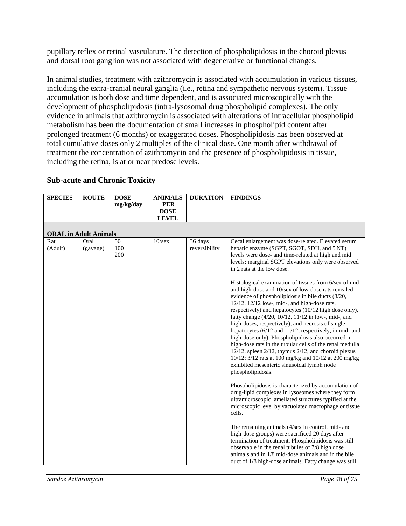pupillary reflex or retinal vasculature. The detection of phospholipidosis in the choroid plexus and dorsal root ganglion was not associated with degenerative or functional changes.

In animal studies, treatment with azithromycin is associated with accumulation in various tissues, including the extra-cranial neural ganglia (i.e., retina and sympathetic nervous system). Tissue accumulation is both dose and time dependent, and is associated microscopically with the development of phospholipidosis (intra-lysosomal drug phospholipid complexes). The only evidence in animals that azithromycin is associated with alterations of intracellular phospholipid metabolism has been the documentation of small increases in phospholipid content after prolonged treatment (6 months) or exaggerated doses. Phospholipidosis has been observed at total cumulative doses only 2 multiples of the clinical dose. One month after withdrawal of treatment the concentration of azithromycin and the presence of phospholipidosis in tissue, including the retina, is at or near predose levels.

| <b>SPECIES</b>               | <b>ROUTE</b>     | <b>DOSE</b>      | <b>ANIMALS</b> | <b>DURATION</b>                | <b>FINDINGS</b>                                                                                                                                                                                                                                                                                                                                                                                                                                                                                                                                                                                                                                                                                                                                                                                                                                                                                                                                                                                                                                                                                                                                                                                                                                                                                                                                                                                                                                                                                                                                                                       |  |  |  |  |
|------------------------------|------------------|------------------|----------------|--------------------------------|---------------------------------------------------------------------------------------------------------------------------------------------------------------------------------------------------------------------------------------------------------------------------------------------------------------------------------------------------------------------------------------------------------------------------------------------------------------------------------------------------------------------------------------------------------------------------------------------------------------------------------------------------------------------------------------------------------------------------------------------------------------------------------------------------------------------------------------------------------------------------------------------------------------------------------------------------------------------------------------------------------------------------------------------------------------------------------------------------------------------------------------------------------------------------------------------------------------------------------------------------------------------------------------------------------------------------------------------------------------------------------------------------------------------------------------------------------------------------------------------------------------------------------------------------------------------------------------|--|--|--|--|
|                              |                  | mg/kg/day        | <b>PER</b>     |                                |                                                                                                                                                                                                                                                                                                                                                                                                                                                                                                                                                                                                                                                                                                                                                                                                                                                                                                                                                                                                                                                                                                                                                                                                                                                                                                                                                                                                                                                                                                                                                                                       |  |  |  |  |
|                              |                  |                  | <b>DOSE</b>    |                                |                                                                                                                                                                                                                                                                                                                                                                                                                                                                                                                                                                                                                                                                                                                                                                                                                                                                                                                                                                                                                                                                                                                                                                                                                                                                                                                                                                                                                                                                                                                                                                                       |  |  |  |  |
|                              |                  |                  | <b>LEVEL</b>   |                                |                                                                                                                                                                                                                                                                                                                                                                                                                                                                                                                                                                                                                                                                                                                                                                                                                                                                                                                                                                                                                                                                                                                                                                                                                                                                                                                                                                                                                                                                                                                                                                                       |  |  |  |  |
| <b>ORAL in Adult Animals</b> |                  |                  |                |                                |                                                                                                                                                                                                                                                                                                                                                                                                                                                                                                                                                                                                                                                                                                                                                                                                                                                                                                                                                                                                                                                                                                                                                                                                                                                                                                                                                                                                                                                                                                                                                                                       |  |  |  |  |
| Rat<br>(Adult)               | Oral<br>(gavage) | 50<br>100<br>200 | $10$ /sex      | $36$ days $+$<br>reversibility | Cecal enlargement was dose-related. Elevated serum<br>hepatic enzyme (SGPT, SGOT, SDH, and 5'NT)<br>levels were dose- and time-related at high and mid<br>levels; marginal SGPT elevations only were observed<br>in 2 rats at the low dose.<br>Histological examination of tissues from 6/sex of mid-<br>and high-dose and 10/sex of low-dose rats revealed<br>evidence of phospholipidosis in bile ducts (8/20,<br>$12/12$ , $12/12$ low-, mid-, and high-dose rats,<br>respectively) and hepatocytes (10/12 high dose only),<br>fatty change (4/20, 10/12, 11/12 in low-, mid-, and<br>high-doses, respectively), and necrosis of single<br>hepatocytes (6/12 and 11/12, respectively, in mid- and<br>high-dose only). Phospholipidosis also occurred in<br>high-dose rats in the tubular cells of the renal medulla<br>12/12, spleen 2/12, thymus 2/12, and choroid plexus<br>10/12; 3/12 rats at 100 mg/kg and 10/12 at 200 mg/kg<br>exhibited mesenteric sinusoidal lymph node<br>phospholipidosis.<br>Phospholipidosis is characterized by accumulation of<br>drug-lipid complexes in lysosomes where they form<br>ultramicroscopic lamellated structures typified at the<br>microscopic level by vacuolated macrophage or tissue<br>cells.<br>The remaining animals (4/sex in control, mid- and<br>high-dose groups) were sacrificed 20 days after<br>termination of treatment. Phospholipidosis was still<br>observable in the renal tubules of 7/8 high dose<br>animals and in 1/8 mid-dose animals and in the bile<br>duct of 1/8 high-dose animals. Fatty change was still |  |  |  |  |

# **Sub-acute and Chronic Toxicity**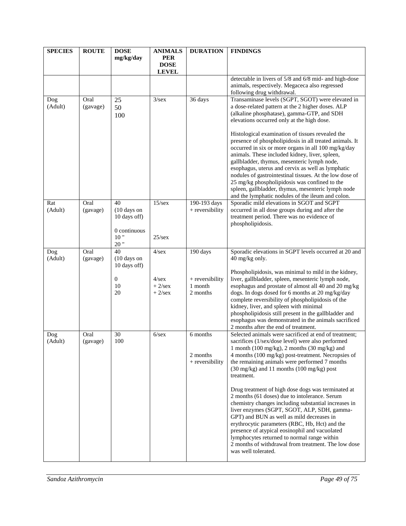| <b>SPECIES</b> | <b>ROUTE</b>     | <b>DOSE</b><br>mg/kg/day                                                       | <b>ANIMALS</b><br><b>PER</b><br><b>DOSE</b><br><b>LEVEL</b> | <b>DURATION</b>                                    | <b>FINDINGS</b>                                                                                                                                                                                                                                                                                                                                                                                                                                                                                                                                                                                                                                                                                                                                                                                                          |
|----------------|------------------|--------------------------------------------------------------------------------|-------------------------------------------------------------|----------------------------------------------------|--------------------------------------------------------------------------------------------------------------------------------------------------------------------------------------------------------------------------------------------------------------------------------------------------------------------------------------------------------------------------------------------------------------------------------------------------------------------------------------------------------------------------------------------------------------------------------------------------------------------------------------------------------------------------------------------------------------------------------------------------------------------------------------------------------------------------|
|                |                  |                                                                                |                                                             |                                                    | detectable in livers of 5/8 and 6/8 mid- and high-dose<br>animals, respectively. Megaceca also regressed<br>following drug withdrawal.                                                                                                                                                                                                                                                                                                                                                                                                                                                                                                                                                                                                                                                                                   |
| Dog<br>(Adult) | Oral<br>(gavage) | 25<br>50<br>100                                                                | 3/sec                                                       | 36 days                                            | Transaminase levels (SGPT, SGOT) were elevated in<br>a dose-related pattern at the 2 higher doses. ALP<br>(alkaline phosphatase), gamma-GTP, and SDH<br>elevations occurred only at the high dose.<br>Histological examination of tissues revealed the<br>presence of phospholipidosis in all treated animals. It<br>occurred in six or more organs in all 100 mg/kg/day<br>animals. These included kidney, liver, spleen,<br>gallbladder, thymus, mesenteric lymph node,<br>esophagus, uterus and cervix as well as lymphatic<br>nodules of gastrointestinal tissues. At the low dose of<br>25 mg/kg phospholipidosis was confined to the<br>spleen, gallbladder, thymus, mesenteric lymph node<br>and the lymphatic nodules of the ileum and colon.                                                                    |
| Rat<br>(Adult) | Oral<br>(gavage) | 40<br>(10 days on<br>10 days off)<br>0 continuous<br>10"<br>20"                | 15/sec<br>$25/\text{sex}$                                   | 190-193 days<br>+ reversibility                    | Sporadic mild elevations in SGOT and SGPT<br>occurred in all dose groups during and after the<br>treatment period. There was no evidence of<br>phospholipidosis.                                                                                                                                                                                                                                                                                                                                                                                                                                                                                                                                                                                                                                                         |
| Dog<br>(Adult) | Oral<br>(gavage) | $\overline{40}$<br>(10 days on<br>10 days off)<br>$\boldsymbol{0}$<br>10<br>20 | $4$ /sex<br>$4$ /sex<br>$+2$ /sex<br>$+2$ /sex              | 190 days<br>+ reversibility<br>1 month<br>2 months | Sporadic elevations in SGPT levels occurred at 20 and<br>40 mg/kg only.<br>Phospholipidosis, was minimal to mild in the kidney,<br>liver, gallbladder, spleen, mesenteric lymph node,<br>esophagus and prostate of almost all 40 and 20 mg/kg<br>dogs. In dogs dosed for 6 months at 20 mg/kg/day<br>complete reversibility of phospholipidosis of the<br>kidney, liver, and spleen with minimal<br>phospholipidosis still present in the gallbladder and<br>esophagus was demonstrated in the animals sacrificed<br>2 months after the end of treatment.                                                                                                                                                                                                                                                                |
| Dog<br>(Adult) | Oral<br>(gavage) | 30<br>100                                                                      | $6$ /sex                                                    | 6 months<br>2 months<br>+ reversibility            | Selected animals were sacrificed at end of treatment;<br>sacrifices (1/sex/dose level) were also performed<br>1 month (100 mg/kg), 2 months (30 mg/kg) and<br>4 months (100 mg/kg) post-treatment. Necropsies of<br>the remaining animals were performed 7 months<br>(30 mg/kg) and 11 months (100 mg/kg) post<br>treatment.<br>Drug treatment of high dose dogs was terminated at<br>2 months (61 doses) due to intolerance. Serum<br>chemistry changes including substantial increases in<br>liver enzymes (SGPT, SGOT, ALP, SDH, gamma-<br>GPT) and BUN as well as mild decreases in<br>erythrocytic parameters (RBC, Hb, Hct) and the<br>presence of atypical eosinophil and vacuolated<br>lymphocytes returned to normal range within<br>2 months of withdrawal from treatment. The low dose<br>was well tolerated. |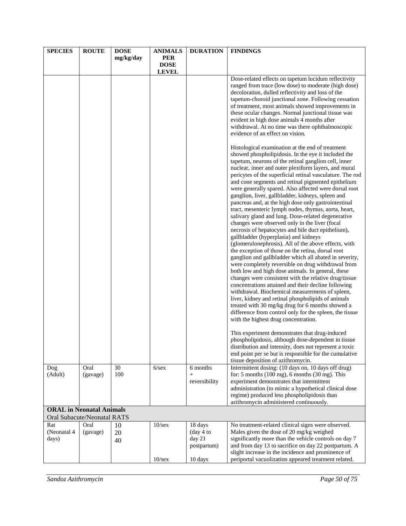| <b>SPECIES</b>                  | <b>ROUTE</b> | <b>DOSE</b> | <b>ANIMALS</b> | <b>DURATION</b>       | <b>FINDINGS</b>                                                                                                                                                                                                                                                                                                                                                                                                                                                                                                                                                                                                                                                                                                                                                                                                                                                                                                                                                                                                                                                                                                                                       |
|---------------------------------|--------------|-------------|----------------|-----------------------|-------------------------------------------------------------------------------------------------------------------------------------------------------------------------------------------------------------------------------------------------------------------------------------------------------------------------------------------------------------------------------------------------------------------------------------------------------------------------------------------------------------------------------------------------------------------------------------------------------------------------------------------------------------------------------------------------------------------------------------------------------------------------------------------------------------------------------------------------------------------------------------------------------------------------------------------------------------------------------------------------------------------------------------------------------------------------------------------------------------------------------------------------------|
|                                 |              | mg/kg/day   | <b>PER</b>     |                       |                                                                                                                                                                                                                                                                                                                                                                                                                                                                                                                                                                                                                                                                                                                                                                                                                                                                                                                                                                                                                                                                                                                                                       |
|                                 |              |             | <b>DOSE</b>    |                       |                                                                                                                                                                                                                                                                                                                                                                                                                                                                                                                                                                                                                                                                                                                                                                                                                                                                                                                                                                                                                                                                                                                                                       |
|                                 |              |             | <b>LEVEL</b>   |                       | Dose-related effects on tapetum lucidum reflectivity<br>ranged from trace (low dose) to moderate (high dose)<br>decoloration, dulled reflectivity and loss of the<br>tapetum-choroid junctional zone. Following cessation<br>of treatment, most animals showed improvements in<br>these ocular changes. Normal junctional tissue was<br>evident in high dose animals 4 months after<br>withdrawal. At no time was there ophthalmoscopic<br>evidence of an effect on vision.<br>Histological examination at the end of treatment<br>showed phospholipidosis. In the eye it included the<br>tapetum, neurons of the retinal ganglion cell, inner<br>nuclear, inner and outer plexiform layers, and mural<br>pericytes of the superficial retinal vasculature. The rod<br>and cone segments and retinal pigmented epithelium                                                                                                                                                                                                                                                                                                                             |
|                                 |              |             |                |                       | were generally spared. Also affected were dorsal root<br>ganglion, liver, gallbladder, kidneys, spleen and<br>pancreas and, at the high dose only gastrointestinal<br>tract, mesenteric lymph nodes, thymus, aorta, heart,<br>salivary gland and lung. Dose-related degenerative<br>changes were observed only in the liver (focal<br>necrosis of hepatocytes and bile duct epithelium),<br>gallbladder (hyperplasia) and kidneys<br>(glomerulonephrosis). All of the above effects, with<br>the exception of those on the retina, dorsal root<br>ganglion and gallbladder which all abated in severity,<br>were completely reversible on drug withdrawal from<br>both low and high dose animals. In general, these<br>changes were consistent with the relative drug/tissue<br>concentrations attained and their decline following<br>withdrawal. Biochemical measurements of spleen,<br>liver, kidney and retinal phospholipids of animals<br>treated with 30 mg/kg drug for 6 months showed a<br>difference from control only for the spleen, the tissue<br>with the highest drug concentration.<br>This experiment demonstrates that drug-induced |
|                                 |              |             |                |                       | phospholipidosis, although dose-dependent in tissue<br>distribution and intensity, does not represent a toxic<br>end point per se but is responsible for the cumulative<br>tissue deposition of azithromycin.                                                                                                                                                                                                                                                                                                                                                                                                                                                                                                                                                                                                                                                                                                                                                                                                                                                                                                                                         |
| Dog                             | Oral         | 30          | $6$ /sex       | 6 months              | Intermittent dosing: (10 days on, 10 days off drug)                                                                                                                                                                                                                                                                                                                                                                                                                                                                                                                                                                                                                                                                                                                                                                                                                                                                                                                                                                                                                                                                                                   |
| (Adult)                         | (gavage)     | 100         |                | $+$<br>reversibility  | for: 5 months $(100 \text{ mg})$ , 6 months $(30 \text{ mg})$ . This<br>experiment demonstrates that intermittent                                                                                                                                                                                                                                                                                                                                                                                                                                                                                                                                                                                                                                                                                                                                                                                                                                                                                                                                                                                                                                     |
|                                 |              |             |                |                       | administration (to mimic a hypothetical clinical dose<br>regime) produced less phospholipidosis than<br>azithromycin administered continuously.                                                                                                                                                                                                                                                                                                                                                                                                                                                                                                                                                                                                                                                                                                                                                                                                                                                                                                                                                                                                       |
| <b>ORAL in Neonatal Animals</b> |              |             |                |                       |                                                                                                                                                                                                                                                                                                                                                                                                                                                                                                                                                                                                                                                                                                                                                                                                                                                                                                                                                                                                                                                                                                                                                       |
| Oral Subacute/Neonatal RATS     |              |             |                |                       |                                                                                                                                                                                                                                                                                                                                                                                                                                                                                                                                                                                                                                                                                                                                                                                                                                                                                                                                                                                                                                                                                                                                                       |
| Rat                             | Oral         | 10          | $10$ /sex      | 18 days               | No treatment-related clinical signs were observed.                                                                                                                                                                                                                                                                                                                                                                                                                                                                                                                                                                                                                                                                                                                                                                                                                                                                                                                                                                                                                                                                                                    |
| (Neonatal 4                     | (gavage)     | 20          |                | (day 4 to             | Males given the dose of 20 mg/kg weighed                                                                                                                                                                                                                                                                                                                                                                                                                                                                                                                                                                                                                                                                                                                                                                                                                                                                                                                                                                                                                                                                                                              |
| days)                           |              | 40          |                | day 21<br>postpartum) | significantly more than the vehicle controls on day 7<br>and from day 13 to sacrifice on day 22 postpartum. A                                                                                                                                                                                                                                                                                                                                                                                                                                                                                                                                                                                                                                                                                                                                                                                                                                                                                                                                                                                                                                         |
|                                 |              |             |                |                       | slight increase in the incidence and prominence of                                                                                                                                                                                                                                                                                                                                                                                                                                                                                                                                                                                                                                                                                                                                                                                                                                                                                                                                                                                                                                                                                                    |
|                                 |              |             | 10/sec         | 10 days               | periportal vacuolization appeared treatment related.                                                                                                                                                                                                                                                                                                                                                                                                                                                                                                                                                                                                                                                                                                                                                                                                                                                                                                                                                                                                                                                                                                  |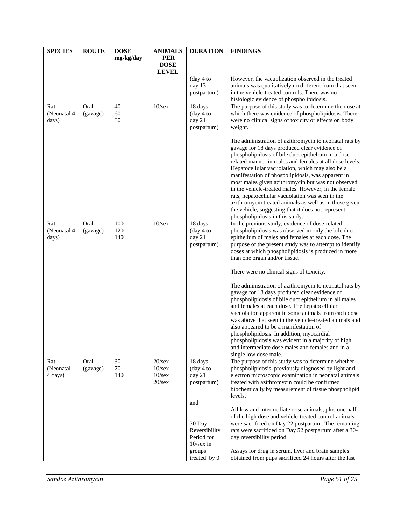| <b>SPECIES</b>       | <b>ROUTE</b>     | <b>DOSE</b> | <b>ANIMALS</b>            | <b>DURATION</b>                        | <b>FINDINGS</b>                                                                                              |
|----------------------|------------------|-------------|---------------------------|----------------------------------------|--------------------------------------------------------------------------------------------------------------|
|                      |                  | mg/kg/day   | <b>PER</b><br><b>DOSE</b> |                                        |                                                                                                              |
|                      |                  |             | <b>LEVEL</b>              |                                        |                                                                                                              |
|                      |                  |             |                           | (day 4 to                              | However, the vacuolization observed in the treated                                                           |
|                      |                  |             |                           | day 13<br>postpartum)                  | animals was qualitatively no different from that seen<br>in the vehicle-treated controls. There was no       |
|                      |                  |             |                           |                                        | histologic evidence of phospholipidosis.                                                                     |
| Rat                  | Oral             | 40          | $10$ /sex                 | 18 days                                | The purpose of this study was to determine the dose at                                                       |
| (Neonatal 4          | (gavage)         | 60          |                           | (day 4 to                              | which there was evidence of phospholipidosis. There                                                          |
| days)                |                  | 80          |                           | day 21<br>postpartum)                  | were no clinical signs of toxicity or effects on body<br>weight.                                             |
|                      |                  |             |                           |                                        | The administration of azithromycin to neonatal rats by<br>gavage for 18 days produced clear evidence of      |
|                      |                  |             |                           |                                        | phospholipidosis of bile duct epithelium in a dose                                                           |
|                      |                  |             |                           |                                        | related manner in males and females at all dose levels.                                                      |
|                      |                  |             |                           |                                        | Hepatocellular vacuolation, which may also be a<br>manifestation of phospolipidosis, was apparent in         |
|                      |                  |             |                           |                                        | most males given azithromycin but was not observed                                                           |
|                      |                  |             |                           |                                        | in the vehicle-treated males. However, in the female                                                         |
|                      |                  |             |                           |                                        | rats, hepatocellular vacuolation was seen in the                                                             |
|                      |                  |             |                           |                                        | azithromycin treated animals as well as in those given<br>the vehicle, suggesting that it does not represent |
|                      |                  |             |                           |                                        | phospholipidosis in this study.                                                                              |
| Rat                  | Oral             | 100         | $10$ /sex                 | 18 days                                | In the previous study, evidence of dose-related                                                              |
| (Neonatal 4<br>days) | (gavage)         | 120<br>140  |                           | $(\text{day } 4 \text{ to})$<br>day 21 | phospholipidosis was observed in only the bile duct<br>epithelium of males and females at each dose. The     |
|                      |                  |             |                           | postpartum)                            | purpose of the present study was to attempt to identify                                                      |
|                      |                  |             |                           |                                        | doses at which phospholipidosis is produced in more                                                          |
|                      |                  |             |                           |                                        | than one organ and/or tissue.                                                                                |
|                      |                  |             |                           |                                        | There were no clinical signs of toxicity.                                                                    |
|                      |                  |             |                           |                                        | The administration of azithromycin to neonatal rats by                                                       |
|                      |                  |             |                           |                                        | gavage for 18 days produced clear evidence of                                                                |
|                      |                  |             |                           |                                        | phospholipidosis of bile duct epithelium in all males<br>and females at each dose. The hepatocellular        |
|                      |                  |             |                           |                                        | vacuolation apparent in some animals from each dose                                                          |
|                      |                  |             |                           |                                        | was above that seen in the vehicle-treated animals and                                                       |
|                      |                  |             |                           |                                        | also appeared to be a manifestation of                                                                       |
|                      |                  |             |                           |                                        | phospholipidosis. In addition, myocardial<br>phospholipidosis was evident in a majority of high              |
|                      |                  |             |                           |                                        | and intermediate dose males and females and in a                                                             |
|                      |                  |             |                           |                                        | single low dose male.                                                                                        |
| Rat<br>(Neonatal     | Oral<br>(gavage) | 30<br>70    | 20/sec<br>10/sec          | 18 days<br>(day 4 to                   | The purpose of this study was to determine whether<br>phospholipidosis, previously diagnosed by light and    |
| 4 days)              |                  | 140         | $10$ /sex                 | day 21                                 | electron microscopic examination in neonatal animals                                                         |
|                      |                  |             | $20$ /sex                 | postpartum)                            | treated with azithromycin could be confirmed                                                                 |
|                      |                  |             |                           |                                        | biochemically by measurement of tissue phospholipid                                                          |
|                      |                  |             |                           | and                                    | levels.                                                                                                      |
|                      |                  |             |                           |                                        | All low and intermediate dose animals, plus one half                                                         |
|                      |                  |             |                           |                                        | of the high dose and vehicle-treated control animals                                                         |
|                      |                  |             |                           | 30 Day                                 | were sacrificed on Day 22 postpartum. The remaining                                                          |
|                      |                  |             |                           | Reversibility<br>Period for            | rats were sacrificed on Day 52 postpartum after a 30-<br>day reversibility period.                           |
|                      |                  |             |                           | $10$ /sex in                           |                                                                                                              |
|                      |                  |             |                           | groups                                 | Assays for drug in serum, liver and brain samples                                                            |
|                      |                  |             |                           | treated by 0                           | obtained from pups sacrificed 24 hours after the last                                                        |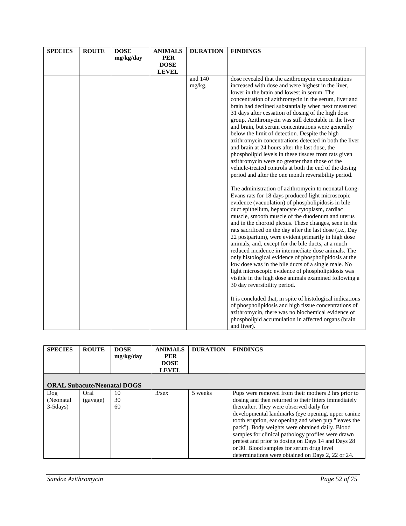| <b>SPECIES</b> | <b>ROUTE</b> | <b>DOSE</b> | <b>ANIMALS</b> | <b>DURATION</b> | <b>FINDINGS</b>                                                                                              |
|----------------|--------------|-------------|----------------|-----------------|--------------------------------------------------------------------------------------------------------------|
|                |              | mg/kg/day   | <b>PER</b>     |                 |                                                                                                              |
|                |              |             | <b>DOSE</b>    |                 |                                                                                                              |
|                |              |             | <b>LEVEL</b>   |                 |                                                                                                              |
|                |              |             |                | and 140         | dose revealed that the azithromycin concentrations                                                           |
|                |              |             |                | mg/kg.          | increased with dose and were highest in the liver,                                                           |
|                |              |             |                |                 | lower in the brain and lowest in serum. The                                                                  |
|                |              |             |                |                 | concentration of azithromycin in the serum, liver and<br>brain had declined substantially when next measured |
|                |              |             |                |                 | 31 days after cessation of dosing of the high dose                                                           |
|                |              |             |                |                 | group. Azithromycin was still detectable in the liver                                                        |
|                |              |             |                |                 | and brain, but serum concentrations were generally                                                           |
|                |              |             |                |                 | below the limit of detection. Despite the high                                                               |
|                |              |             |                |                 | azithromycin concentrations detected in both the liver                                                       |
|                |              |             |                |                 | and brain at 24 hours after the last dose, the                                                               |
|                |              |             |                |                 | phospholipid levels in these tissues from rats given                                                         |
|                |              |             |                |                 | azithromycin were no greater than those of the                                                               |
|                |              |             |                |                 | vehicle-treated controls at both the end of the dosing                                                       |
|                |              |             |                |                 | period and after the one month reversibility period.                                                         |
|                |              |             |                |                 | The administration of azithromycin to neonatal Long-                                                         |
|                |              |             |                |                 | Evans rats for 18 days produced light microscopic                                                            |
|                |              |             |                |                 | evidence (vacuolation) of phospholipidosis in bile                                                           |
|                |              |             |                |                 | duct epithelium, hepatocyte cytoplasm, cardiac<br>muscle, smooth muscle of the duodenum and uterus           |
|                |              |             |                |                 | and in the choroid plexus. These changes, seen in the                                                        |
|                |              |             |                |                 | rats sacrificed on the day after the last dose (i.e., Day                                                    |
|                |              |             |                |                 | 22 postpartum), were evident primarily in high dose                                                          |
|                |              |             |                |                 | animals, and, except for the bile ducts, at a much                                                           |
|                |              |             |                |                 | reduced incidence in intermediate dose animals. The                                                          |
|                |              |             |                |                 | only histological evidence of phospholipidosis at the                                                        |
|                |              |             |                |                 | low dose was in the bile ducts of a single male. No                                                          |
|                |              |             |                |                 | light microscopic evidence of phospholipidosis was                                                           |
|                |              |             |                |                 | visible in the high dose animals examined following a                                                        |
|                |              |             |                |                 | 30 day reversibility period.                                                                                 |
|                |              |             |                |                 | It is concluded that, in spite of histological indications                                                   |
|                |              |             |                |                 | of phospholipidosis and high tissue concentrations of                                                        |
|                |              |             |                |                 | azithromycin, there was no biochemical evidence of                                                           |
|                |              |             |                |                 | phospholipid accumulation in affected organs (brain<br>and liver).                                           |

| <b>SPECIES</b>                     | <b>ROUTE</b> | <b>DOSE</b><br>mg/kg/day | <b>ANIMALS</b><br><b>PER</b><br><b>DOSE</b><br><b>LEVEL</b> | <b>DURATION</b> | <b>FINDINGS</b>                                       |  |  |
|------------------------------------|--------------|--------------------------|-------------------------------------------------------------|-----------------|-------------------------------------------------------|--|--|
| <b>ORAL Subacute/Neonatal DOGS</b> |              |                          |                                                             |                 |                                                       |  |  |
| Dog                                | Oral         | 10                       | $3$ /sex                                                    | 5 weeks         | Pups were removed from their mothers 2 hrs prior to   |  |  |
| (Neonatal)                         | (gavage)     | 30                       |                                                             |                 | dosing and then returned to their litters immediately |  |  |
| $3-5$ days)                        |              | 60                       |                                                             |                 | thereafter. They were observed daily for              |  |  |
|                                    |              |                          |                                                             |                 | developmental landmarks (eye opening, upper canine    |  |  |
|                                    |              |                          |                                                             |                 | tooth eruption, ear opening and when pup "leaves the  |  |  |
|                                    |              |                          |                                                             |                 | pack"). Body weights were obtained daily. Blood       |  |  |
|                                    |              |                          |                                                             |                 | samples for clinical pathology profiles were drawn    |  |  |
|                                    |              |                          |                                                             |                 | pretest and prior to dosing on Days 14 and Days 28    |  |  |
|                                    |              |                          |                                                             |                 | or 30. Blood samples for serum drug level             |  |  |
|                                    |              |                          |                                                             |                 | determinations were obtained on Days 2, 22 or 24.     |  |  |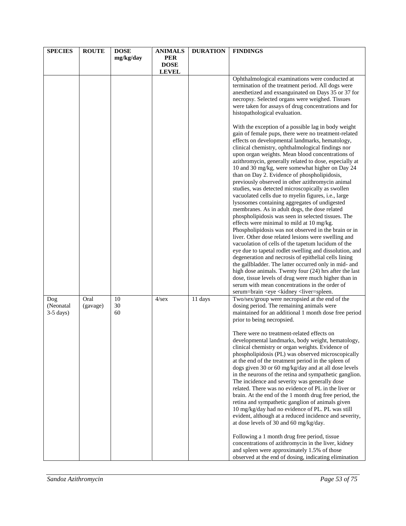| <b>SPECIES</b>                  | <b>ROUTE</b>     | <b>DOSE</b><br>mg/kg/day | <b>ANIMALS</b><br><b>PER</b> | <b>DURATION</b> | <b>FINDINGS</b>                                                                                                                                                                                                                                                                                                                                                                                                                                                                                                                                                                                                                                                                                                                                                                                                                                                                                                                                                                                                                                                                                                                                                                                                                                                                                                               |
|---------------------------------|------------------|--------------------------|------------------------------|-----------------|-------------------------------------------------------------------------------------------------------------------------------------------------------------------------------------------------------------------------------------------------------------------------------------------------------------------------------------------------------------------------------------------------------------------------------------------------------------------------------------------------------------------------------------------------------------------------------------------------------------------------------------------------------------------------------------------------------------------------------------------------------------------------------------------------------------------------------------------------------------------------------------------------------------------------------------------------------------------------------------------------------------------------------------------------------------------------------------------------------------------------------------------------------------------------------------------------------------------------------------------------------------------------------------------------------------------------------|
|                                 |                  |                          | <b>DOSE</b><br><b>LEVEL</b>  |                 |                                                                                                                                                                                                                                                                                                                                                                                                                                                                                                                                                                                                                                                                                                                                                                                                                                                                                                                                                                                                                                                                                                                                                                                                                                                                                                                               |
|                                 |                  |                          |                              |                 | Ophthalmological examinations were conducted at<br>termination of the treatment period. All dogs were<br>anesthetized and exsanguinated on Days 35 or 37 for<br>necropsy. Selected organs were weighed. Tissues<br>were taken for assays of drug concentrations and for<br>histopathological evaluation.                                                                                                                                                                                                                                                                                                                                                                                                                                                                                                                                                                                                                                                                                                                                                                                                                                                                                                                                                                                                                      |
|                                 |                  |                          |                              |                 | With the exception of a possible lag in body weight<br>gain of female pups, there were no treatment-related<br>effects on developmental landmarks, hematology,<br>clinical chemistry, ophthalmological findings nor<br>upon organ weights. Mean blood concentrations of<br>azithromycin, generally related to dose, especially at<br>10 and 30 mg/kg, were somewhat higher on Day 24<br>than on Day 2. Evidence of phospholipidosis,<br>previously observed in other azithromycin animal<br>studies, was detected microscopically as swollen<br>vacuolated cells due to myelin figures, i.e., large<br>lysosomes containing aggregates of undigested<br>membranes. As in adult dogs, the dose related<br>phospholipidosis was seen in selected tissues. The<br>effects were minimal to mild at 10 mg/kg.<br>Phospholipidosis was not observed in the brain or in<br>liver. Other dose related lesions were swelling and<br>vacuolation of cells of the tapetum lucidum of the<br>eye due to tapetal rodlet swelling and dissolution, and<br>degeneration and necrosis of epithelial cells lining<br>the gallbladder. The latter occurred only in mid- and<br>high dose animals. Twenty four (24) hrs after the last<br>dose, tissue levels of drug were much higher than in<br>serum with mean concentrations in the order of |
| Dog<br>(Neonatal<br>$3-5$ days) | Oral<br>(gavage) | 10<br>30<br>60           | $4$ /sex                     | 11 days         | serum=brain <eye <kidney="" <liver="spleen.&lt;br">Two/sex/group were necropsied at the end of the<br/>dosing period. The remaining animals were<br/>maintained for an additional 1 month dose free period<br/>prior to being necropsied.<br/>There were no treatment-related effects on<br/>developmental landmarks, body weight, hematology,<br/>clinical chemistry or organ weights. Evidence of<br/>phospholipidosis (PL) was observed microscopically<br/>at the end of the treatment period in the spleen of<br/>dogs given 30 or 60 mg/kg/day and at all dose levels<br/>in the neurons of the retina and sympathetic ganglion.<br/>The incidence and severity was generally dose<br/>related. There was no evidence of PL in the liver or<br/>brain. At the end of the 1 month drug free period, the<br/>retina and sympathetic ganglion of animals given<br/>10 mg/kg/day had no evidence of PL. PL was still<br/>evident, although at a reduced incidence and severity,<br/>at dose levels of 30 and 60 mg/kg/day.<br/>Following a 1 month drug free period, tissue<br/>concentrations of azithromycin in the liver, kidney</eye>                                                                                                                                                                                   |
|                                 |                  |                          |                              |                 | and spleen were approximately 1.5% of those<br>observed at the end of dosing, indicating elimination                                                                                                                                                                                                                                                                                                                                                                                                                                                                                                                                                                                                                                                                                                                                                                                                                                                                                                                                                                                                                                                                                                                                                                                                                          |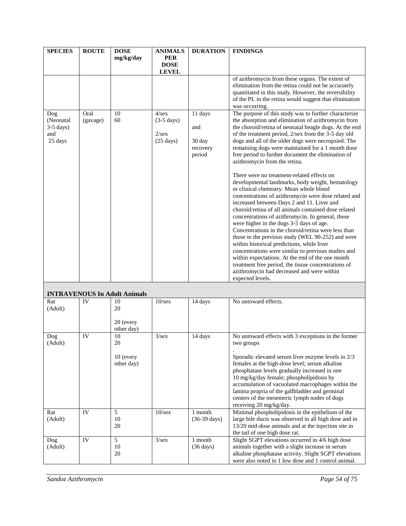| <b>SPECIES</b>                                    | <b>ROUTE</b>     | <b>DOSE</b>                           | <b>ANIMALS</b>                                                                         | <b>DURATION</b>                                | <b>FINDINGS</b>                                                                                                                                                                                                                                                                                                                                                                                                                                                                                                                                                                                                                                                                                                                                                                                                                                                                                                                                                                                                                                                                                                                                                                                                                            |  |
|---------------------------------------------------|------------------|---------------------------------------|----------------------------------------------------------------------------------------|------------------------------------------------|--------------------------------------------------------------------------------------------------------------------------------------------------------------------------------------------------------------------------------------------------------------------------------------------------------------------------------------------------------------------------------------------------------------------------------------------------------------------------------------------------------------------------------------------------------------------------------------------------------------------------------------------------------------------------------------------------------------------------------------------------------------------------------------------------------------------------------------------------------------------------------------------------------------------------------------------------------------------------------------------------------------------------------------------------------------------------------------------------------------------------------------------------------------------------------------------------------------------------------------------|--|
|                                                   |                  | mg/kg/day                             | <b>PER</b><br><b>DOSE</b><br><b>LEVEL</b>                                              |                                                |                                                                                                                                                                                                                                                                                                                                                                                                                                                                                                                                                                                                                                                                                                                                                                                                                                                                                                                                                                                                                                                                                                                                                                                                                                            |  |
|                                                   |                  |                                       |                                                                                        |                                                | of azithromycin from these organs. The extent of<br>elimination from the retina could not be accurately<br>quantitated in this study. However, the reversibility<br>of the PL in the retina would suggest that elimination<br>was occurring.                                                                                                                                                                                                                                                                                                                                                                                                                                                                                                                                                                                                                                                                                                                                                                                                                                                                                                                                                                                               |  |
| Dog<br>(Neonatal<br>$3-5$ days)<br>and<br>25 days | Oral<br>(gavage) | 10<br>60                              | $\sqrt{4/\text{sex}}$<br>$(3-5 \text{ days})$<br>$2/\text{sex}$<br>$(25 \text{ days})$ | 11 days<br>and<br>30 day<br>recovery<br>period | The purpose of this study was to further characterize<br>the absorption and elimination of azithromycin from<br>the choroid/retina of neonatal beagle dogs. At the end<br>of the treatment period, 2/sex from the 3-5 day old<br>dogs and all of the older dogs were necropsied. The<br>remaining dogs were maintained for a 1 month dose<br>free period to further document the elimination of<br>azithromycin from the retina.<br>There were no treatment-related effects on<br>developmental landmarks, body weight, hematology<br>or clinical chemistry. Mean whole blood<br>concentrations of azithromycin were dose related and<br>increased between Days 2 and 11. Liver and<br>choroid/retina of all animals contained dose related<br>concentrations of azithromycin. In general, these<br>were higher in the dogs 3-5 days of age.<br>Concentrations in the choroid/retina were less than<br>those in the previous study (WEL 90-252) and were<br>within historical predictions, while liver<br>concentrations were similar to previous studies and<br>within expectations. At the end of the one month<br>treatment free period, the tissue concentrations of<br>azithromycin had decreased and were within<br>expected levels. |  |
|                                                   |                  | <b>INTRAVENOUS In Adult Animals</b>   |                                                                                        |                                                |                                                                                                                                                                                                                                                                                                                                                                                                                                                                                                                                                                                                                                                                                                                                                                                                                                                                                                                                                                                                                                                                                                                                                                                                                                            |  |
| Rat<br>(Adult)                                    | IV               | 10<br>20<br>20 (every<br>other day)   | $10$ /sex                                                                              | 14 days                                        | No untoward effects.                                                                                                                                                                                                                                                                                                                                                                                                                                                                                                                                                                                                                                                                                                                                                                                                                                                                                                                                                                                                                                                                                                                                                                                                                       |  |
| Dog<br>(Adult)                                    | IV               | 10<br>20<br>$10$ (every<br>other day) | 3/sec                                                                                  | 14 days                                        | No untoward effects with 3 exceptions in the former<br>two groups<br>Sporadic elevated serum liver enzyme levels in 2/3<br>females at the high-dose level; serum alkaline                                                                                                                                                                                                                                                                                                                                                                                                                                                                                                                                                                                                                                                                                                                                                                                                                                                                                                                                                                                                                                                                  |  |
|                                                   |                  |                                       |                                                                                        |                                                | phosphatase levels gradually increased in one<br>10 mg/kg/day female; phospholipidosis by<br>accumulation of vacuolated macrophages within the<br>lamina propria of the gallbladder and germinal                                                                                                                                                                                                                                                                                                                                                                                                                                                                                                                                                                                                                                                                                                                                                                                                                                                                                                                                                                                                                                           |  |

|         |           |    |           |                                                            | famina propria of the galibiaduer and germinal<br>centers of the mesenteric lymph nodes of dogs |
|---------|-----------|----|-----------|------------------------------------------------------------|-------------------------------------------------------------------------------------------------|
|         |           |    |           |                                                            | receiving 20 mg/kg/day.                                                                         |
| Rat     | <b>IV</b> |    | $10$ /sex | Minimal phospholipidosis in the epithelium of the<br>month |                                                                                                 |
| (Adult) |           | 10 |           | $(36-39 \text{ days})$                                     | large bile ducts was observed in all high dose and in                                           |
|         |           | 20 |           |                                                            | 13/20 mid-dose animals and at the injection site in                                             |
|         |           |    |           |                                                            | the tail of one high dose rat.                                                                  |
| Dog     | <b>IV</b> |    | $3$ /sex  | month                                                      | Slight SGPT elevations occurred in 4/6 high dose                                                |
| (Adult) |           | 10 |           | $(36 \text{ days})$                                        | animals together with a slight increase in serum                                                |
|         |           | 20 |           |                                                            | alkaline phosphatase activity. Slight SGPT elevations                                           |
|         |           |    |           |                                                            | were also noted in 1 low dose and 1 control animal.                                             |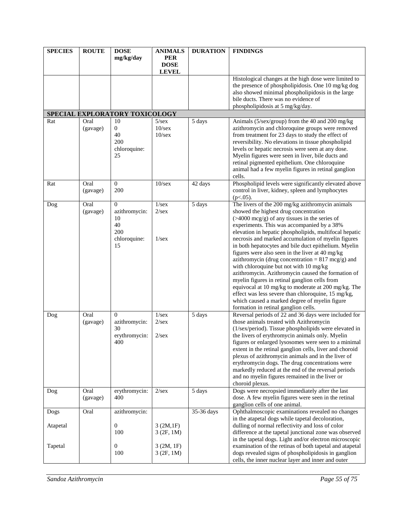| <b>SPECIES</b>   | <b>ROUTE</b>     | <b>DOSE</b><br>mg/kg/day                                               | <b>ANIMALS</b><br><b>PER</b><br><b>DOSE</b><br><b>LEVEL</b> | <b>DURATION</b> | <b>FINDINGS</b>                                                                                                                                                                                                                                                                                                                                                                                                                                                                                                                                                                                                                                                                                                                                                                                                                               |
|------------------|------------------|------------------------------------------------------------------------|-------------------------------------------------------------|-----------------|-----------------------------------------------------------------------------------------------------------------------------------------------------------------------------------------------------------------------------------------------------------------------------------------------------------------------------------------------------------------------------------------------------------------------------------------------------------------------------------------------------------------------------------------------------------------------------------------------------------------------------------------------------------------------------------------------------------------------------------------------------------------------------------------------------------------------------------------------|
|                  |                  |                                                                        |                                                             |                 | Histological changes at the high dose were limited to<br>the presence of phospholipidosis. One 10 mg/kg dog<br>also showed minimal phospholipidosis in the large<br>bile ducts. There was no evidence of<br>phospholipidosis at 5 mg/kg/day.                                                                                                                                                                                                                                                                                                                                                                                                                                                                                                                                                                                                  |
|                  |                  | SPECIAL EXPLORATORY TOXICOLOGY                                         |                                                             |                 |                                                                                                                                                                                                                                                                                                                                                                                                                                                                                                                                                                                                                                                                                                                                                                                                                                               |
| Rat              | Oral<br>(gavage) | 10<br>$\overline{0}$<br>40<br>200<br>chloroquine:<br>25                | $5/\text{sex}$<br>$10$ /sex<br>$10$ /sex                    | 5 days          | Animals (5/sex/group) from the 40 and 200 mg/kg<br>azithromycin and chloroquine groups were removed<br>from treatment for 23 days to study the effect of<br>reversibility. No elevations in tissue phospholipid<br>levels or hepatic necrosis were seen at any dose.<br>Myelin figures were seen in liver, bile ducts and<br>retinal pigmented epithelium. One chloroquine<br>animal had a few myelin figures in retinal ganglion<br>cells.                                                                                                                                                                                                                                                                                                                                                                                                   |
| Rat              | Oral<br>(gavage) | $\Omega$<br>200                                                        | $10$ /sex                                                   | 42 days         | Phospholipid levels were significantly elevated above<br>control in liver, kidney, spleen and lymphocytes<br>$(p<.05)$ .                                                                                                                                                                                                                                                                                                                                                                                                                                                                                                                                                                                                                                                                                                                      |
| Dog              | Oral<br>(gavage) | $\mathbf{0}$<br>azithromycin:<br>10<br>40<br>200<br>chloroquine:<br>15 | 1/sec<br>$2/\text{sex}$<br>1/sec                            | 5 days          | The livers of the 200 mg/kg azithromycin animals<br>showed the highest drug concentration<br>$($ >4000 mcg/g) of any tissues in the series of<br>experiments. This was accompanied by a 38%<br>elevation in hepatic phospholipids, multifocal hepatic<br>necrosis and marked accumulation of myelin figures<br>in both hepatocytes and bile duct epithelium. Myelin<br>figures were also seen in the liver at 40 mg/kg<br>azithromycin (drug concentration = $817 \text{ mcg/g}$ ) and<br>with chloroquine but not with 10 mg/kg<br>azithromycin. Azithromycin caused the formation of<br>myelin figures in retinal ganglion cells from<br>equivocal at 10 mg/kg to moderate at 200 mg/kg. The<br>effect was less severe than chloroquine, 15 mg/kg,<br>which caused a marked degree of myelin figure<br>formation in retinal ganglion cells. |
| Dog              | Oral<br>(gavage) | $\Omega$<br>azithromycin:<br>30<br>erythromycin:<br>400                | 1/sec<br>2/sec<br>2/sec                                     | 5 days          | Reversal periods of 22 and 36 days were included for<br>those animals treated with Azithromycin<br>(1/sex/period). Tissue phospholipids were elevated in<br>the livers of erythromycin animals only. Myelin<br>figures or enlarged lysosomes were seen to a minimal<br>extent in the retinal ganglion cells, liver and choroid<br>plexus of azithromycin animals and in the liver of<br>erythromycin dogs. The drug concentrations were<br>markedly reduced at the end of the reversal periods<br>and no myelin figures remained in the liver or<br>choroid plexus.                                                                                                                                                                                                                                                                           |
| Dog              | Oral<br>(gavage) | erythromycin:<br>400                                                   | 2/sec                                                       | 5 days          | Dogs were necropsied immediately after the last<br>dose. A few myelin figures were seen in the retinal<br>ganglion cells of one animal.                                                                                                                                                                                                                                                                                                                                                                                                                                                                                                                                                                                                                                                                                                       |
| Dogs<br>Atapetal | Oral             | azithromycin:<br>$\mathbf{0}$<br>100                                   | 3(2M,1F)<br>3(2F, 1M)                                       | 35-36 days      | Ophthalmoscopic examinations revealed no changes<br>in the atapetal dogs while tapetal decoloration,<br>dulling of normal reflectivity and loss of color<br>difference at the tapetal junctional zone was observed<br>in the tapetal dogs. Light and/or electron microscopic                                                                                                                                                                                                                                                                                                                                                                                                                                                                                                                                                                  |
| Tapetal          |                  | $\overline{0}$<br>100                                                  | 3(2M, 1F)<br>3(2F, 1M)                                      |                 | examination of the retinas of both tapetal and atapetal<br>dogs revealed signs of phospholipidosis in ganglion<br>cells, the inner nuclear layer and inner and outer                                                                                                                                                                                                                                                                                                                                                                                                                                                                                                                                                                                                                                                                          |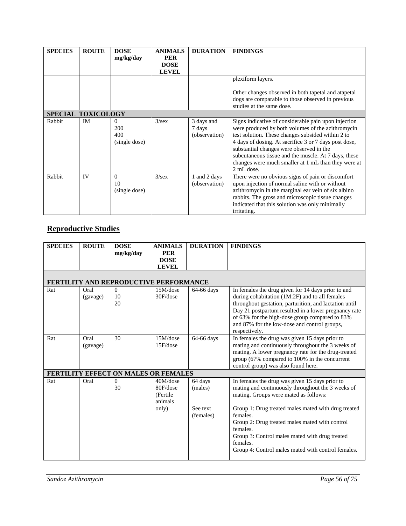| <b>SPECIES</b>     | <b>ROUTE</b> | <b>DOSE</b><br>mg/kg/day                | <b>ANIMALS</b><br><b>PER</b><br><b>DOSE</b> | <b>DURATION</b>                       | <b>FINDINGS</b>                                                                                                                                                                                                                                                                                                                                                                                             |
|--------------------|--------------|-----------------------------------------|---------------------------------------------|---------------------------------------|-------------------------------------------------------------------------------------------------------------------------------------------------------------------------------------------------------------------------------------------------------------------------------------------------------------------------------------------------------------------------------------------------------------|
|                    |              |                                         | <b>LEVEL</b>                                |                                       |                                                                                                                                                                                                                                                                                                                                                                                                             |
|                    |              |                                         |                                             |                                       | plexiform layers.                                                                                                                                                                                                                                                                                                                                                                                           |
|                    |              |                                         |                                             |                                       | Other changes observed in both tapetal and atapetal                                                                                                                                                                                                                                                                                                                                                         |
|                    |              |                                         |                                             |                                       | dogs are comparable to those observed in previous<br>studies at the same dose.                                                                                                                                                                                                                                                                                                                              |
| SPECIAL TOXICOLOGY |              |                                         |                                             |                                       |                                                                                                                                                                                                                                                                                                                                                                                                             |
| Rabbit             | IM           | $\theta$<br>200<br>400<br>(single dose) | $3$ /sex                                    | 3 days and<br>7 days<br>(observation) | Signs indicative of considerable pain upon injection<br>were produced by both volumes of the azithromycin<br>test solution. These changes subsided within 2 to<br>4 days of dosing. At sacrifice 3 or 7 days post dose,<br>substantial changes were observed in the<br>subcutaneous tissue and the muscle. At 7 days, these<br>changes were much smaller at 1 mL than they were at<br>$2 \text{ mL dose}$ . |
| Rabbit             | IV           | $\Omega$<br>10<br>(single dose)         | 3/sec                                       | 1 and 2 days<br>(observation)         | There were no obvious signs of pain or discomfort<br>upon injection of normal saline with or without<br>azithromycin in the marginal ear vein of six albino<br>rabbits. The gross and microscopic tissue changes<br>indicated that this solution was only minimally<br>irritating.                                                                                                                          |

# **Reproductive Studies**

| <b>SPECIES</b> | <b>ROUTE</b> | <b>DOSE</b>                                   | <b>ANIMALS</b> | <b>DURATION</b> | <b>FINDINGS</b>                                                 |
|----------------|--------------|-----------------------------------------------|----------------|-----------------|-----------------------------------------------------------------|
|                |              | mg/kg/day                                     | <b>PER</b>     |                 |                                                                 |
|                |              |                                               | <b>DOSE</b>    |                 |                                                                 |
|                |              |                                               | <b>LEVEL</b>   |                 |                                                                 |
|                |              |                                               |                |                 |                                                                 |
|                |              | <b>FERTILITY AND REPRODUCTIVE PERFORMANCE</b> |                |                 |                                                                 |
| Rat            | Oral         | $\Omega$                                      | 15M/dose       | 64-66 days      | In females the drug given for 14 days prior to and              |
|                | (gavage)     | 10                                            | 30F/dose       |                 | during cohabitation (1M:2F) and to all females                  |
|                |              | 20                                            |                |                 | throughout gestation, parturition, and lactation until          |
|                |              |                                               |                |                 | Day 21 postpartum resulted in a lower pregnancy rate            |
|                |              |                                               |                |                 | of 63% for the high-dose group compared to 83%                  |
|                |              |                                               |                |                 | and 87% for the low-dose and control groups,                    |
|                |              |                                               |                |                 | respectively.                                                   |
| Rat            | Oral         | 30                                            | 15M/dose       | 64-66 days      | In females the drug was given 15 days prior to                  |
|                | (gavage)     |                                               | 15F/dose       |                 | mating and continuously throughout the 3 weeks of               |
|                |              |                                               |                |                 | mating. A lower pregnancy rate for the drug-treated             |
|                |              |                                               |                |                 | group (67% compared to 100% in the concurrent                   |
|                |              |                                               |                |                 | control group) was also found here.                             |
|                |              | <b>FERTILITY EFFECT ON MALES OR FEMALES</b>   |                |                 |                                                                 |
| Rat            | Oral         | $\Omega$                                      | 40M/dose       | 64 days         | In females the drug was given 15 days prior to                  |
|                |              | 30                                            | 80F/dose       | (males)         | mating and continuously throughout the 3 weeks of               |
|                |              |                                               | (Fertile)      |                 | mating. Groups were mated as follows:                           |
|                |              |                                               | animals        |                 |                                                                 |
|                |              |                                               | only)          | See text        | Group 1: Drug treated males mated with drug treated<br>females. |
|                |              |                                               |                | (females)       |                                                                 |
|                |              |                                               |                |                 | Group 2: Drug treated males mated with control<br>females.      |
|                |              |                                               |                |                 | Group 3: Control males mated with drug treated                  |
|                |              |                                               |                |                 | females.                                                        |
|                |              |                                               |                |                 | Group 4: Control males mated with control females.              |
|                |              |                                               |                |                 |                                                                 |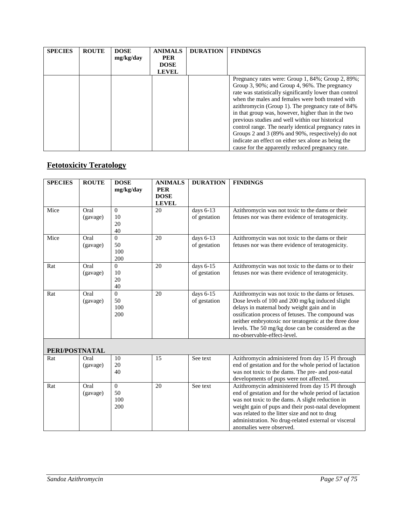| <b>SPECIES</b> | <b>ROUTE</b> | <b>DOSE</b><br>mg/kg/day | <b>ANIMALS</b><br><b>PER</b><br><b>DOSE</b><br><b>LEVEL</b> | <b>DURATION</b> | <b>FINDINGS</b>                                                                                                                                                                                                                                                                                                                                                                                                                                                                                                                                                                                            |
|----------------|--------------|--------------------------|-------------------------------------------------------------|-----------------|------------------------------------------------------------------------------------------------------------------------------------------------------------------------------------------------------------------------------------------------------------------------------------------------------------------------------------------------------------------------------------------------------------------------------------------------------------------------------------------------------------------------------------------------------------------------------------------------------------|
|                |              |                          |                                                             |                 | Pregnancy rates were: Group 1, 84%; Group 2, 89%;<br>Group 3, 90%; and Group 4, 96%. The pregnancy<br>rate was statistically significantly lower than control<br>when the males and females were both treated with<br>azithromycin (Group 1). The pregnancy rate of 84%<br>in that group was, however, higher than in the two<br>previous studies and well within our historical<br>control range. The nearly identical pregnancy rates in<br>Groups 2 and 3 (89% and 90%, respectively) do not<br>indicate an effect on either sex alone as being the<br>cause for the apparently reduced pregnancy rate. |

# **Fetotoxicity Teratology**

| <b>SPECIES</b> | <b>ROUTE</b>     | <b>DOSE</b><br>mg/kg/day     | <b>ANIMALS</b><br><b>PER</b><br><b>DOSE</b><br><b>LEVEL</b> | <b>DURATION</b>           | <b>FINDINGS</b>                                                                                                                                                                                                                                                                                                                                        |  |
|----------------|------------------|------------------------------|-------------------------------------------------------------|---------------------------|--------------------------------------------------------------------------------------------------------------------------------------------------------------------------------------------------------------------------------------------------------------------------------------------------------------------------------------------------------|--|
| Mice           | Oral<br>(gavage) | $\Omega$<br>10<br>20<br>40   | 20                                                          | days 6-13<br>of gestation | Azithromycin was not toxic to the dams or their<br>fetuses nor was there evidence of teratogenicity.                                                                                                                                                                                                                                                   |  |
| Mice           | Oral<br>(gavage) | $\Omega$<br>50<br>100<br>200 | 20                                                          | days 6-13<br>of gestation | Azithromycin was not toxic to the dams or their<br>fetuses nor was there evidence of teratogenicity.                                                                                                                                                                                                                                                   |  |
| Rat            | Oral<br>(gavage) | $\Omega$<br>10<br>20<br>40   | 20                                                          | days 6-15<br>of gestation | Azithromycin was not toxic to the dams or to their<br>fetuses nor was there evidence of teratogenicity.                                                                                                                                                                                                                                                |  |
| Rat            | Oral<br>(gavage) | $\Omega$<br>50<br>100<br>200 | 20                                                          | days 6-15<br>of gestation | Azithromycin was not toxic to the dams or fetuses.<br>Dose levels of 100 and 200 mg/kg induced slight<br>delays in maternal body weight gain and in<br>ossification process of fetuses. The compound was<br>neither embryotoxic nor teratogenic at the three dose<br>levels. The 50 mg/kg dose can be considered as the<br>no-observable-effect-level. |  |
|                | PERI/POSTNATAL   |                              |                                                             |                           |                                                                                                                                                                                                                                                                                                                                                        |  |
| Rat            | Oral<br>(gavage) | 10<br>20<br>40               | 15                                                          | See text                  | Azithromycin administered from day 15 PI through<br>end of gestation and for the whole period of lactation<br>was not toxic to the dams. The pre- and post-natal                                                                                                                                                                                       |  |

|     | (gavage)         | 20<br>40         |    |          | end of gestation and for the whole period of lactation<br>was not toxic to the dams. The pre- and post-natal<br>developments of pups were not affected.                                                                                                                                                                                                      |  |
|-----|------------------|------------------|----|----------|--------------------------------------------------------------------------------------------------------------------------------------------------------------------------------------------------------------------------------------------------------------------------------------------------------------------------------------------------------------|--|
| Rat | Oral<br>(gavage) | 50<br>100<br>200 | 20 | See text | Azithromycin administered from day 15 PI through<br>end of gestation and for the whole period of lactation<br>was not toxic to the dams. A slight reduction in<br>weight gain of pups and their post-natal development<br>was related to the litter size and not to drug<br>administration. No drug-related external or visceral<br>anomalies were observed. |  |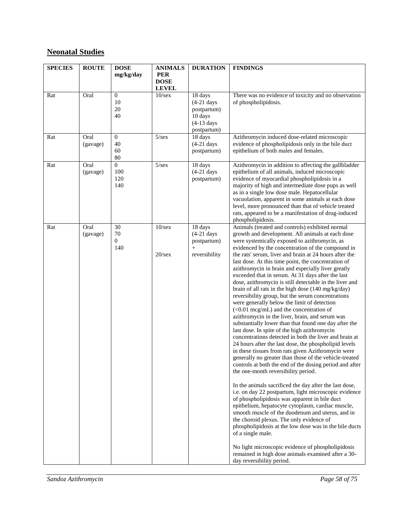## **Neonatal Studies**

| <b>SPECIES</b> | <b>ROUTE</b>     | <b>DOSE</b>                               | <b>ANIMALS</b>              | <b>DURATION</b>                                                   | <b>FINDINGS</b>                                                                                                                                                                                                                                                                                                                                                                                                                                                                                                                                                                                                                                                                                                                                                                                                                                                                                                                                                                                                                                                                                                                                                                                                                                                                                                                                                                                                                                                                                                                                                                                                                                                                                                                                          |  |
|----------------|------------------|-------------------------------------------|-----------------------------|-------------------------------------------------------------------|----------------------------------------------------------------------------------------------------------------------------------------------------------------------------------------------------------------------------------------------------------------------------------------------------------------------------------------------------------------------------------------------------------------------------------------------------------------------------------------------------------------------------------------------------------------------------------------------------------------------------------------------------------------------------------------------------------------------------------------------------------------------------------------------------------------------------------------------------------------------------------------------------------------------------------------------------------------------------------------------------------------------------------------------------------------------------------------------------------------------------------------------------------------------------------------------------------------------------------------------------------------------------------------------------------------------------------------------------------------------------------------------------------------------------------------------------------------------------------------------------------------------------------------------------------------------------------------------------------------------------------------------------------------------------------------------------------------------------------------------------------|--|
|                |                  | mg/kg/day                                 | <b>PER</b>                  |                                                                   |                                                                                                                                                                                                                                                                                                                                                                                                                                                                                                                                                                                                                                                                                                                                                                                                                                                                                                                                                                                                                                                                                                                                                                                                                                                                                                                                                                                                                                                                                                                                                                                                                                                                                                                                                          |  |
|                |                  |                                           | <b>DOSE</b><br><b>LEVEL</b> |                                                                   |                                                                                                                                                                                                                                                                                                                                                                                                                                                                                                                                                                                                                                                                                                                                                                                                                                                                                                                                                                                                                                                                                                                                                                                                                                                                                                                                                                                                                                                                                                                                                                                                                                                                                                                                                          |  |
| Rat            | Oral             | $\mathbf{0}$<br>10<br>20<br>40            | 10/sec                      | 18 days<br>$(4-21$ days<br>postpartum)<br>10 days<br>$(4-13$ days | There was no evidence of toxicity and no observation<br>of phospholipidosis.                                                                                                                                                                                                                                                                                                                                                                                                                                                                                                                                                                                                                                                                                                                                                                                                                                                                                                                                                                                                                                                                                                                                                                                                                                                                                                                                                                                                                                                                                                                                                                                                                                                                             |  |
| Rat            | Oral<br>(gavage) | $\mathbf{0}$<br>40<br>60                  | $\overline{5}/\text{sex}$   | postpartum)<br>18 days<br>$(4-21$ days<br>postpartum)             | Azithromycin induced dose-related microscopic<br>evidence of phospholipidosis only in the bile duct<br>epithelium of both males and females.                                                                                                                                                                                                                                                                                                                                                                                                                                                                                                                                                                                                                                                                                                                                                                                                                                                                                                                                                                                                                                                                                                                                                                                                                                                                                                                                                                                                                                                                                                                                                                                                             |  |
| Rat            | Oral<br>(gavage) | 80<br>$\overline{0}$<br>100<br>120<br>140 | $5/\text{sex}$              | 18 days<br>$(4-21$ days<br>postpartum)                            | Azithromycin in addition to affecting the gallbladder<br>epithelium of all animals, induced microscopic<br>evidence of myocardial phospholipidosis in a<br>majority of high and intermediate dose pups as well<br>as in a single low dose male. Hepatocellular<br>vacuolation, apparent in some animals at each dose<br>level, more pronounced than that of vehicle treated<br>rats, appeared to be a manifestation of drug-induced<br>phospholipidosis.                                                                                                                                                                                                                                                                                                                                                                                                                                                                                                                                                                                                                                                                                                                                                                                                                                                                                                                                                                                                                                                                                                                                                                                                                                                                                                 |  |
| Rat            | Oral<br>(gavage) | 30<br>70<br>$\overline{0}$<br>140         | 10/sec<br>$20$ /sex         | 18 days<br>$(4-21$ days<br>postpartum)<br>$+$<br>reversibility    | Animals (treated and controls) exhibited normal<br>growth and development. All animals at each dose<br>were systemically exposed to azithromycin, as<br>evidenced by the concentration of the compound in<br>the rats' serum, liver and brain at 24 hours after the<br>last dose. At this time point, the concentration of<br>azithromycin in brain and especially liver greatly<br>exceeded that in serum. At 31 days after the last<br>dose, azithromycin is still detectable in the liver and<br>brain of all rats in the high dose (140 mg/kg/day)<br>reversibility group, but the serum concentrations<br>were generally below the limit of detection<br>$(<0.01$ mcg/mL) and the concentration of<br>azithromycin in the liver, brain, and serum was<br>substantially lower than that found one day after the<br>last dose. In spite of the high azithromycin<br>concentrations detected in both the liver and brain at<br>24 hours after the last dose, the phospholipid levels<br>in these tissues from rats given Azithromycin were<br>generally no greater than those of the vehicle-treated<br>controls at both the end of the dosing period and after<br>the one-month reversibility period.<br>In the animals sacrificed the day after the last dose,<br>i.e. on day 22 postpartum, light microscopic evidence<br>of phospholipidosis was apparent in bile duct<br>epithelium, hepatocyte cytoplasm, cardiac muscle,<br>smooth muscle of the duodenum and uterus, and in<br>the choroid plexus. The only evidence of<br>phospholipidosis at the low dose was in the bile ducts<br>of a single male.<br>No light microscopic evidence of phospholipidosis<br>remained in high dose animals examined after a 30-<br>day reversibility period. |  |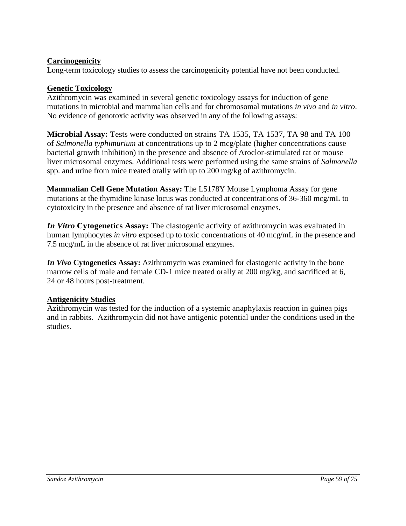## **Carcinogenicity**

Long-term toxicology studies to assess the carcinogenicity potential have not been conducted.

#### **Genetic Toxicology**

Azithromycin was examined in several genetic toxicology assays for induction of gene mutations in microbial and mammalian cells and for chromosomal mutations *in vivo* and *in vitro*. No evidence of genotoxic activity was observed in any of the following assays:

**Microbial Assay:** Tests were conducted on strains TA 1535, TA 1537, TA 98 and TA 100 of *Salmonella typhimurium* at concentrations up to 2 mcg/plate (higher concentrations cause bacterial growth inhibition) in the presence and absence of Aroclor-stimulated rat or mouse liver microsomal enzymes. Additional tests were performed using the same strains of *Salmonella*  spp. and urine from mice treated orally with up to 200 mg/kg of azithromycin.

**Mammalian Cell Gene Mutation Assay:** The L5178Y Mouse Lymphoma Assay for gene mutations at the thymidine kinase locus was conducted at concentrations of 36-360 mcg/mL to cytotoxicity in the presence and absence of rat liver microsomal enzymes.

*In Vitro* **Cytogenetics Assay:** The clastogenic activity of azithromycin was evaluated in human lymphocytes *in vitro* exposed up to toxic concentrations of 40 mcg/mL in the presence and 7.5 mcg/mL in the absence of rat liver microsomal enzymes.

*In Vivo* **Cytogenetics Assay:** Azithromycin was examined for clastogenic activity in the bone marrow cells of male and female CD-1 mice treated orally at 200 mg/kg, and sacrificed at 6, 24 or 48 hours post-treatment.

#### **Antigenicity Studies**

Azithromycin was tested for the induction of a systemic anaphylaxis reaction in guinea pigs and in rabbits. Azithromycin did not have antigenic potential under the conditions used in the studies.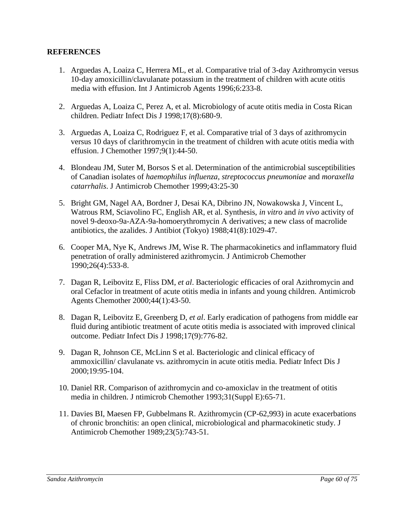#### **REFERENCES**

- 1. Arguedas A, Loaiza C, Herrera ML, et al. Comparative trial of 3-day Azithromycin versus 10-day amoxicillin/clavulanate potassium in the treatment of children with acute otitis media with effusion. Int J Antimicrob Agents 1996;6:233-8.
- 2. Arguedas A, Loaiza C, Perez A, et al. Microbiology of acute otitis media in Costa Rican children. Pediatr Infect Dis J 1998;17(8):680-9.
- 3. Arguedas A, Loaiza C, Rodriguez F, et al. Comparative trial of 3 days of azithromycin versus 10 days of clarithromycin in the treatment of children with acute otitis media with effusion. J Chemother 1997;9(1):44-50.
- 4. Blondeau JM, Suter M, Borsos S et al. Determination of the antimicrobial susceptibilities of Canadian isolates of *haemophilus influenza*, *streptococcus pneumoniae* and *moraxella catarrhalis*. J Antimicrob Chemother 1999;43:25-30
- 5. Bright GM, Nagel AA, Bordner J, Desai KA, Dibrino JN, Nowakowska J, Vincent L, Watrous RM, Sciavolino FC, English AR, et al. Synthesis, *in vitro* and *in vivo* activity of novel 9-deoxo-9a-AZA-9a-homoerythromycin A derivatives; a new class of macrolide antibiotics, the azalides. J Antibiot (Tokyo) 1988;41(8):1029-47.
- 6. Cooper MA, Nye K, Andrews JM, Wise R. The pharmacokinetics and inflammatory fluid penetration of orally administered azithromycin. J Antimicrob Chemother 1990;26(4):533-8.
- 7. Dagan R, Leibovitz E, Fliss DM, *et al*. Bacteriologic efficacies of oral Azithromycin and oral Cefaclor in treatment of acute otitis media in infants and young children. Antimicrob Agents Chemother 2000;44(1):43-50.
- 8. Dagan R, Leibovitz E, Greenberg D, *et al*. Early eradication of pathogens from middle ear fluid during antibiotic treatment of acute otitis media is associated with improved clinical outcome. Pediatr Infect Dis J 1998;17(9):776-82.
- 9. Dagan R, Johnson CE, McLinn S et al. Bacteriologic and clinical efficacy of ammoxicillin/ clavulanate vs. azithromycin in acute otitis media. Pediatr Infect Dis J 2000;19:95-104.
- 10. Daniel RR. Comparison of azithromycin and co-amoxiclav in the treatment of otitis media in children. J ntimicrob Chemother 1993;31(Suppl E):65-71.
- 11. Davies BI, Maesen FP, Gubbelmans R. Azithromycin (CP-62,993) in acute exacerbations of chronic bronchitis: an open clinical, microbiological and pharmacokinetic study. J Antimicrob Chemother 1989;23(5):743-51.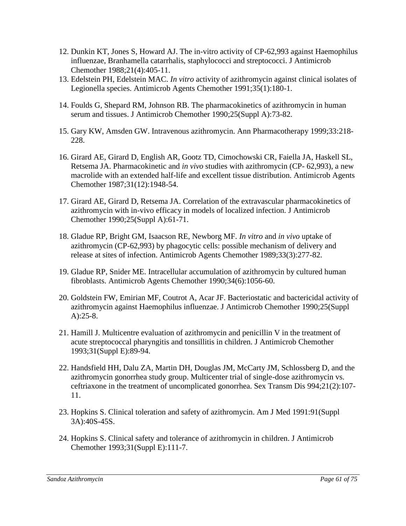- 12. Dunkin KT, Jones S, Howard AJ. The in-vitro activity of CP-62,993 against Haemophilus influenzae, Branhamella catarrhalis, staphylococci and streptococci. J Antimicrob Chemother 1988;21(4):405-11.
- 13. Edelstein PH, Edelstein MAC. *In vitro* activity of azithromycin against clinical isolates of Legionella species. Antimicrob Agents Chemother 1991;35(1):180-1.
- 14. Foulds G, Shepard RM, Johnson RB. The pharmacokinetics of azithromycin in human serum and tissues. J Antimicrob Chemother 1990;25(Suppl A):73-82.
- 15. Gary KW, Amsden GW. Intravenous azithromycin. Ann Pharmacotherapy 1999;33:218- 228.
- 16. Girard AE, Girard D, English AR, Gootz TD, Cimochowski CR, Faiella JA, Haskell SL, Retsema JA. Pharmacokinetic and *in vivo* studies with azithromycin (CP- 62,993), a new macrolide with an extended half-life and excellent tissue distribution. Antimicrob Agents Chemother 1987;31(12):1948-54.
- 17. Girard AE, Girard D, Retsema JA. Correlation of the extravascular pharmacokinetics of azithromycin with in-vivo efficacy in models of localized infection. J Antimicrob Chemother 1990;25(Suppl A):61-71.
- 18. Gladue RP, Bright GM, Isaacson RE, Newborg MF. *In vitro* and *in vivo* uptake of azithromycin (CP-62,993) by phagocytic cells: possible mechanism of delivery and release at sites of infection. Antimicrob Agents Chemother 1989;33(3):277-82.
- 19. Gladue RP, Snider ME. Intracellular accumulation of azithromycin by cultured human fibroblasts. Antimicrob Agents Chemother 1990;34(6):1056-60.
- 20. Goldstein FW, Emirian MF, Coutrot A, Acar JF. Bacteriostatic and bactericidal activity of azithromycin against Haemophilus influenzae. J Antimicrob Chemother 1990;25(Suppl A):25-8.
- 21. Hamill J. Multicentre evaluation of azithromycin and penicillin V in the treatment of acute streptococcal pharyngitis and tonsillitis in children. J Antimicrob Chemother 1993;31(Suppl E):89-94.
- 22. Handsfield HH, Dalu ZA, Martin DH, Douglas JM, McCarty JM, Schlossberg D, and the azithromycin gonorrhea study group. Multicenter trial of single-dose azithromycin vs. ceftriaxone in the treatment of uncomplicated gonorrhea. Sex Transm Dis 994;21(2):107- 11.
- 23. Hopkins S. Clinical toleration and safety of azithromycin. Am J Med 1991:91(Suppl 3A):40S-45S.
- 24. Hopkins S. Clinical safety and tolerance of azithromycin in children. J Antimicrob Chemother 1993;31(Suppl E):111-7.

*Sandoz Azithromycin Page 61 of 75*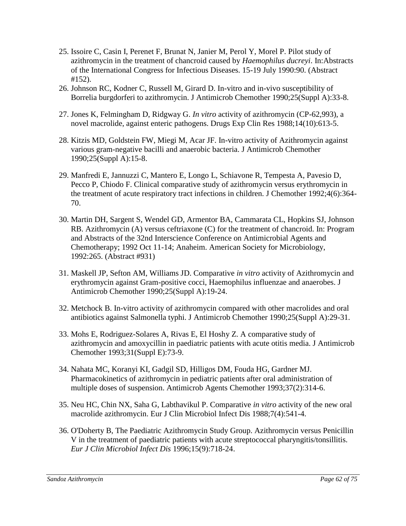- 25. Issoire C, Casin I, Perenet F, Brunat N, Janier M, Perol Y, Morel P. Pilot study of azithromycin in the treatment of chancroid caused by *Haemophilus ducreyi*. In:Abstracts of the International Congress for Infectious Diseases. 15-19 July 1990:90. (Abstract #152).
- 26. Johnson RC, Kodner C, Russell M, Girard D. In-vitro and in-vivo susceptibility of Borrelia burgdorferi to azithromycin. J Antimicrob Chemother 1990;25(Suppl A):33-8.
- 27. Jones K, Felmingham D, Ridgway G. *In vitro* activity of azithromycin (CP-62,993), a novel macrolide, against enteric pathogens. Drugs Exp Clin Res 1988;14(10):613-5.
- 28. Kitzis MD, Goldstein FW, Miegi M, Acar JF. In-vitro activity of Azithromycin against various gram-negative bacilli and anaerobic bacteria. J Antimicrob Chemother 1990;25(Suppl A):15-8.
- 29. Manfredi E, Jannuzzi C, Mantero E, Longo L, Schiavone R, Tempesta A, Pavesio D, Pecco P, Chiodo F. Clinical comparative study of azithromycin versus erythromycin in the treatment of acute respiratory tract infections in children. J Chemother 1992;4(6):364- 70.
- 30. Martin DH, Sargent S, Wendel GD, Armentor BA, Cammarata CL, Hopkins SJ, Johnson RB. Azithromycin (A) versus ceftriaxone (C) for the treatment of chancroid. In: Program and Abstracts of the 32nd Interscience Conference on Antimicrobial Agents and Chemotherapy; 1992 Oct 11-14; Anaheim. American Society for Microbiology, 1992:265. (Abstract #931)
- 31. Maskell JP, Sefton AM, Williams JD. Comparative *in vitro* activity of Azithromycin and erythromycin against Gram-positive cocci, Haemophilus influenzae and anaerobes. J Antimicrob Chemother 1990;25(Suppl A):19-24.
- 32. Metchock B. In-vitro activity of azithromycin compared with other macrolides and oral antibiotics against Salmonella typhi. J Antimicrob Chemother 1990;25(Suppl A):29-31.
- 33. Mohs E, Rodriguez-Solares A, Rivas E, El Hoshy Z. A comparative study of azithromycin and amoxycillin in paediatric patients with acute otitis media. J Antimicrob Chemother 1993;31(Suppl E):73-9.
- 34. Nahata MC, Koranyi KI, Gadgil SD, Hilligos DM, Fouda HG, Gardner MJ. Pharmacokinetics of azithromycin in pediatric patients after oral administration of multiple doses of suspension. Antimicrob Agents Chemother 1993;37(2):314-6.
- 35. Neu HC, Chin NX, Saha G, Labthavikul P. Comparative *in vitro* activity of the new oral macrolide azithromycin. Eur J Clin Microbiol Infect Dis 1988;7(4):541-4.
- 36. O'Doherty B, The Paediatric Azithromycin Study Group. Azithromycin versus Penicillin V in the treatment of paediatric patients with acute streptococcal pharyngitis/tonsillitis. *Eur J Clin Microbiol Infect Dis* 1996;15(9):718-24.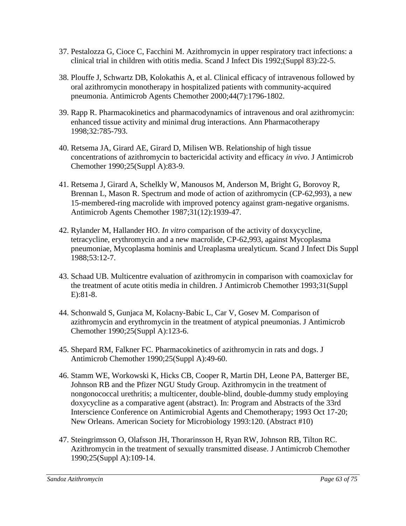- 37. Pestalozza G, Cioce C, Facchini M. Azithromycin in upper respiratory tract infections: a clinical trial in children with otitis media. Scand J Infect Dis 1992;(Suppl 83):22-5.
- 38. Plouffe J, Schwartz DB, Kolokathis A, et al. Clinical efficacy of intravenous followed by oral azithromycin monotherapy in hospitalized patients with community-acquired pneumonia. Antimicrob Agents Chemother 2000;44(7):1796-1802.
- 39. Rapp R. Pharmacokinetics and pharmacodynamics of intravenous and oral azithromycin: enhanced tissue activity and minimal drug interactions. Ann Pharmacotherapy 1998;32:785-793.
- 40. Retsema JA, Girard AE, Girard D, Milisen WB. Relationship of high tissue concentrations of azithromycin to bactericidal activity and efficacy *in vivo*. J Antimicrob Chemother 1990;25(Suppl A):83-9.
- 41. Retsema J, Girard A, Schelkly W, Manousos M, Anderson M, Bright G, Borovoy R, Brennan L, Mason R. Spectrum and mode of action of azithromycin (CP-62,993), a new 15-membered-ring macrolide with improved potency against gram-negative organisms. Antimicrob Agents Chemother 1987;31(12):1939-47.
- 42. Rylander M, Hallander HO. *In vitro* comparison of the activity of doxycycline, tetracycline, erythromycin and a new macrolide, CP-62,993, against Mycoplasma pneumoniae, Mycoplasma hominis and Ureaplasma urealyticum. Scand J Infect Dis Suppl 1988;53:12-7.
- 43. Schaad UB. Multicentre evaluation of azithromycin in comparison with coamoxiclav for the treatment of acute otitis media in children. J Antimicrob Chemother 1993;31(Suppl E):81-8.
- 44. Schonwald S, Gunjaca M, Kolacny-Babic L, Car V, Gosev M. Comparison of azithromycin and erythromycin in the treatment of atypical pneumonias. J Antimicrob Chemother 1990;25(Suppl A):123-6.
- 45. Shepard RM, Falkner FC. Pharmacokinetics of azithromycin in rats and dogs. J Antimicrob Chemother 1990;25(Suppl A):49-60.
- 46. Stamm WE, Workowski K, Hicks CB, Cooper R, Martin DH, Leone PA, Batterger BE, Johnson RB and the Pfizer NGU Study Group. Azithromycin in the treatment of nongonococcal urethritis; a multicenter, double-blind, double-dummy study employing doxycycline as a comparative agent (abstract). In: Program and Abstracts of the 33rd Interscience Conference on Antimicrobial Agents and Chemotherapy; 1993 Oct 17-20; New Orleans. American Society for Microbiology 1993:120. (Abstract #10)
- 47. Steingrimsson O, Olafsson JH, Thorarinsson H, Ryan RW, Johnson RB, Tilton RC. Azithromycin in the treatment of sexually transmitted disease. J Antimicrob Chemother 1990;25(Suppl A):109-14.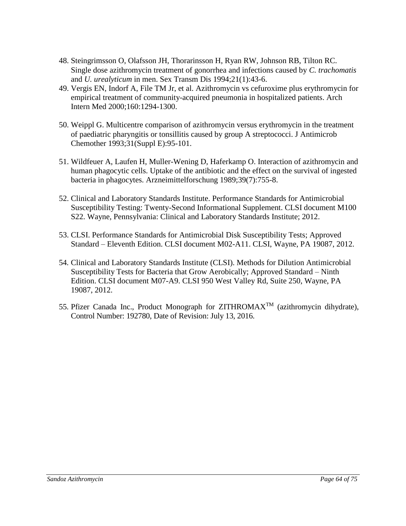- 48. Steingrimsson O, Olafsson JH, Thorarinsson H, Ryan RW, Johnson RB, Tilton RC. Single dose azithromycin treatment of gonorrhea and infections caused by *C. trachomatis*  and *U. urealyticum* in men. Sex Transm Dis 1994;21(1):43-6.
- 49. Vergis EN, Indorf A, File TM Jr, et al. Azithromycin vs cefuroxime plus erythromycin for empirical treatment of community-acquired pneumonia in hospitalized patients. Arch Intern Med 2000;160:1294-1300.
- 50. Weippl G. Multicentre comparison of azithromycin versus erythromycin in the treatment of paediatric pharyngitis or tonsillitis caused by group A streptococci. J Antimicrob Chemother 1993;31(Suppl E):95-101.
- 51. Wildfeuer A, Laufen H, Muller-Wening D, Haferkamp O. Interaction of azithromycin and human phagocytic cells. Uptake of the antibiotic and the effect on the survival of ingested bacteria in phagocytes. Arzneimittelforschung 1989;39(7):755-8.
- 52. Clinical and Laboratory Standards Institute. Performance Standards for Antimicrobial Susceptibility Testing: Twenty-Second Informational Supplement. CLSI document M100 S22. Wayne, Pennsylvania: Clinical and Laboratory Standards Institute; 2012.
- 53. CLSI. Performance Standards for Antimicrobial Disk Susceptibility Tests; Approved Standard – Eleventh Edition. CLSI document M02-A11. CLSI, Wayne, PA 19087, 2012.
- 54. Clinical and Laboratory Standards Institute (CLSI). Methods for Dilution Antimicrobial Susceptibility Tests for Bacteria that Grow Aerobically; Approved Standard – Ninth Edition. CLSI document M07-A9. CLSI 950 West Valley Rd, Suite 250, Wayne, PA 19087, 2012.
- 55. Pfizer Canada Inc., Product Monograph for ZITHROMAXTM (azithromycin dihydrate), Control Number: 192780, Date of Revision: July 13, 2016.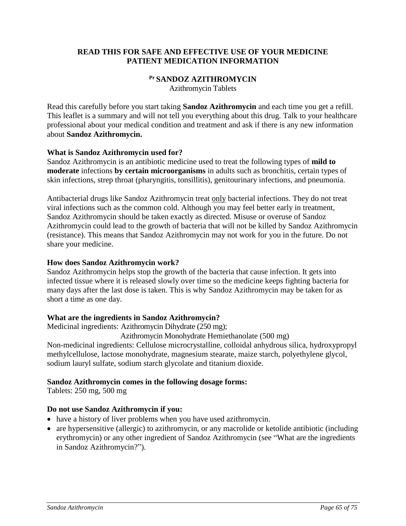## **READ THIS FOR SAFE AND EFFECTIVE USE OF YOUR MEDICINE PATIENT MEDICATION INFORMATION**

## **Pr SANDOZ AZITHROMYCIN**

Azithromycin Tablets

Read this carefully before you start taking **Sandoz Azithromycin** and each time you get a refill. This leaflet is a summary and will not tell you everything about this drug. Talk to your healthcare professional about your medical condition and treatment and ask if there is any new information about **Sandoz Azithromycin.**

#### **What is Sandoz Azithromycin used for?**

Sandoz Azithromycin is an antibiotic medicine used to treat the following types of **mild to moderate** infections **by certain microorganisms** in adults such as bronchitis, certain types of skin infections, strep throat (pharyngitis, tonsillitis), genitourinary infections, and pneumonia.

Antibacterial drugs like Sandoz Azithromycin treat only bacterial infections. They do not treat viral infections such as the common cold. Although you may feel better early in treatment, Sandoz Azithromycin should be taken exactly as directed. Misuse or overuse of Sandoz Azithromycin could lead to the growth of bacteria that will not be killed by Sandoz Azithromycin (resistance). This means that Sandoz Azithromycin may not work for you in the future. Do not share your medicine.

#### **How does Sandoz Azithromycin work?**

Sandoz Azithromycin helps stop the growth of the bacteria that cause infection. It gets into infected tissue where it is released slowly over time so the medicine keeps fighting bacteria for many days after the last dose is taken. This is why Sandoz Azithromycin may be taken for as short a time as one day.

## **What are the ingredients in Sandoz Azithromycin?**

Medicinal ingredients: Azithromycin Dihydrate (250 mg);

Azithromycin Monohydrate Hemiethanolate (500 mg)

Non-medicinal ingredients: Cellulose microcrystalline, colloidal anhydrous silica, hydroxypropyl methylcellulose, lactose monohydrate, magnesium stearate, maize starch, polyethylene glycol, sodium lauryl sulfate, sodium starch glycolate and titanium dioxide.

## **Sandoz Azithromycin comes in the following dosage forms:**

Tablets: 250 mg, 500 mg

## **Do not use Sandoz Azithromycin if you:**

- have a history of liver problems when you have used azithromycin.
- are hypersensitive (allergic) to azithromycin, or any macrolide or ketolide antibiotic (including erythromycin) or any other ingredient of Sandoz Azithromycin (see "What are the ingredients in Sandoz Azithromycin?").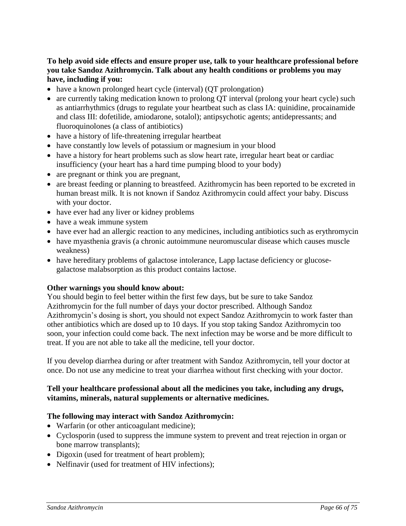## **To help avoid side effects and ensure proper use, talk to your healthcare professional before you take Sandoz Azithromycin. Talk about any health conditions or problems you may have, including if you:**

- have a known prolonged heart cycle (interval) (QT prolongation)
- are currently taking medication known to prolong QT interval (prolong your heart cycle) such as antiarrhythmics (drugs to regulate your heartbeat such as class IA: quinidine, procainamide and class III: dofetilide, amiodarone, sotalol); antipsychotic agents; antidepressants; and fluoroquinolones (a class of antibiotics)
- have a history of life-threatening irregular heartbeat
- have constantly low levels of potassium or magnesium in your blood
- have a history for heart problems such as slow heart rate, irregular heart beat or cardiac insufficiency (your heart has a hard time pumping blood to your body)
- are pregnant or think you are pregnant,
- are breast feeding or planning to breastfeed. Azithromycin has been reported to be excreted in human breast milk. It is not known if Sandoz Azithromycin could affect your baby. Discuss with your doctor.
- have ever had any liver or kidney problems
- have a weak immune system
- have ever had an allergic reaction to any medicines, including antibiotics such as erythromycin
- have myasthenia gravis (a chronic autoimmune neuromuscular disease which causes muscle weakness)
- have hereditary problems of galactose intolerance, Lapp lactase deficiency or glucosegalactose malabsorption as this product contains lactose.

#### **Other warnings you should know about:**

You should begin to feel better within the first few days, but be sure to take Sandoz Azithromycin for the full number of days your doctor prescribed. Although Sandoz Azithromycin's dosing is short, you should not expect Sandoz Azithromycin to work faster than other antibiotics which are dosed up to 10 days. If you stop taking Sandoz Azithromycin too soon, your infection could come back. The next infection may be worse and be more difficult to treat. If you are not able to take all the medicine, tell your doctor.

If you develop diarrhea during or after treatment with Sandoz Azithromycin, tell your doctor at once. Do not use any medicine to treat your diarrhea without first checking with your doctor.

#### **Tell your healthcare professional about all the medicines you take, including any drugs, vitamins, minerals, natural supplements or alternative medicines.**

#### **The following may interact with Sandoz Azithromycin:**

- Warfarin (or other anticoagulant medicine);
- Cyclosporin (used to suppress the immune system to prevent and treat rejection in organ or bone marrow transplants);
- Digoxin (used for treatment of heart problem);
- Nelfinavir (used for treatment of HIV infections);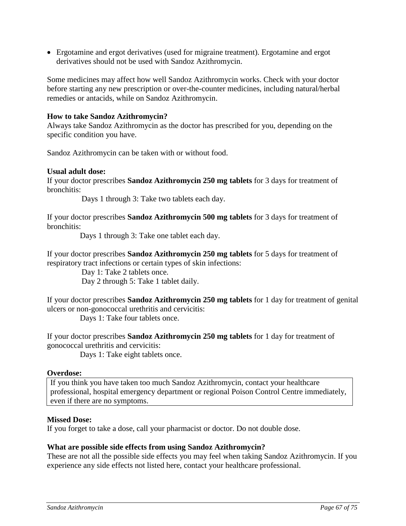Ergotamine and ergot derivatives (used for migraine treatment). Ergotamine and ergot derivatives should not be used with Sandoz Azithromycin.

Some medicines may affect how well Sandoz Azithromycin works. Check with your doctor before starting any new prescription or over-the-counter medicines, including natural/herbal remedies or antacids, while on Sandoz Azithromycin.

#### **How to take Sandoz Azithromycin?**

Always take Sandoz Azithromycin as the doctor has prescribed for you, depending on the specific condition you have.

Sandoz Azithromycin can be taken with or without food.

#### **Usual adult dose:**

If your doctor prescribes **Sandoz Azithromycin 250 mg tablets** for 3 days for treatment of bronchitis:

Days 1 through 3: Take two tablets each day.

If your doctor prescribes **Sandoz Azithromycin 500 mg tablets** for 3 days for treatment of bronchitis:

Days 1 through 3: Take one tablet each day.

If your doctor prescribes **Sandoz Azithromycin 250 mg tablets** for 5 days for treatment of respiratory tract infections or certain types of skin infections:

> Day 1: Take 2 tablets once. Day 2 through 5: Take 1 tablet daily.

If your doctor prescribes **Sandoz Azithromycin 250 mg tablets** for 1 day for treatment of genital ulcers or non-gonococcal urethritis and cervicitis:

Days 1: Take four tablets once.

If your doctor prescribes **Sandoz Azithromycin 250 mg tablets** for 1 day for treatment of gonococcal urethritis and cervicitis:

Days 1: Take eight tablets once.

#### **Overdose:**

If you think you have taken too much Sandoz Azithromycin, contact your healthcare professional, hospital emergency department or regional Poison Control Centre immediately, even if there are no symptoms.

#### **Missed Dose:**

If you forget to take a dose, call your pharmacist or doctor. Do not double dose.

#### **What are possible side effects from using Sandoz Azithromycin?**

These are not all the possible side effects you may feel when taking Sandoz Azithromycin. If you experience any side effects not listed here, contact your healthcare professional.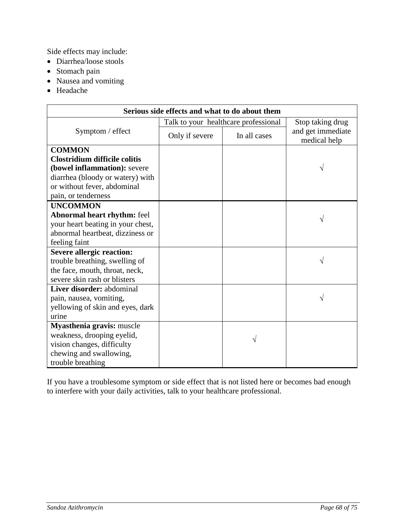Side effects may include:

- Diarrhea/loose stools
- Stomach pain
- Nausea and vomiting
- Headache

| Serious side effects and what to do about them |                                      |                  |                                   |  |  |  |  |
|------------------------------------------------|--------------------------------------|------------------|-----------------------------------|--|--|--|--|
|                                                | Talk to your healthcare professional | Stop taking drug |                                   |  |  |  |  |
| Symptom / effect                               | Only if severe                       | In all cases     | and get immediate<br>medical help |  |  |  |  |
| <b>COMMON</b>                                  |                                      |                  |                                   |  |  |  |  |
| Clostridium difficile colitis                  |                                      |                  |                                   |  |  |  |  |
| (bowel inflammation): severe                   |                                      |                  |                                   |  |  |  |  |
| diarrhea (bloody or watery) with               |                                      |                  |                                   |  |  |  |  |
| or without fever, abdominal                    |                                      |                  |                                   |  |  |  |  |
| pain, or tenderness                            |                                      |                  |                                   |  |  |  |  |
| <b>UNCOMMON</b>                                |                                      |                  |                                   |  |  |  |  |
| <b>Abnormal heart rhythm: feel</b>             |                                      |                  |                                   |  |  |  |  |
| your heart beating in your chest,              |                                      |                  |                                   |  |  |  |  |
| abnormal heartbeat, dizziness or               |                                      |                  |                                   |  |  |  |  |
| feeling faint                                  |                                      |                  |                                   |  |  |  |  |
| <b>Severe allergic reaction:</b>               |                                      |                  |                                   |  |  |  |  |
| trouble breathing, swelling of                 |                                      |                  |                                   |  |  |  |  |
| the face, mouth, throat, neck,                 |                                      |                  |                                   |  |  |  |  |
| severe skin rash or blisters                   |                                      |                  |                                   |  |  |  |  |
| Liver disorder: abdominal                      |                                      |                  |                                   |  |  |  |  |
| pain, nausea, vomiting,                        |                                      |                  |                                   |  |  |  |  |
| yellowing of skin and eyes, dark               |                                      |                  |                                   |  |  |  |  |
| urine                                          |                                      |                  |                                   |  |  |  |  |
| Myasthenia gravis: muscle                      |                                      |                  |                                   |  |  |  |  |
| weakness, drooping eyelid,                     |                                      |                  |                                   |  |  |  |  |
| vision changes, difficulty                     |                                      |                  |                                   |  |  |  |  |
| chewing and swallowing,                        |                                      |                  |                                   |  |  |  |  |
| trouble breathing                              |                                      |                  |                                   |  |  |  |  |

If you have a troublesome symptom or side effect that is not listed here or becomes bad enough to interfere with your daily activities, talk to your healthcare professional.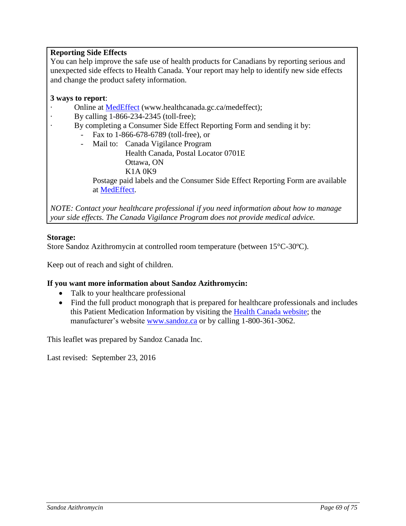## **Reporting Side Effects**

You can help improve the safe use of health products for Canadians by reporting serious and unexpected side effects to Health Canada. Your report may help to identify new side effects and change the product safety information.

## **3 ways to report**:

- Online at [MedEffect](http://hc-sc.gc.ca/dhp-mps/medeff/index-eng.php) (www.healthcanada.gc.ca/medeffect);
- · By calling 1-866-234-2345 (toll-free);
	- By completing a Consumer Side Effect Reporting Form and sending it by:
		- Fax to 1-866-678-6789 (toll-free), or
		- Mail to: Canada Vigilance Program Health Canada, Postal Locator 0701E Ottawa, ON

K1A 0K9 Postage paid labels and the Consumer Side Effect Reporting Form are available at [MedEffect.](http://hc-sc.gc.ca/dhp-mps/medeff/index-eng.php)

*NOTE: Contact your healthcare professional if you need information about how to manage your side effects. The Canada Vigilance Program does not provide medical advice.*

## **Storage:**

Store Sandoz Azithromycin at controlled room temperature (between 15°C-30ºC).

Keep out of reach and sight of children.

## **If you want more information about Sandoz Azithromycin:**

- Talk to your healthcare professional
- Find the full product monograph that is prepared for healthcare professionals and includes this Patient Medication Information by visiting the [Health Canada website;](http://hc-sc.gc.ca/index-eng.php) the manufacturer's website [www.sandoz.ca](http://www.sandoz.ca/) or by calling 1-800-361-3062.

This leaflet was prepared by Sandoz Canada Inc.

Last revised: September 23, 2016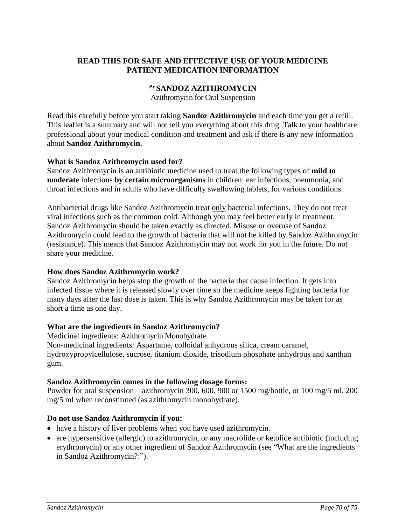## **READ THIS FOR SAFE AND EFFECTIVE USE OF YOUR MEDICINE PATIENT MEDICATION INFORMATION**

#### **Pr SANDOZ AZITHROMYCIN**

Azithromycin for Oral Suspension

Read this carefully before you start taking **Sandoz Azithromycin** and each time you get a refill. This leaflet is a summary and will not tell you everything about this drug. Talk to your healthcare professional about your medical condition and treatment and ask if there is any new information about **Sandoz Azithromycin**.

#### **What is Sandoz Azithromycin used for?**

Sandoz Azithromycin is an antibiotic medicine used to treat the following types of **mild to moderate** infections **by certain microorganisms** in children: ear infections, pneumonia, and throat infections and in adults who have difficulty swallowing tablets, for various conditions.

Antibacterial drugs like Sandoz Azithromycin treat only bacterial infections. They do not treat viral infections such as the common cold. Although you may feel better early in treatment, Sandoz Azithromycin should be taken exactly as directed. Misuse or overuse of Sandoz Azithromycin could lead to the growth of bacteria that will not be killed by Sandoz Azithromycin (resistance). This means that Sandoz Azithromycin may not work for you in the future. Do not share your medicine.

## **How does Sandoz Azithromycin work?**

Sandoz Azithromycin helps stop the growth of the bacteria that cause infection. It gets into infected tissue where it is released slowly over time so the medicine keeps fighting bacteria for many days after the last dose is taken. This is why Sandoz Azithromycin may be taken for as short a time as one day.

## **What are the ingredients in Sandoz Azithromycin?**

Medicinal ingredients: Azithromycin Monohydrate Non-medicinal ingredients: Aspartame, colloidal anhydrous silica, cream caramel, hydroxypropylcellulose, sucrose, titanium dioxide, trisodium phosphate anhydrous and xanthan gum.

#### **Sandoz Azithromycin comes in the following dosage forms:**

Powder for oral suspension – azithromycin 300, 600, 900 or 1500 mg/bottle, or 100 mg/5 ml, 200 mg/5 ml when reconstituted (as azithromycin monohydrate).

#### **Do not use Sandoz Azithromycin if you:**

- have a history of liver problems when you have used azithromycin.
- are hypersensitive (allergic) to azithromycin, or any macrolide or ketolide antibiotic (including erythromycin) or any other ingredient of Sandoz Azithromycin (see "What are the ingredients in Sandoz Azithromycin?:").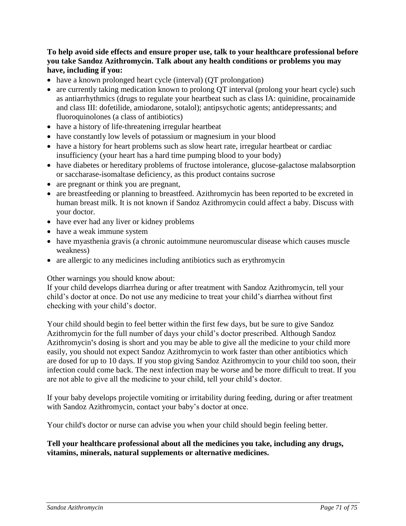## **To help avoid side effects and ensure proper use, talk to your healthcare professional before you take Sandoz Azithromycin. Talk about any health conditions or problems you may have, including if you:**

- have a known prolonged heart cycle (interval) (QT prolongation)
- are currently taking medication known to prolong QT interval (prolong your heart cycle) such as antiarrhythmics (drugs to regulate your heartbeat such as class IA: quinidine, procainamide and class III: dofetilide, amiodarone, sotalol); antipsychotic agents; antidepressants; and fluoroquinolones (a class of antibiotics)
- have a history of life-threatening irregular heartbeat
- have constantly low levels of potassium or magnesium in your blood
- have a history for heart problems such as slow heart rate, irregular heartbeat or cardiac insufficiency (your heart has a hard time pumping blood to your body)
- have diabetes or hereditary problems of fructose intolerance, glucose-galactose malabsorption or saccharase-isomaltase deficiency, as this product contains sucrose
- are pregnant or think you are pregnant,
- are breastfeeding or planning to breastfeed. Azithromycin has been reported to be excreted in human breast milk. It is not known if Sandoz Azithromycin could affect a baby. Discuss with your doctor.
- have ever had any liver or kidney problems
- have a weak immune system
- have myasthenia gravis (a chronic autoimmune neuromuscular disease which causes muscle weakness)
- are allergic to any medicines including antibiotics such as erythromycin

Other warnings you should know about:

If your child develops diarrhea during or after treatment with Sandoz Azithromycin, tell your child's doctor at once. Do not use any medicine to treat your child's diarrhea without first checking with your child's doctor.

Your child should begin to feel better within the first few days, but be sure to give Sandoz Azithromycin for the full number of days your child's doctor prescribed. Although Sandoz Azithromycin**'**s dosing is short and you may be able to give all the medicine to your child more easily, you should not expect Sandoz Azithromycin to work faster than other antibiotics which are dosed for up to 10 days. If you stop giving Sandoz Azithromycin to your child too soon, their infection could come back. The next infection may be worse and be more difficult to treat. If you are not able to give all the medicine to your child, tell your child's doctor.

If your baby develops projectile vomiting or irritability during feeding, during or after treatment with Sandoz Azithromycin, contact your baby's doctor at once.

Your child's doctor or nurse can advise you when your child should begin feeling better.

#### **Tell your healthcare professional about all the medicines you take, including any drugs, vitamins, minerals, natural supplements or alternative medicines.**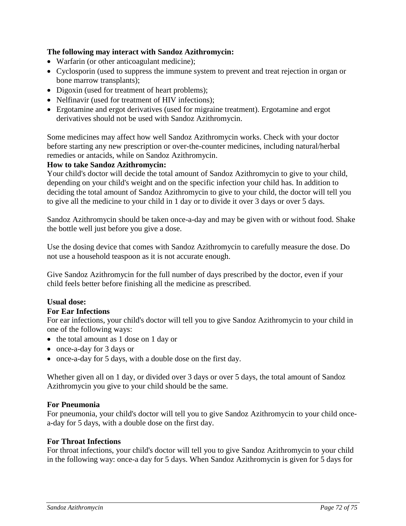## **The following may interact with Sandoz Azithromycin:**

- Warfarin (or other anticoagulant medicine);
- Cyclosporin (used to suppress the immune system to prevent and treat rejection in organ or bone marrow transplants);
- Digoxin (used for treatment of heart problems);
- Nelfinavir (used for treatment of HIV infections);
- Ergotamine and ergot derivatives (used for migraine treatment). Ergotamine and ergot derivatives should not be used with Sandoz Azithromycin.

Some medicines may affect how well Sandoz Azithromycin works. Check with your doctor before starting any new prescription or over-the-counter medicines, including natural/herbal remedies or antacids, while on Sandoz Azithromycin.

## **How to take Sandoz Azithromycin:**

Your child's doctor will decide the total amount of Sandoz Azithromycin to give to your child, depending on your child's weight and on the specific infection your child has. In addition to deciding the total amount of Sandoz Azithromycin to give to your child, the doctor will tell you to give all the medicine to your child in 1 day or to divide it over 3 days or over 5 days.

Sandoz Azithromycin should be taken once-a-day and may be given with or without food. Shake the bottle well just before you give a dose.

Use the dosing device that comes with Sandoz Azithromycin to carefully measure the dose. Do not use a household teaspoon as it is not accurate enough.

Give Sandoz Azithromycin for the full number of days prescribed by the doctor, even if your child feels better before finishing all the medicine as prescribed.

# **Usual dose:**

## **For Ear Infections**

For ear infections, your child's doctor will tell you to give Sandoz Azithromycin to your child in one of the following ways:

- the total amount as 1 dose on 1 day or
- once-a-day for 3 days or
- once-a-day for 5 days, with a double dose on the first day.

Whether given all on 1 day, or divided over 3 days or over 5 days, the total amount of Sandoz Azithromycin you give to your child should be the same.

## **For Pneumonia**

For pneumonia, your child's doctor will tell you to give Sandoz Azithromycin to your child oncea-day for 5 days, with a double dose on the first day.

## **For Throat Infections**

For throat infections, your child's doctor will tell you to give Sandoz Azithromycin to your child in the following way: once-a day for 5 days. When Sandoz Azithromycin is given for 5 days for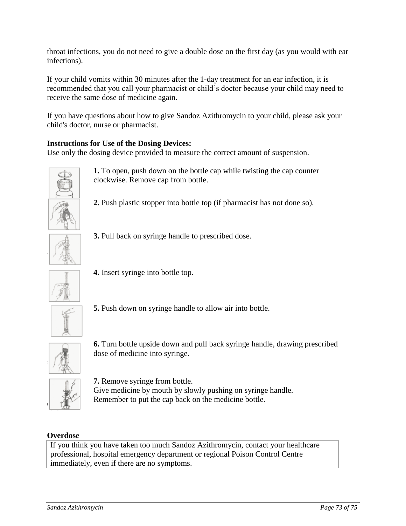throat infections, you do not need to give a double dose on the first day (as you would with ear infections).

If your child vomits within 30 minutes after the 1-day treatment for an ear infection, it is recommended that you call your pharmacist or child's doctor because your child may need to receive the same dose of medicine again.

If you have questions about how to give Sandoz Azithromycin to your child, please ask your child's doctor, nurse or pharmacist.

# **Instructions for Use of the Dosing Devices:**

Use only the dosing device provided to measure the correct amount of suspension.



**1.** To open, push down on the bottle cap while twisting the cap counter clockwise. Remove cap from bottle.

**2.** Push plastic stopper into bottle top (if pharmacist has not done so).



**3.** Pull back on syringe handle to prescribed dose.



**4.** Insert syringe into bottle top.



**5.** Push down on syringe handle to allow air into bottle.



**6.** Turn bottle upside down and pull back syringe handle, drawing prescribed dose of medicine into syringe.



**7.** Remove syringe from bottle. Give medicine by mouth by slowly pushing on syringe handle. Remember to put the cap back on the medicine bottle.

# **Overdose**

If you think you have taken too much Sandoz Azithromycin, contact your healthcare professional, hospital emergency department or regional Poison Control Centre immediately, even if there are no symptoms.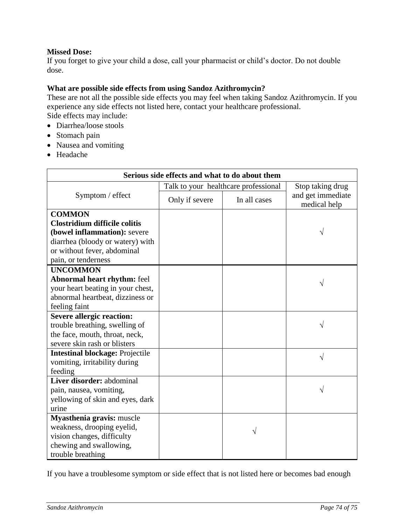## **Missed Dose:**

If you forget to give your child a dose, call your pharmacist or child's doctor. Do not double dose.

## **What are possible side effects from using Sandoz Azithromycin?**

These are not all the possible side effects you may feel when taking Sandoz Azithromycin. If you experience any side effects not listed here, contact your healthcare professional. Side effects may include:

- Diarrhea/loose stools
- Stomach pain
- Nausea and vomiting
- Headache

| Serious side effects and what to do about them |                                      |              |                                   |
|------------------------------------------------|--------------------------------------|--------------|-----------------------------------|
| Symptom / effect                               | Talk to your healthcare professional |              | Stop taking drug                  |
|                                                | Only if severe                       | In all cases | and get immediate<br>medical help |
| <b>COMMON</b>                                  |                                      |              |                                   |
| <b>Clostridium difficile colitis</b>           |                                      |              |                                   |
| (bowel inflammation): severe                   |                                      |              | V                                 |
| diarrhea (bloody or watery) with               |                                      |              |                                   |
| or without fever, abdominal                    |                                      |              |                                   |
| pain, or tenderness                            |                                      |              |                                   |
| <b>UNCOMMON</b>                                |                                      |              |                                   |
| <b>Abnormal heart rhythm: feel</b>             |                                      |              |                                   |
| your heart beating in your chest,              |                                      |              |                                   |
| abnormal heartbeat, dizziness or               |                                      |              |                                   |
| feeling faint                                  |                                      |              |                                   |
| <b>Severe allergic reaction:</b>               |                                      |              |                                   |
| trouble breathing, swelling of                 |                                      |              |                                   |
| the face, mouth, throat, neck,                 |                                      |              |                                   |
| severe skin rash or blisters                   |                                      |              |                                   |
| <b>Intestinal blockage: Projectile</b>         |                                      |              | V                                 |
| vomiting, irritability during                  |                                      |              |                                   |
| feeding                                        |                                      |              |                                   |
| Liver disorder: abdominal                      |                                      |              |                                   |
| pain, nausea, vomiting,                        |                                      |              |                                   |
| yellowing of skin and eyes, dark               |                                      |              |                                   |
| urine                                          |                                      |              |                                   |
| Myasthenia gravis: muscle                      |                                      |              |                                   |
| weakness, drooping eyelid,                     |                                      |              |                                   |
| vision changes, difficulty                     |                                      |              |                                   |
| chewing and swallowing,                        |                                      |              |                                   |
| trouble breathing                              |                                      |              |                                   |

If you have a troublesome symptom or side effect that is not listed here or becomes bad enough